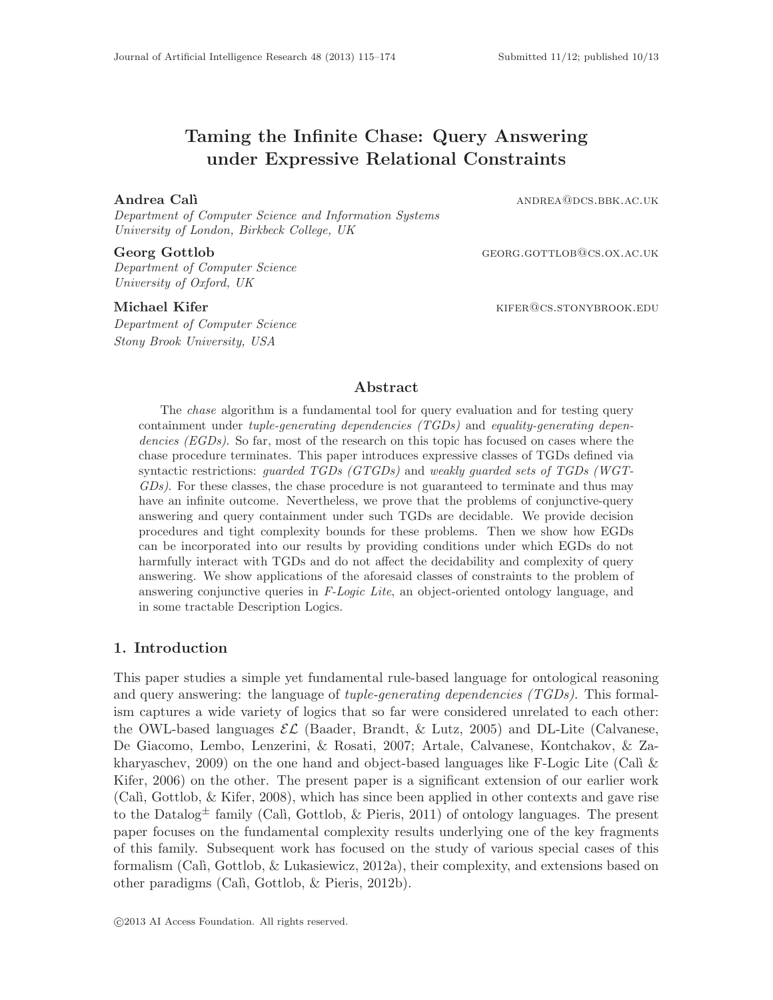# Taming the Infinite Chase: Query Answering under Expressive Relational Constraints

Department of Computer Science and Information Systems University of London, Birkbeck College, UK

Andrea Cali and a set of the set of the set of the set of the set of the set of the set of the set of the set of the set of the set of the set of the set of the set of the set of the set of the set of the set of the set of

Georg Gottlob GEORG.GOTTLOBOCS.OX.AC.UK

# Department of Computer Science University of Oxford, UK

Department of Computer Science Stony Brook University, USA

Michael Kifer **Kifer and Allie Allie Allie Allie Allie Allie Allie Allie Allie Allie Allie Allie Allie Allie A** 

# Abstract

The chase algorithm is a fundamental tool for query evaluation and for testing query containment under tuple-generating dependencies (TGDs) and equality-generating dependencies (EGDs). So far, most of the research on this topic has focused on cases where the chase procedure terminates. This paper introduces expressive classes of TGDs defined via syntactic restrictions: guarded TGDs (GTGDs) and weakly guarded sets of TGDs (WGT-GDs). For these classes, the chase procedure is not guaranteed to terminate and thus may have an infinite outcome. Nevertheless, we prove that the problems of conjunctive-query answering and query containment under such TGDs are decidable. We provide decision procedures and tight complexity bounds for these problems. Then we show how EGDs can be incorporated into our results by providing conditions under which EGDs do not harmfully interact with TGDs and do not affect the decidability and complexity of query answering. We show applications of the aforesaid classes of constraints to the problem of answering conjunctive queries in  $F\text{-}Logic\; Lite$ , an object-oriented ontology language, and in some tractable Description Logics.

# 1. Introduction

This paper studies a simple yet fundamental rule-based language for ontological reasoning and query answering: the language of *tuple-generating dependencies (TGDs)*. This formalism captures a wide variety of logics that so far were considered unrelated to each other: the OWL-based languages  $\mathcal{EL}$  (Baader, Brandt, & Lutz, 2005) and DL-Lite (Calvanese, De Giacomo, Lembo, Lenzerini, & Rosati, 2007; Artale, Calvanese, Kontchakov, & Zakharyaschev, 2009) on the one hand and object-based languages like F-Logic Lite (Cali  $\&$ Kifer, 2006) on the other. The present paper is a significant extension of our earlier work (Cali, Gottlob,  $\&$  Kifer, 2008), which has since been applied in other contexts and gave rise to the Datalog<sup> $\pm$ </sup> family (Cali, Gottlob, & Pieris, 2011) of ontology languages. The present paper focuses on the fundamental complexity results underlying one of the key fragments of this family. Subsequent work has focused on the study of various special cases of this formalism (Cali, Gottlob,  $&$  Lukasiewicz, 2012a), their complexity, and extensions based on other paradigms (Cal`ı, Gottlob, & Pieris, 2012b).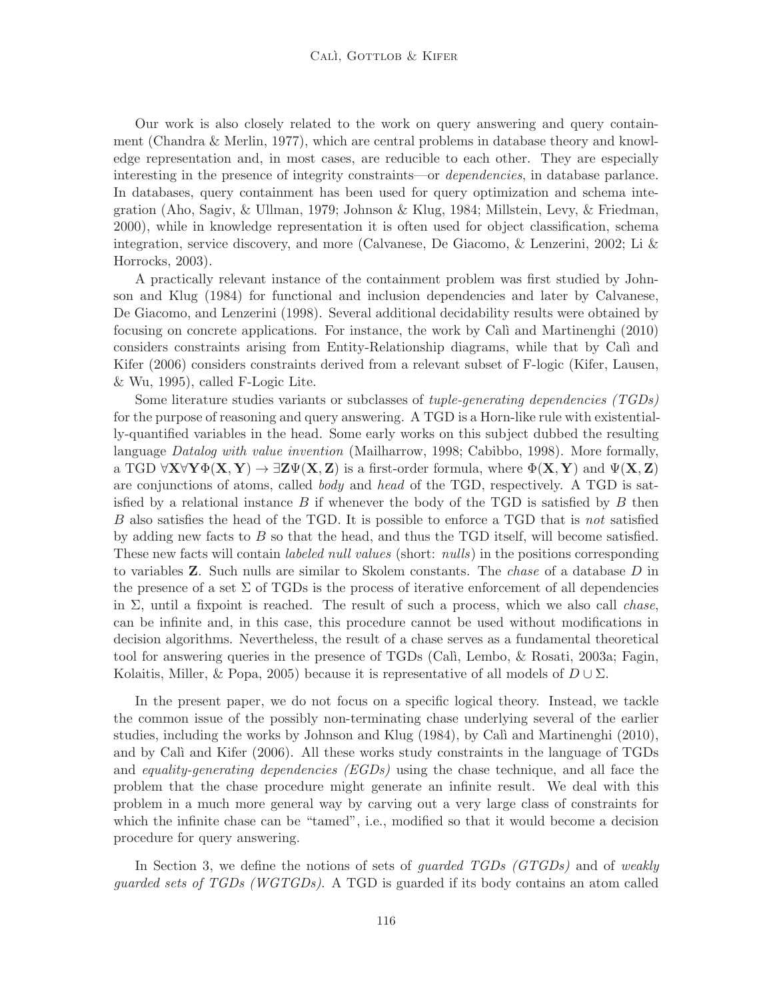Our work is also closely related to the work on query answering and query containment (Chandra & Merlin, 1977), which are central problems in database theory and knowledge representation and, in most cases, are reducible to each other. They are especially interesting in the presence of integrity constraints—or dependencies, in database parlance. In databases, query containment has been used for query optimization and schema integration (Aho, Sagiv, & Ullman, 1979; Johnson & Klug, 1984; Millstein, Levy, & Friedman, 2000), while in knowledge representation it is often used for object classification, schema integration, service discovery, and more (Calvanese, De Giacomo, & Lenzerini, 2002; Li & Horrocks, 2003).

A practically relevant instance of the containment problem was first studied by Johnson and Klug (1984) for functional and inclusion dependencies and later by Calvanese, De Giacomo, and Lenzerini (1998). Several additional decidability results were obtained by focusing on concrete applications. For instance, the work by Cali and Martinenghi (2010) considers constraints arising from Entity-Relationship diagrams, while that by Calì and Kifer (2006) considers constraints derived from a relevant subset of F-logic (Kifer, Lausen, & Wu, 1995), called F-Logic Lite.

Some literature studies variants or subclasses of tuple-generating dependencies (TGDs) for the purpose of reasoning and query answering. A TGD is a Horn-like rule with existentially-quantified variables in the head. Some early works on this subject dubbed the resulting language *Datalog with value invention* (Mailharrow, 1998; Cabibbo, 1998). More formally, a TGD  $\forall X \forall Y \Phi(X, Y) \rightarrow \exists Z \Psi(X, Z)$  is a first-order formula, where  $\Phi(X, Y)$  and  $\Psi(X, Z)$ are conjunctions of atoms, called *body* and *head* of the TGD, respectively. A TGD is satisfied by a relational instance  $B$  if whenever the body of the TGD is satisfied by  $B$  then B also satisfies the head of the TGD. It is possible to enforce a TGD that is not satisfied by adding new facts to  $B$  so that the head, and thus the TGD itself, will become satisfied. These new facts will contain *labeled null values* (short: *nulls*) in the positions corresponding to variables Z. Such nulls are similar to Skolem constants. The chase of a database D in the presence of a set  $\Sigma$  of TGDs is the process of iterative enforcement of all dependencies in  $\Sigma$ , until a fixpoint is reached. The result of such a process, which we also call *chase*, can be infinite and, in this case, this procedure cannot be used without modifications in decision algorithms. Nevertheless, the result of a chase serves as a fundamental theoretical tool for answering queries in the presence of TGDs (Cali, Lembo,  $\&$  Rosati, 2003a; Fagin, Kolaitis, Miller, & Popa, 2005) because it is representative of all models of  $D \cup \Sigma$ .

In the present paper, we do not focus on a specific logical theory. Instead, we tackle the common issue of the possibly non-terminating chase underlying several of the earlier studies, including the works by Johnson and Klug  $(1984)$ , by Calì and Martinenghi  $(2010)$ , and by Cal`ı and Kifer (2006). All these works study constraints in the language of TGDs and *equality-generating dependencies (EGDs)* using the chase technique, and all face the problem that the chase procedure might generate an infinite result. We deal with this problem in a much more general way by carving out a very large class of constraints for which the infinite chase can be "tamed", i.e., modified so that it would become a decision procedure for query answering.

In Section 3, we define the notions of sets of *quarded TGDs (GTGDs)* and of weakly guarded sets of TGDs (WGTGDs). A TGD is guarded if its body contains an atom called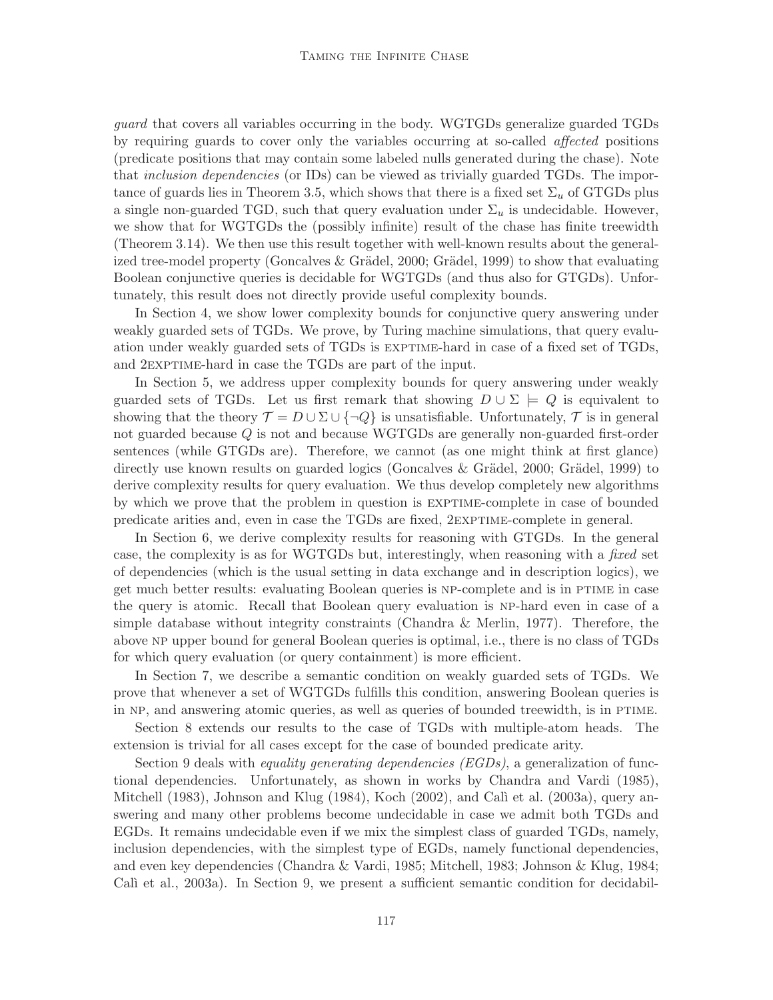guard that covers all variables occurring in the body. WGTGDs generalize guarded TGDs by requiring guards to cover only the variables occurring at so-called affected positions (predicate positions that may contain some labeled nulls generated during the chase). Note that *inclusion dependencies* (or IDs) can be viewed as trivially guarded TGDs. The importance of guards lies in Theorem 3.5, which shows that there is a fixed set  $\Sigma_u$  of GTGDs plus a single non-guarded TGD, such that query evaluation under  $\Sigma_u$  is undecidable. However, we show that for WGTGDs the (possibly infinite) result of the chase has finite treewidth (Theorem 3.14). We then use this result together with well-known results about the generalized tree-model property (Goncalves & Grädel, 2000; Grädel, 1999) to show that evaluating Boolean conjunctive queries is decidable for WGTGDs (and thus also for GTGDs). Unfortunately, this result does not directly provide useful complexity bounds.

In Section 4, we show lower complexity bounds for conjunctive query answering under weakly guarded sets of TGDs. We prove, by Turing machine simulations, that query evaluation under weakly guarded sets of TGDs is exptime-hard in case of a fixed set of TGDs, and 2EXPTIME-hard in case the TGDs are part of the input.

In Section 5, we address upper complexity bounds for query answering under weakly guarded sets of TGDs. Let us first remark that showing  $D \cup \Sigma = Q$  is equivalent to showing that the theory  $\mathcal{T} = D \cup \Sigma \cup \{\neg Q\}$  is unsatisfiable. Unfortunately,  $\mathcal{T}$  is in general not guarded because Q is not and because WGTGDs are generally non-guarded first-order sentences (while GTGDs are). Therefore, we cannot (as one might think at first glance) directly use known results on guarded logics (Goncalves  $\&$  Grädel, 2000; Grädel, 1999) to derive complexity results for query evaluation. We thus develop completely new algorithms by which we prove that the problem in question is exptime-complete in case of bounded predicate arities and, even in case the TGDs are fixed, 2exptime-complete in general.

In Section 6, we derive complexity results for reasoning with GTGDs. In the general case, the complexity is as for WGTGDs but, interestingly, when reasoning with a fixed set of dependencies (which is the usual setting in data exchange and in description logics), we get much better results: evaluating Boolean queries is np-complete and is in ptime in case the query is atomic. Recall that Boolean query evaluation is np-hard even in case of a simple database without integrity constraints (Chandra & Merlin, 1977). Therefore, the above NP upper bound for general Boolean queries is optimal, i.e., there is no class of TGDs for which query evaluation (or query containment) is more efficient.

In Section 7, we describe a semantic condition on weakly guarded sets of TGDs. We prove that whenever a set of WGTGDs fulfills this condition, answering Boolean queries is in NP, and answering atomic queries, as well as queries of bounded treewidth, is in PTIME.

Section 8 extends our results to the case of TGDs with multiple-atom heads. The extension is trivial for all cases except for the case of bounded predicate arity.

Section 9 deals with *equality generating dependencies (EGDs)*, a generalization of functional dependencies. Unfortunately, as shown in works by Chandra and Vardi (1985), Mitchell  $(1983)$ , Johnson and Klug  $(1984)$ , Koch  $(2002)$ , and Calì et al.  $(2003a)$ , query answering and many other problems become undecidable in case we admit both TGDs and EGDs. It remains undecidable even if we mix the simplest class of guarded TGDs, namely, inclusion dependencies, with the simplest type of EGDs, namely functional dependencies, and even key dependencies (Chandra & Vardi, 1985; Mitchell, 1983; Johnson & Klug, 1984; Calì et al., 2003a). In Section 9, we present a sufficient semantic condition for decidabil-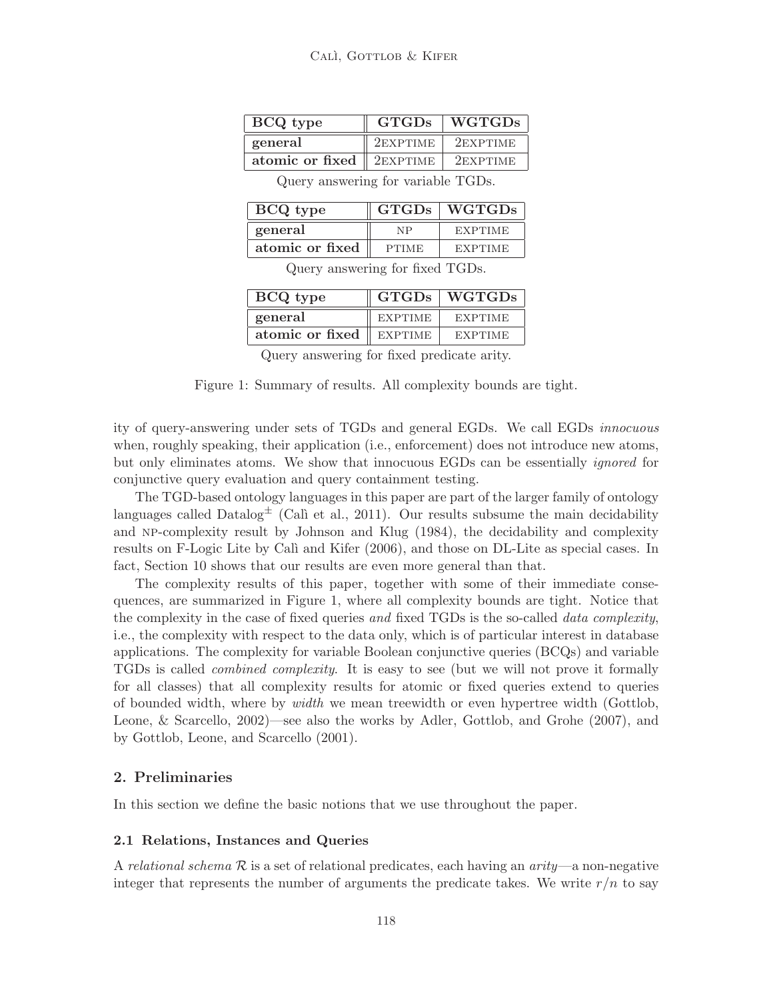# Calì, Gottlob & Kifer

| BCQ type                             |          | $GTGDs$   $WGTGDs$ |  |
|--------------------------------------|----------|--------------------|--|
| general                              | 2EXPTIME | 2EXPTIME           |  |
| atomic or fixed $\parallel$ 2EXPTIME |          | 2EXPTIME           |  |

Query answering for variable TGDs.

| BCQ type        |              | GTGDs   WGTGDs |  |  |
|-----------------|--------------|----------------|--|--|
| general         | NP           | <b>EXPTIME</b> |  |  |
| atomic or fixed | <b>PTIME</b> | <b>EXPTIME</b> |  |  |

Query answering for fixed TGDs.

| BCQ type        |                     | GTGDs   WGTGDs |  |  |
|-----------------|---------------------|----------------|--|--|
| general         | <b>EXPTIME</b>      | <b>EXPTIME</b> |  |  |
| atomic or fixed | $\parallel$ EXPTIME | <b>EXPTIME</b> |  |  |

Query answering for fixed predicate arity.

Figure 1: Summary of results. All complexity bounds are tight.

ity of query-answering under sets of TGDs and general EGDs. We call EGDs innocuous when, roughly speaking, their application (i.e., enforcement) does not introduce new atoms, but only eliminates atoms. We show that innocuous EGDs can be essentially ignored for conjunctive query evaluation and query containment testing.

The TGD-based ontology languages in this paper are part of the larger family of ontology languages called Datalog<sup> $\pm$ </sup> (Cali et al., 2011). Our results subsume the main decidability and np-complexity result by Johnson and Klug (1984), the decidability and complexity results on F-Logic Lite by Calí and Kifer (2006), and those on DL-Lite as special cases. In fact, Section 10 shows that our results are even more general than that.

The complexity results of this paper, together with some of their immediate consequences, are summarized in Figure 1, where all complexity bounds are tight. Notice that the complexity in the case of fixed queries and fixed TGDs is the so-called data complexity, i.e., the complexity with respect to the data only, which is of particular interest in database applications. The complexity for variable Boolean conjunctive queries (BCQs) and variable TGDs is called combined complexity. It is easy to see (but we will not prove it formally for all classes) that all complexity results for atomic or fixed queries extend to queries of bounded width, where by width we mean treewidth or even hypertree width (Gottlob, Leone, & Scarcello, 2002)—see also the works by Adler, Gottlob, and Grohe (2007), and by Gottlob, Leone, and Scarcello (2001).

# 2. Preliminaries

In this section we define the basic notions that we use throughout the paper.

## 2.1 Relations, Instances and Queries

A relational schema  $\mathcal R$  is a set of relational predicates, each having an arity—a non-negative integer that represents the number of arguments the predicate takes. We write  $r/n$  to say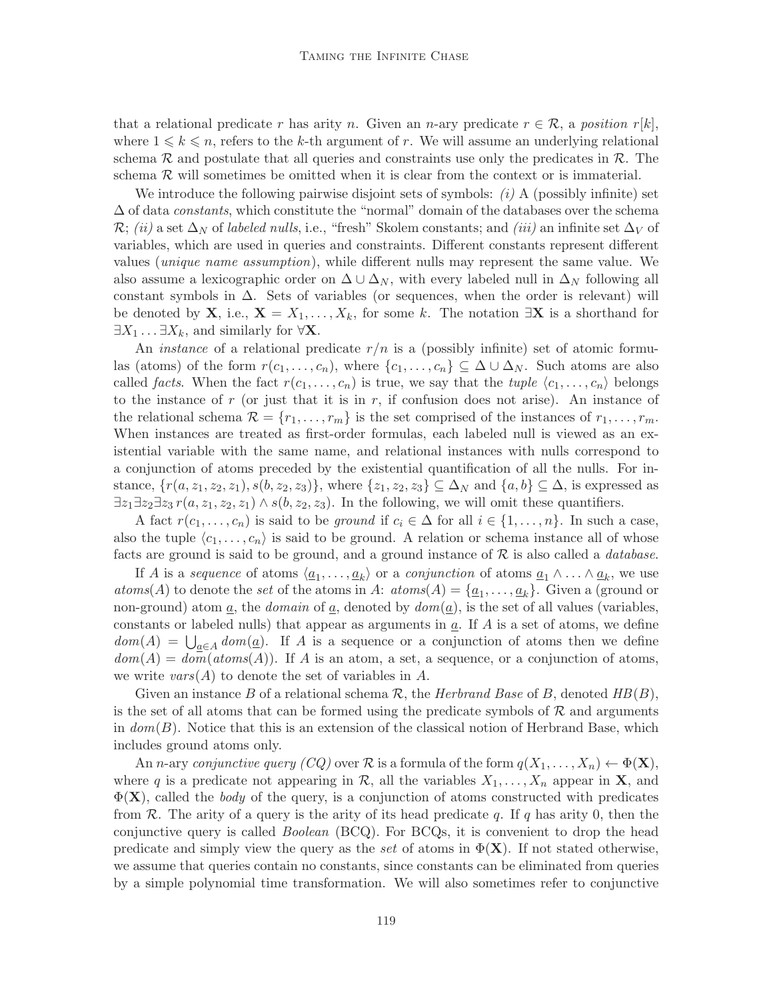that a relational predicate r has arity n. Given an n-ary predicate  $r \in \mathcal{R}$ , a position r[k], where  $1 \leq k \leq n$ , refers to the k-th argument of r. We will assume an underlying relational schema  $\mathcal R$  and postulate that all queries and constraints use only the predicates in  $\mathcal R$ . The schema  $\mathcal R$  will sometimes be omitted when it is clear from the context or is immaterial.

We introduce the following pairwise disjoint sets of symbols:  $(i)$  A (possibly infinite) set  $\Delta$  of data constants, which constitute the "normal" domain of the databases over the schema  $\mathcal{R}$ ; (ii) a set  $\Delta_N$  of labeled nulls, i.e., "fresh" Skolem constants; and (iii) an infinite set  $\Delta_V$  of variables, which are used in queries and constraints. Different constants represent different values (unique name assumption), while different nulls may represent the same value. We also assume a lexicographic order on  $\Delta \cup \Delta_N$ , with every labeled null in  $\Delta_N$  following all constant symbols in  $\Delta$ . Sets of variables (or sequences, when the order is relevant) will be denoted by **X**, i.e.,  $\mathbf{X} = X_1, \ldots, X_k$ , for some k. The notation  $\exists \mathbf{X}$  is a shorthand for  $\exists X_1 \ldots \exists X_k$ , and similarly for  $\forall \mathbf{X}$ .

An *instance* of a relational predicate  $r/n$  is a (possibly infinite) set of atomic formulas (atoms) of the form  $r(c_1, \ldots, c_n)$ , where  $\{c_1, \ldots, c_n\} \subseteq \Delta \cup \Delta_N$ . Such atoms are also called *facts*. When the fact  $r(c_1, \ldots, c_n)$  is true, we say that the *tuple*  $\langle c_1, \ldots, c_n \rangle$  belongs to the instance of r (or just that it is in r, if confusion does not arise). An instance of the relational schema  $\mathcal{R} = \{r_1, \ldots, r_m\}$  is the set comprised of the instances of  $r_1, \ldots, r_m$ . When instances are treated as first-order formulas, each labeled null is viewed as an existential variable with the same name, and relational instances with nulls correspond to a conjunction of atoms preceded by the existential quantification of all the nulls. For instance,  $\{r(a, z_1, z_2, z_1), s(b, z_2, z_3)\}\,$ , where  $\{z_1, z_2, z_3\} \subseteq \Delta_N$  and  $\{a, b\} \subseteq \Delta$ , is expressed as  $\exists z_1 \exists z_2 \exists z_3 \, r(a, z_1, z_2, z_1) \wedge s(b, z_2, z_3).$  In the following, we will omit these quantifiers.

A fact  $r(c_1, \ldots, c_n)$  is said to be ground if  $c_i \in \Delta$  for all  $i \in \{1, \ldots, n\}$ . In such a case, also the tuple  $\langle c_1, \ldots, c_n \rangle$  is said to be ground. A relation or schema instance all of whose facts are ground is said to be ground, and a ground instance of  $\mathcal R$  is also called a *database*.

If A is a sequence of atoms  $\langle \underline{a}_1,\ldots,\underline{a}_k\rangle$  or a conjunction of atoms  $\underline{a}_1 \wedge \ldots \wedge \underline{a}_k$ , we use  $atoms(A)$  to denote the set of the atoms in A:  $atoms(A) = \{a_1, \ldots, a_k\}$ . Given a (ground or non-ground) atom a, the domain of a, denoted by  $dom(a)$ , is the set of all values (variables, constants or labeled nulls) that appear as arguments in  $\underline{a}$ . If A is a set of atoms, we define  $dom(A) = \bigcup_{\underline{a} \in A} dom(\underline{a})$ . If A is a sequence or a conjunction of atoms then we define  $dom(A) = dom(atoms(A)).$  If A is an atom, a set, a sequence, or a conjunction of atoms, we write  $vars(A)$  to denote the set of variables in A.

Given an instance B of a relational schema R, the Herbrand Base of B, denoted  $HB(B)$ , is the set of all atoms that can be formed using the predicate symbols of  $\mathcal R$  and arguments in  $dom(B)$ . Notice that this is an extension of the classical notion of Herbrand Base, which includes ground atoms only.

An *n*-ary conjunctive query  $(CQ)$  over R is a formula of the form  $q(X_1, \ldots, X_n) \leftarrow \Phi(\mathbf{X}),$ where q is a predicate not appearing in  $\mathcal{R}$ , all the variables  $X_1, \ldots, X_n$  appear in **X**, and  $\Phi(X)$ , called the body of the query, is a conjunction of atoms constructed with predicates from  $\mathcal R$ . The arity of a query is the arity of its head predicate q. If q has arity 0, then the conjunctive query is called Boolean (BCQ). For BCQs, it is convenient to drop the head predicate and simply view the query as the set of atoms in  $\Phi(\mathbf{X})$ . If not stated otherwise, we assume that queries contain no constants, since constants can be eliminated from queries by a simple polynomial time transformation. We will also sometimes refer to conjunctive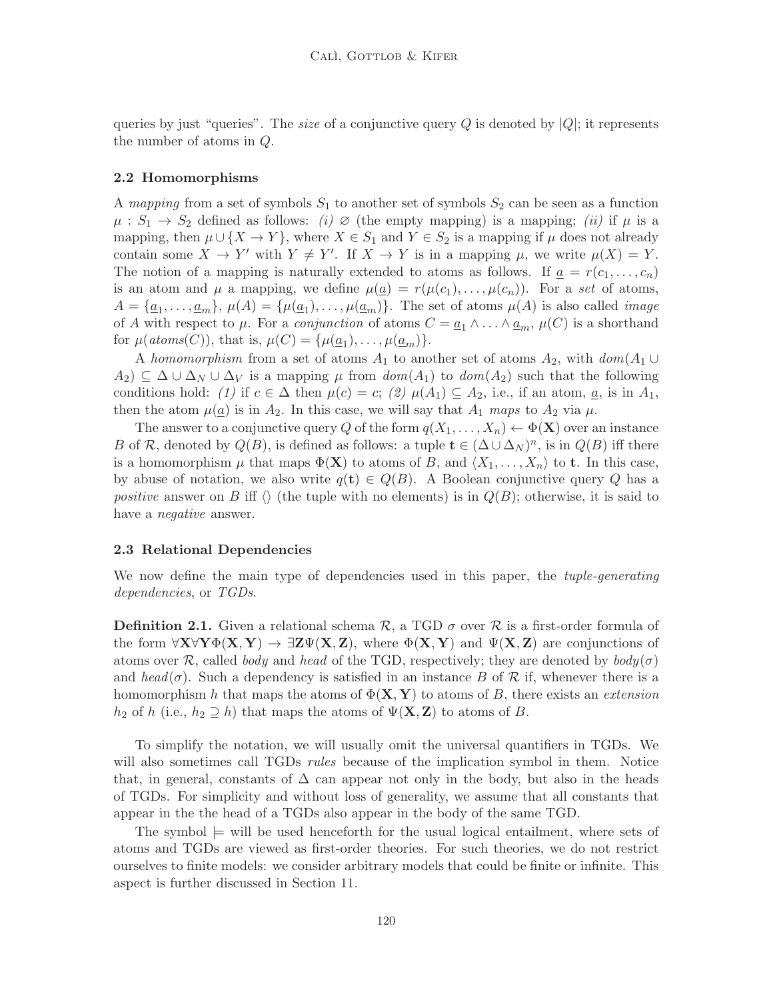queries by just "queries". The *size* of a conjunctive query Q is denoted by  $|Q|$ ; it represents the number of atoms in Q.

#### 2.2 Homomorphisms

A mapping from a set of symbols  $S_1$  to another set of symbols  $S_2$  can be seen as a function  $\mu : S_1 \to S_2$  defined as follows: (i)  $\varnothing$  (the empty mapping) is a mapping; (ii) if  $\mu$  is a mapping, then  $\mu \cup \{X \to Y\}$ , where  $X \in S_1$  and  $Y \in S_2$  is a mapping if  $\mu$  does not already contain some  $X \to Y'$  with  $Y \neq Y'$ . If  $X \to Y$  is in a mapping  $\mu$ , we write  $\mu(X) = Y$ . The notion of a mapping is naturally extended to atoms as follows. If  $\underline{a} = r(c_1, \ldots, c_n)$ is an atom and  $\mu$  a mapping, we define  $\mu(\underline{a}) = r(\mu(c_1), \ldots, \mu(c_n))$ . For a set of atoms,  $A = {\underline{a_1, \ldots, a_m}}$ ,  $\mu(A) = {\mu(\underline{a_1), \ldots, \mu(\underline{a_m})}}$ . The set of atoms  $\mu(A)$  is also called *image* of A with respect to  $\mu$ . For a *conjunction* of atoms  $C = \underline{a_1} \wedge \ldots \wedge \underline{a_m}$ ,  $\mu(C)$  is a shorthand for  $\mu(\text{atoms}(C))$ , that is,  $\mu(C) = {\mu(\underline{a}_1), \ldots, \mu(\underline{a}_m)}$ .

A homomorphism from a set of atoms  $A_1$  to another set of atoms  $A_2$ , with  $dom(A_1 \cup$  $A_2$ )  $\subseteq$   $\Delta$   $\cup$   $\Delta$ <sub>N</sub>  $\cup$   $\Delta$ <sub>V</sub> is a mapping  $\mu$  from  $dom(A_1)$  to  $dom(A_2)$  such that the following conditions hold: (1) if  $c \in \Delta$  then  $\mu(c) = c$ ; (2)  $\mu(A_1) \subseteq A_2$ , i.e., if an atom, <u>a</u>, is in  $A_1$ , then the atom  $\mu(\underline{a})$  is in  $A_2$ . In this case, we will say that  $A_1$  maps to  $A_2$  via  $\mu$ .

The answer to a conjunctive query Q of the form  $q(X_1, \ldots, X_n) \leftarrow \Phi(\mathbf{X})$  over an instance B of R, denoted by  $Q(B)$ , is defined as follows: a tuple  $\mathbf{t} \in (\Delta \cup \Delta_N)^n$ , is in  $Q(B)$  iff there is a homomorphism  $\mu$  that maps  $\Phi(\mathbf{X})$  to atoms of B, and  $\langle X_1, \ldots, X_n \rangle$  to t. In this case, by abuse of notation, we also write  $q(t) \in Q(B)$ . A Boolean conjunctive query Q has a positive answer on B iff  $\langle \rangle$  (the tuple with no elements) is in  $Q(B)$ ; otherwise, it is said to have a *negative* answer.

#### 2.3 Relational Dependencies

We now define the main type of dependencies used in this paper, the *tuple-generating* dependencies, or TGDs.

**Definition 2.1.** Given a relational schema  $\mathcal{R}$ , a TGD  $\sigma$  over  $\mathcal{R}$  is a first-order formula of the form  $\forall X \forall Y \Phi(X, Y) \rightarrow \exists Z \Psi(X, Z)$ , where  $\Phi(X, Y)$  and  $\Psi(X, Z)$  are conjunctions of atoms over R, called body and head of the TGD, respectively; they are denoted by  $body(\sigma)$ and head( $\sigma$ ). Such a dependency is satisfied in an instance B of R if, whenever there is a homomorphism h that maps the atoms of  $\Phi(\mathbf{X}, \mathbf{Y})$  to atoms of B, there exists an extension  $h_2$  of h (i.e.,  $h_2 \supseteq h$ ) that maps the atoms of  $\Psi(\mathbf{X}, \mathbf{Z})$  to atoms of B.

To simplify the notation, we will usually omit the universal quantifiers in TGDs. We will also sometimes call TGDs *rules* because of the implication symbol in them. Notice that, in general, constants of  $\Delta$  can appear not only in the body, but also in the heads of TGDs. For simplicity and without loss of generality, we assume that all constants that appear in the the head of a TGDs also appear in the body of the same TGD.

The symbol  $\models$  will be used henceforth for the usual logical entailment, where sets of atoms and TGDs are viewed as first-order theories. For such theories, we do not restrict ourselves to finite models: we consider arbitrary models that could be finite or infinite. This aspect is further discussed in Section 11.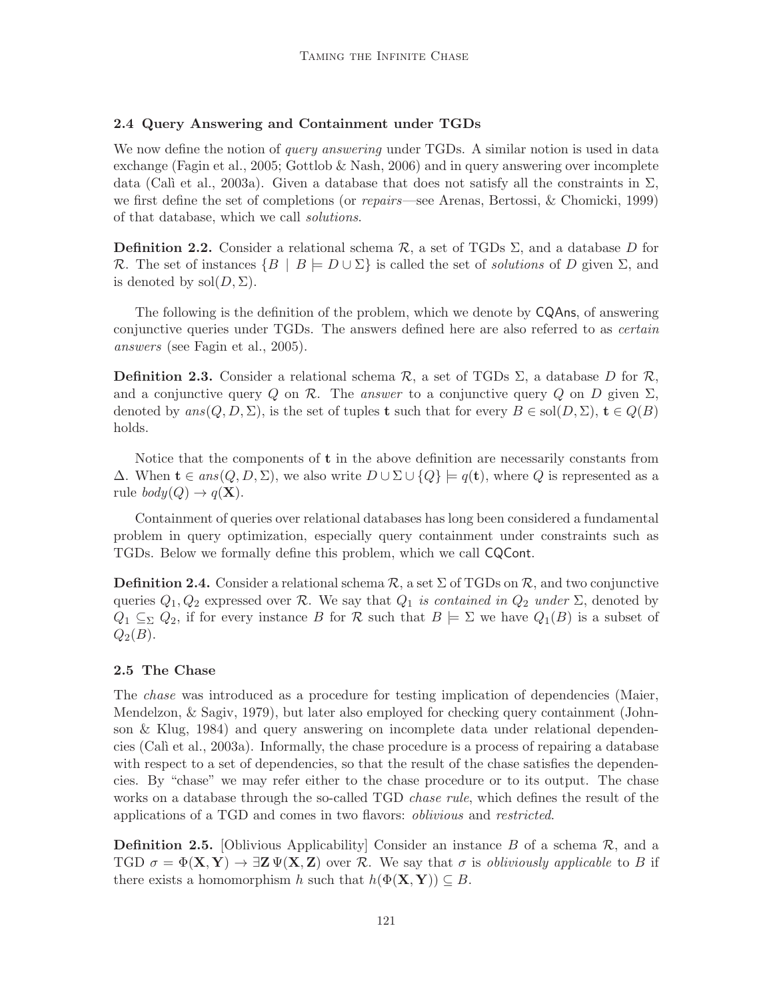# 2.4 Query Answering and Containment under TGDs

We now define the notion of *query answering* under TGDs. A similar notion is used in data exchange (Fagin et al., 2005; Gottlob  $\&$  Nash, 2006) and in query answering over incomplete data (Calì et al., 2003a). Given a database that does not satisfy all the constraints in  $\Sigma$ , we first define the set of completions (or *repairs*—see Arenas, Bertossi, & Chomicki, 1999) of that database, which we call solutions.

**Definition 2.2.** Consider a relational schema  $\mathcal{R}$ , a set of TGDs  $\Sigma$ , and a database D for R. The set of instances  $\{B \mid B \models D \cup \Sigma\}$  is called the set of solutions of D given  $\Sigma$ , and is denoted by  $\text{sol}(D, \Sigma)$ .

The following is the definition of the problem, which we denote by CQAns, of answering conjunctive queries under TGDs. The answers defined here are also referred to as certain answers (see Fagin et al., 2005).

**Definition 2.3.** Consider a relational schema  $\mathcal{R}$ , a set of TGDs  $\Sigma$ , a database D for  $\mathcal{R}$ , and a conjunctive query Q on R. The answer to a conjunctive query Q on D given  $\Sigma$ , denoted by  $ans(Q, D, \Sigma)$ , is the set of tuples t such that for every  $B \in sol(D, \Sigma)$ ,  $t \in Q(B)$ holds.

Notice that the components of  $t$  in the above definition are necessarily constants from  $\Delta$ . When  $\mathbf{t} \in ans(Q, D, \Sigma)$ , we also write  $D \cup \Sigma \cup \{Q\} \models q(\mathbf{t})$ , where Q is represented as a rule  $body(Q) \rightarrow q(\mathbf{X})$ .

Containment of queries over relational databases has long been considered a fundamental problem in query optimization, especially query containment under constraints such as TGDs. Below we formally define this problem, which we call CQCont.

**Definition 2.4.** Consider a relational schema  $\mathcal{R}$ , a set  $\Sigma$  of TGDs on  $\mathcal{R}$ , and two conjunctive queries  $Q_1, Q_2$  expressed over R. We say that  $Q_1$  is contained in  $Q_2$  under  $\Sigma$ , denoted by  $Q_1 \subseteq_{\Sigma} Q_2$ , if for every instance B for R such that  $B \models \Sigma$  we have  $Q_1(B)$  is a subset of  $Q_2(B)$ .

### 2.5 The Chase

The chase was introduced as a procedure for testing implication of dependencies (Maier, Mendelzon, & Sagiv, 1979), but later also employed for checking query containment (Johnson & Klug, 1984) and query answering on incomplete data under relational dependencies (Cal`ı et al., 2003a). Informally, the chase procedure is a process of repairing a database with respect to a set of dependencies, so that the result of the chase satisfies the dependencies. By "chase" we may refer either to the chase procedure or to its output. The chase works on a database through the so-called TGD *chase rule*, which defines the result of the applications of a TGD and comes in two flavors: oblivious and restricted.

**Definition 2.5.** [Oblivious Applicability] Consider an instance B of a schema  $\mathcal{R}$ , and a TGD  $\sigma = \Phi(\mathbf{X}, \mathbf{Y}) \to \exists \mathbf{Z} \Psi(\mathbf{X}, \mathbf{Z})$  over R. We say that  $\sigma$  is *obliviously applicable* to B if there exists a homomorphism h such that  $h(\Phi(\mathbf{X}, \mathbf{Y})) \subseteq B$ .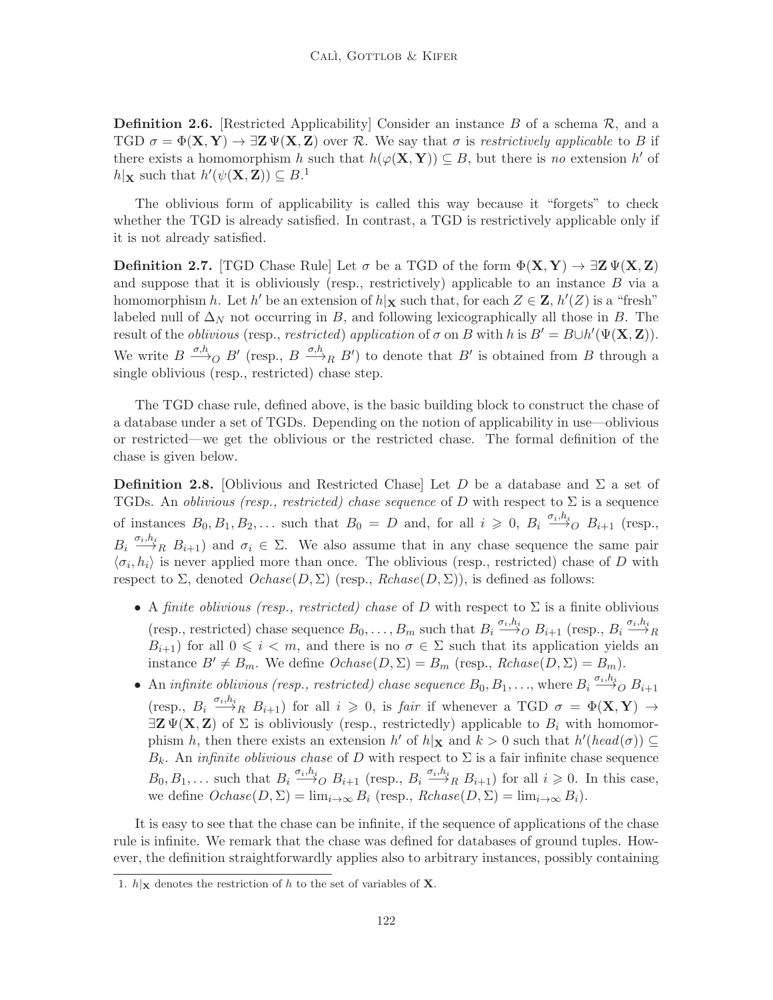**Definition 2.6.** [Restricted Applicability] Consider an instance B of a schema  $\mathcal{R}$ , and a TGD  $\sigma = \Phi(\mathbf{X}, \mathbf{Y}) \to \exists \mathbf{Z} \Psi(\mathbf{X}, \mathbf{Z})$  over R. We say that  $\sigma$  is restrictively applicable to B if there exists a homomorphism h such that  $h(\varphi(\mathbf{X}, \mathbf{Y})) \subseteq B$ , but there is no extension h' of  $h|_{\mathbf{X}}$  such that  $h'(\psi(\mathbf{X}, \mathbf{Z})) \subseteq B$ <sup>1</sup>

The oblivious form of applicability is called this way because it "forgets" to check whether the TGD is already satisfied. In contrast, a TGD is restrictively applicable only if it is not already satisfied.

**Definition 2.7.** [TGD Chase Rule] Let  $\sigma$  be a TGD of the form  $\Phi(\mathbf{X}, \mathbf{Y}) \to \exists \mathbf{Z} \Psi(\mathbf{X}, \mathbf{Z})$ and suppose that it is obliviously (resp., restrictively) applicable to an instance  $B$  via a homomorphism h. Let h' be an extension of  $h|_X$  such that, for each  $Z \in \mathbb{Z}$ ,  $h'(Z)$  is a "fresh" labeled null of  $\Delta_N$  not occurring in B, and following lexicographically all those in B. The result of the *oblivious* (resp., *restricted*) application of  $\sigma$  on B with h is  $B' = B \cup h'(\Psi(\mathbf{X}, \mathbf{Z}))$ . We write  $B \xrightarrow{\sigma, h} B'$  (resp.,  $B \xrightarrow{\sigma, h} B'$ ) to denote that  $B'$  is obtained from B through a single oblivious (resp., restricted) chase step.

The TGD chase rule, defined above, is the basic building block to construct the chase of a database under a set of TGDs. Depending on the notion of applicability in use—oblivious or restricted—we get the oblivious or the restricted chase. The formal definition of the chase is given below.

**Definition 2.8.** [Oblivious and Restricted Chase] Let D be a database and  $\Sigma$  a set of TGDs. An oblivious (resp., restricted) chase sequence of D with respect to  $\Sigma$  is a sequence of instances  $B_0, B_1, B_2, \ldots$  such that  $B_0 = D$  and, for all  $i \geq 0$ ,  $B_i \stackrel{\sigma_i, h_i}{\longrightarrow} O(B_{i+1})$  (resp.,  $B_i \stackrel{\sigma_i,h_i}{\longrightarrow}_R B_{i+1}$  and  $\sigma_i \in \Sigma$ . We also assume that in any chase sequence the same pair  $\langle \sigma_i, h_i \rangle$  is never applied more than once. The oblivious (resp., restricted) chase of D with respect to  $\Sigma$ , denoted  $Ochase(D, \Sigma)$  (resp.,  $Rchase(D, \Sigma)$ ), is defined as follows:

- A finite oblivious (resp., restricted) chase of D with respect to  $\Sigma$  is a finite oblivious (resp., restricted) chase sequence  $B_0, \ldots, B_m$  such that  $B_i \stackrel{\sigma_i, h_i}{\longrightarrow} O B_{i+1}$  (resp.,  $B_i \stackrel{\sigma_i, h_i}{\longrightarrow} R$  $B_{i+1}$ ) for all  $0 \leq i \leq m$ , and there is no  $\sigma \in \Sigma$  such that its application yields an instance  $B' \neq B_m$ . We define  $Ochase(D, \Sigma) = B_m$  (resp.,  $Rchase(D, \Sigma) = B_m$ ).
- An infinite oblivious (resp., restricted) chase sequence  $B_0, B_1, \ldots$ , where  $B_i \stackrel{\sigma_i, h_i}{\longrightarrow} O B_{i+1}$ (resp.,  $B_i \stackrel{\sigma_i,h_i}{\longrightarrow}_R B_{i+1}$ ) for all  $i \geq 0$ , is *fair* if whenever a TGD  $\sigma = \Phi(\mathbf{X}, \mathbf{Y}) \rightarrow$  $\exists \mathbf{Z} \Psi(\mathbf{X}, \mathbf{Z})$  of  $\Sigma$  is obliviously (resp., restrictedly) applicable to  $B_i$  with homomorphism h, then there exists an extension h' of  $h|\mathbf{x}$  and  $k > 0$  such that  $h'(head(\sigma)) \subseteq$  $B_k$ . An *infinite oblivious chase* of D with respect to  $\Sigma$  is a fair infinite chase sequence  $B_0, B_1, \ldots$  such that  $B_i \stackrel{\sigma_i, h_i}{\longrightarrow} O B_{i+1}$  (resp.,  $B_i \stackrel{\sigma_i, h_i}{\longrightarrow} R B_{i+1}$ ) for all  $i \geq 0$ . In this case, we define  $Ochase(D, \Sigma) = \lim_{i \to \infty} B_i$  (resp.,  $Rchase(D, \Sigma) = \lim_{i \to \infty} B_i$ ).

It is easy to see that the chase can be infinite, if the sequence of applications of the chase rule is infinite. We remark that the chase was defined for databases of ground tuples. However, the definition straightforwardly applies also to arbitrary instances, possibly containing

<sup>1.</sup>  $h|\mathbf{x}$  denotes the restriction of h to the set of variables of **X**.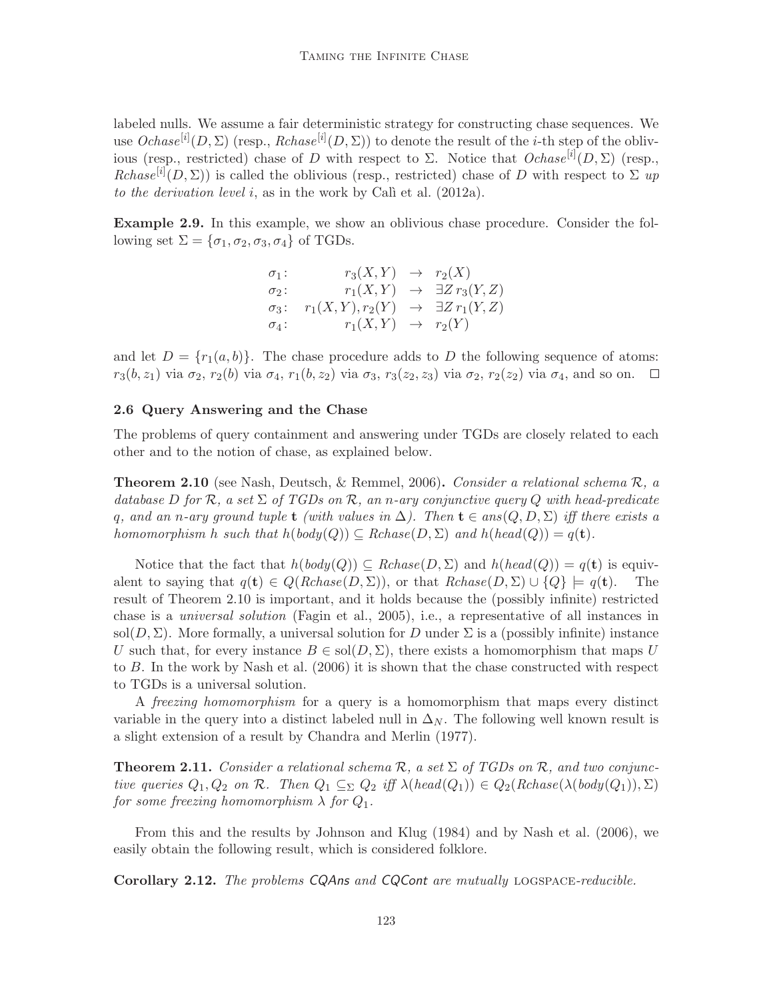labeled nulls. We assume a fair deterministic strategy for constructing chase sequences. We use  $Ochase^{[i]}(D, \Sigma)$  (resp.,  $Rchase^{[i]}(D, \Sigma)$ ) to denote the result of the *i*-th step of the oblivious (resp., restricted) chase of D with respect to  $\Sigma$ . Notice that  $Ochase^{[i]}(D, \Sigma)$  (resp., Rchase<sup>[i]</sup>(D,  $\Sigma$ )) is called the oblivious (resp., restricted) chase of D with respect to  $\Sigma$  up to the derivation level i, as in the work by Cali et al.  $(2012a)$ .

Example 2.9. In this example, we show an oblivious chase procedure. Consider the following set  $\Sigma = {\sigma_1, \sigma_2, \sigma_3, \sigma_4}$  of TGDs.

$$
\begin{array}{rcl}\n\sigma_1: & r_3(X,Y) & \rightarrow & r_2(X) \\
\sigma_2: & r_1(X,Y) & \rightarrow & \exists Z \, r_3(Y,Z) \\
\sigma_3: & r_1(X,Y), r_2(Y) & \rightarrow & \exists Z \, r_1(Y,Z) \\
\sigma_4: & r_1(X,Y) & \rightarrow & r_2(Y)\n\end{array}
$$

and let  $D = \{r_1(a, b)\}\.$  The chase procedure adds to D the following sequence of atoms:  $r_3(b, z_1)$  via  $\sigma_2$ ,  $r_2(b)$  via  $\sigma_4$ ,  $r_1(b, z_2)$  via  $\sigma_3$ ,  $r_3(z_2, z_3)$  via  $\sigma_2$ ,  $r_2(z_2)$  via  $\sigma_4$ , and so on.  $\Box$ 

#### 2.6 Query Answering and the Chase

The problems of query containment and answering under TGDs are closely related to each other and to the notion of chase, as explained below.

**Theorem 2.10** (see Nash, Deutsch, & Remmel, 2006). Consider a relational schema  $\mathcal{R}$ , a database D for R, a set  $\Sigma$  of TGDs on R, an n-ary conjunctive query Q with head-predicate q, and an n-ary ground tuple t (with values in  $\Delta$ ). Then  $t \in ans(Q, D, \Sigma)$  iff there exists a homomorphism h such that  $h(body(Q)) \subseteq Rchase(D, \Sigma)$  and  $h(head(Q)) = q(t)$ .

Notice that the fact that  $h(body(Q)) \subseteq Rchase(D, \Sigma)$  and  $h(head(Q)) = q(t)$  is equivalent to saying that  $q(t) \in Q(Rchase(D, \Sigma))$ , or that  $Rchase(D, \Sigma) \cup \{Q\} \models q(t)$ . The result of Theorem 2.10 is important, and it holds because the (possibly infinite) restricted chase is a *universal solution* (Fagin et al., 2005), i.e., a representative of all instances in sol( $D, \Sigma$ ). More formally, a universal solution for D under  $\Sigma$  is a (possibly infinite) instance U such that, for every instance  $B \in sol(D, \Sigma)$ , there exists a homomorphism that maps U to B. In the work by Nash et al. (2006) it is shown that the chase constructed with respect to TGDs is a universal solution.

A freezing homomorphism for a query is a homomorphism that maps every distinct variable in the query into a distinct labeled null in  $\Delta_N$ . The following well known result is a slight extension of a result by Chandra and Merlin (1977).

**Theorem 2.11.** Consider a relational schema  $\mathcal{R}$ , a set  $\Sigma$  of TGDs on  $\mathcal{R}$ , and two conjunctive queries  $Q_1, Q_2$  on R. Then  $Q_1 \subseteq_{\Sigma} Q_2$  iff  $\lambda(head(Q_1)) \in Q_2(Rchase(\lambda(body(Q_1)), \Sigma))$ for some freezing homomorphism  $\lambda$  for  $Q_1$ .

From this and the results by Johnson and Klug (1984) and by Nash et al. (2006), we easily obtain the following result, which is considered folklore.

Corollary 2.12. The problems CQAns and CQCont are mutually LOGSPACE-reducible.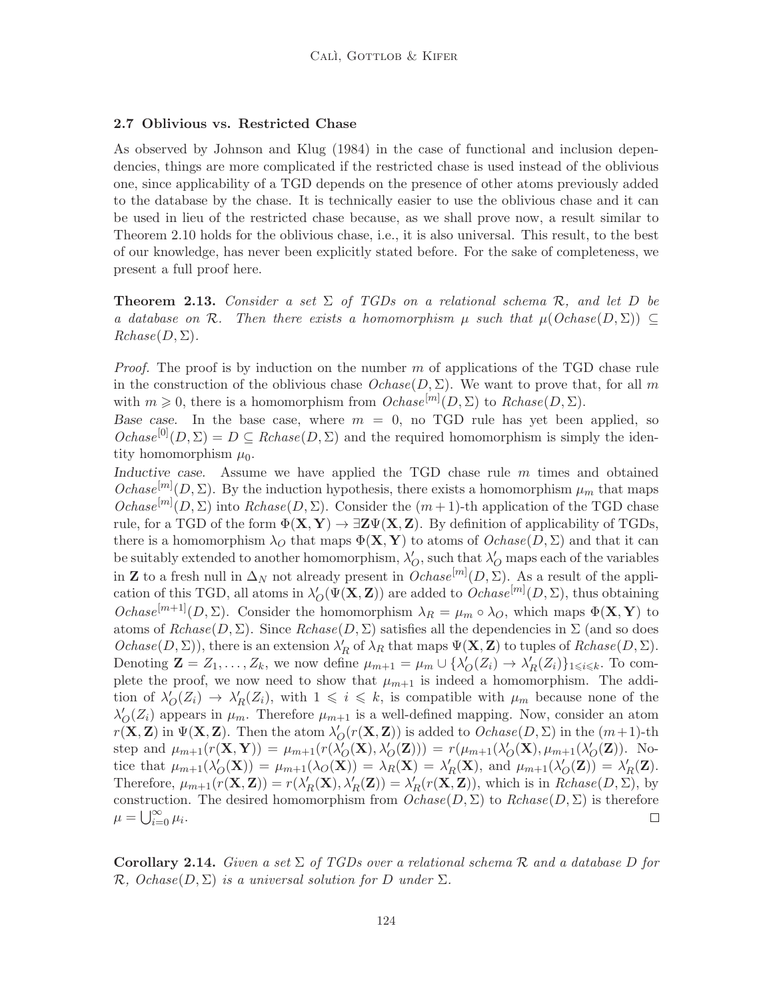### 2.7 Oblivious vs. Restricted Chase

As observed by Johnson and Klug (1984) in the case of functional and inclusion dependencies, things are more complicated if the restricted chase is used instead of the oblivious one, since applicability of a TGD depends on the presence of other atoms previously added to the database by the chase. It is technically easier to use the oblivious chase and it can be used in lieu of the restricted chase because, as we shall prove now, a result similar to Theorem 2.10 holds for the oblivious chase, i.e., it is also universal. This result, to the best of our knowledge, has never been explicitly stated before. For the sake of completeness, we present a full proof here.

**Theorem 2.13.** Consider a set  $\Sigma$  of TGDs on a relational schema  $\mathcal{R}$ , and let D be a database on R. Then there exists a homomorphism  $\mu$  such that  $\mu(Octase(D, \Sigma)) \subseteq$  $Rchase(D, \Sigma)$ .

*Proof.* The proof is by induction on the number  $m$  of applications of the TGD chase rule in the construction of the oblivious chase  $Ochase(D, \Sigma)$ . We want to prove that, for all m with  $m \geq 0$ , there is a homomorphism from  $Ochase^{[m]}(D, \Sigma)$  to  $Rchase(D, \Sigma)$ .

Base case. In the base case, where  $m = 0$ , no TGD rule has yet been applied, so  $Ochase^{[0]}(D, \Sigma) = D \subseteq Rchase(D, \Sigma)$  and the required homomorphism is simply the identity homomorphism  $\mu_0$ .

Inductive case. Assume we have applied the TGD chase rule m times and obtained Ochase<sup>[m]</sup>(D,  $\Sigma$ ). By the induction hypothesis, there exists a homomorphism  $\mu_m$  that maps  $Ochase^{[m]}(D, \Sigma)$  into  $Rchase(D, \Sigma)$ . Consider the  $(m+1)$ -th application of the TGD chase rule, for a TGD of the form  $\Phi(\mathbf{X}, \mathbf{Y}) \to \exists \mathbf{Z} \Psi(\mathbf{X}, \mathbf{Z})$ . By definition of applicability of TGDs, there is a homomorphism  $\lambda_O$  that maps  $\Phi(\mathbf{X}, \mathbf{Y})$  to atoms of  $Ochase(D, \Sigma)$  and that it can be suitably extended to another homomorphism,  $\lambda_O'$ , such that  $\lambda_O'$  maps each of the variables in **Z** to a fresh null in  $\Delta_N$  not already present in  $Ochase^{[m]}(D, \Sigma)$ . As a result of the application of this TGD, all atoms in  $\lambda'_{\mathcal{O}}(\Psi(\mathbf{X}, \mathbf{Z}))$  are added to  $Ochase^{[m]}(D, \Sigma)$ , thus obtaining  $Ochase^{[m+1]}(D, \Sigma)$ . Consider the homomorphism  $\lambda_R = \mu_m \circ \lambda_O$ , which maps  $\Phi(\mathbf{X}, \mathbf{Y})$  to atoms of  $Rchase(D, \Sigma)$ . Since  $Rchase(D, \Sigma)$  satisfies all the dependencies in  $\Sigma$  (and so does Ochase( $D, \Sigma$ )), there is an extension  $\lambda'_R$  of  $\lambda_R$  that maps  $\Psi(\mathbf{X}, \mathbf{Z})$  to tuples of  $Rchase(D, \Sigma)$ . Denoting  $\mathbf{Z} = Z_1, \ldots, Z_k$ , we now define  $\mu_{m+1} = \mu_m \cup \{ \lambda'_O(Z_i) \to \lambda'_R(Z_i) \}_{1 \leq i \leq k}$ . To complete the proof, we now need to show that  $\mu_{m+1}$  is indeed a homomorphism. The addition of  $\lambda'_{\mathcal{O}}(Z_i) \to \lambda'_R(Z_i)$ , with  $1 \leq i \leq k$ , is compatible with  $\mu_m$  because none of the  $\lambda'_{\mathcal{O}}(Z_i)$  appears in  $\mu_m$ . Therefore  $\mu_{m+1}$  is a well-defined mapping. Now, consider an atom  $r(\mathbf{X}, \mathbf{Z})$  in  $\Psi(\mathbf{X}, \mathbf{Z})$ . Then the atom  $\lambda'_O(r(\mathbf{X}, \mathbf{Z}))$  is added to  $Ochase(D, \Sigma)$  in the  $(m+1)$ -th step and  $\mu_{m+1}(r(\mathbf{X}, \mathbf{Y})) = \mu_{m+1}(r(\lambda'_O(\mathbf{X}), \lambda'_O(\mathbf{Z}))) = r(\mu_{m+1}(\lambda'_O(\mathbf{X}), \mu_{m+1}(\lambda'_O(\mathbf{Z}))).$  Notice that  $\mu_{m+1}(\lambda'_O(\mathbf{X})) = \mu_{m+1}(\lambda_O(\mathbf{X})) = \lambda_R(\mathbf{X}) = \lambda'_R(\mathbf{X}),$  and  $\mu_{m+1}(\lambda'_O(\mathbf{Z})) = \lambda'_R(\mathbf{Z}).$ Therefore,  $\mu_{m+1}(r(\mathbf{X}, \mathbf{Z})) = r(\lambda'_R(\mathbf{X}), \lambda'_R(\mathbf{Z})) = \lambda'_R(r(\mathbf{X}, \mathbf{Z}))$ , which is in  $Rchase(D, \Sigma)$ , by construction. The desired homomorphism from  $Ochase(D, \Sigma)$  to  $Rchase(D, \Sigma)$  is therefore  $\mu = \bigcup_{i=0}^{\infty} \mu_i.$  $\Box$ 

**Corollary 2.14.** Given a set  $\Sigma$  of TGDs over a relational schema R and a database D for  $\mathcal{R}, \text{ Ochase}(D, \Sigma)$  is a universal solution for D under  $\Sigma$ .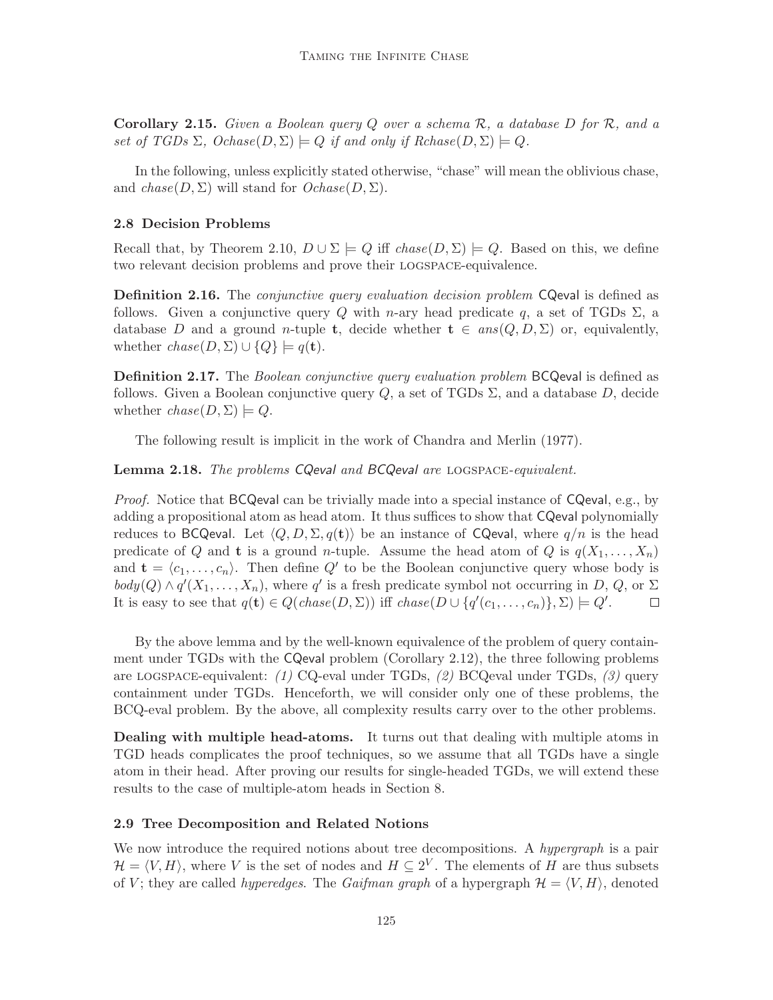**Corollary 2.15.** Given a Boolean query Q over a schema  $\mathcal{R}$ , a database  $D$  for  $\mathcal{R}$ , and a set of  $TGDs \Sigma$ ,  $Ochase(D, \Sigma) \models Q$  if and only if  $Rchase(D, \Sigma) \models Q$ .

In the following, unless explicitly stated otherwise, "chase" will mean the oblivious chase, and  $chase(D, \Sigma)$  will stand for  $Ochase(D, \Sigma)$ .

#### 2.8 Decision Problems

Recall that, by Theorem 2.10,  $D \cup \Sigma \models Q$  iff  $chase(D, \Sigma) \models Q$ . Based on this, we define two relevant decision problems and prove their logspace-equivalence.

**Definition 2.16.** The *conjunctive query evaluation decision problem* CQeval is defined as follows. Given a conjunctive query Q with n-ary head predicate q, a set of TGDs  $\Sigma$ , a database D and a ground n-tuple t, decide whether  $t \in ans(Q, D, \Sigma)$  or, equivalently, whether  $chase(D, \Sigma) \cup \{Q\} \models q(\mathbf{t}).$ 

**Definition 2.17.** The *Boolean conjunctive query evaluation problem* BCQeval is defined as follows. Given a Boolean conjunctive query  $Q$ , a set of TGDs  $\Sigma$ , and a database D, decide whether  $chase(D, \Sigma) \models Q$ .

The following result is implicit in the work of Chandra and Merlin (1977).

Lemma 2.18. The problems CQeval and BCQeval are LOGSPACE-equivalent.

Proof. Notice that BCQeval can be trivially made into a special instance of CQeval, e.g., by adding a propositional atom as head atom. It thus suffices to show that CQeval polynomially reduces to BCQeval. Let  $\langle Q, D, \Sigma, q(t) \rangle$  be an instance of CQeval, where  $q/n$  is the head predicate of Q and t is a ground n-tuple. Assume the head atom of Q is  $q(X_1, \ldots, X_n)$ and  $\mathbf{t} = \langle c_1, \ldots, c_n \rangle$ . Then define Q' to be the Boolean conjunctive query whose body is  $body(Q) \wedge q'(X_1, \ldots, X_n)$ , where q' is a fresh predicate symbol not occurring in D, Q, or  $\Sigma$ It is easy to see that  $q(\mathbf{t}) \in Q(\text{chase}(D, \Sigma))$  iff  $\text{chase}(D \cup \{q'(c_1, \ldots, c_n)\}, \Sigma) \models Q'.$  $\Box$ 

By the above lemma and by the well-known equivalence of the problem of query containment under TGDs with the CQeval problem (Corollary 2.12), the three following problems are logspace-equivalent: (1) CQ-eval under TGDs, (2) BCQeval under TGDs, (3) query containment under TGDs. Henceforth, we will consider only one of these problems, the BCQ-eval problem. By the above, all complexity results carry over to the other problems.

Dealing with multiple head-atoms. It turns out that dealing with multiple atoms in TGD heads complicates the proof techniques, so we assume that all TGDs have a single atom in their head. After proving our results for single-headed TGDs, we will extend these results to the case of multiple-atom heads in Section 8.

#### 2.9 Tree Decomposition and Related Notions

We now introduce the required notions about tree decompositions. A hypergraph is a pair  $\mathcal{H} = \langle V, H \rangle$ , where V is the set of nodes and  $H \subseteq 2^V$ . The elements of H are thus subsets of V; they are called *hyperedges*. The *Gaifman graph* of a hypergraph  $\mathcal{H} = \langle V, H \rangle$ , denoted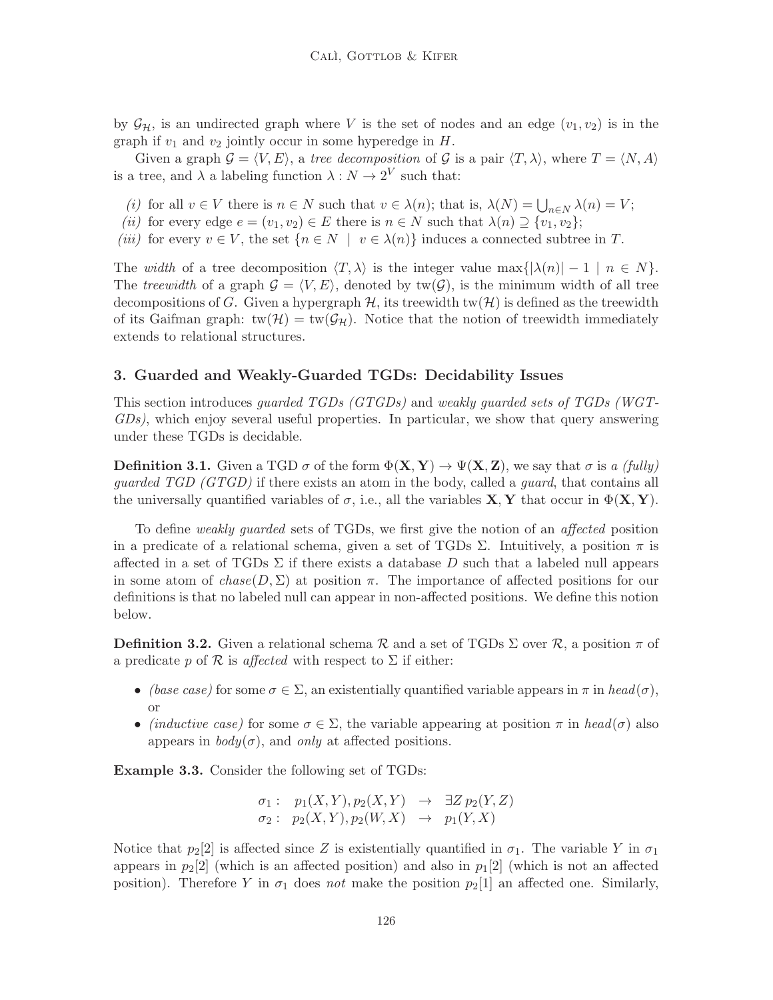by  $\mathcal{G}_{\mathcal{H}}$ , is an undirected graph where V is the set of nodes and an edge  $(v_1, v_2)$  is in the graph if  $v_1$  and  $v_2$  jointly occur in some hyperedge in  $H$ .

Given a graph  $\mathcal{G} = \langle V, E \rangle$ , a tree decomposition of G is a pair  $\langle T, \lambda \rangle$ , where  $T = \langle N, A \rangle$ is a tree, and  $\lambda$  a labeling function  $\lambda : N \to 2^V$  such that:

- (*i*) for all  $v \in V$  there is  $n \in N$  such that  $v \in \lambda(n)$ ; that is,  $\lambda(N) = \bigcup_{n \in N} \lambda(n) = V$ ;
- (ii) for every edge  $e = (v_1, v_2) \in E$  there is  $n \in N$  such that  $\lambda(n) \supseteq \{v_1, v_2\};$
- (iii) for every  $v \in V$ , the set  $\{n \in N \mid v \in \lambda(n)\}\$  induces a connected subtree in T.

The width of a tree decomposition  $\langle T, \lambda \rangle$  is the integer value max $\{|\lambda(n)| - 1 \mid n \in N\}$ . The treewidth of a graph  $\mathcal{G} = \langle V, E \rangle$ , denoted by tw $(\mathcal{G})$ , is the minimum width of all tree decompositions of G. Given a hypergraph  $\mathcal{H}$ , its treewidth tw $(\mathcal{H})$  is defined as the treewidth of its Gaifman graph:  $tw(\mathcal{H}) = tw(\mathcal{G}_{\mathcal{H}})$ . Notice that the notion of treewidth immediately extends to relational structures.

# 3. Guarded and Weakly-Guarded TGDs: Decidability Issues

This section introduces guarded TGDs (GTGDs) and weakly guarded sets of TGDs (WGT-GDs), which enjoy several useful properties. In particular, we show that query answering under these TGDs is decidable.

**Definition 3.1.** Given a TGD  $\sigma$  of the form  $\Phi(\mathbf{X}, \mathbf{Y}) \to \Psi(\mathbf{X}, \mathbf{Z})$ , we say that  $\sigma$  is a *(fully) guarded TGD (GTGD)* if there exists an atom in the body, called a *guard*, that contains all the universally quantified variables of  $\sigma$ , i.e., all the variables  $X, Y$  that occur in  $\Phi(X, Y)$ .

To define weakly guarded sets of TGDs, we first give the notion of an affected position in a predicate of a relational schema, given a set of TGDs  $\Sigma$ . Intuitively, a position  $\pi$  is affected in a set of TGDs  $\Sigma$  if there exists a database D such that a labeled null appears in some atom of  $chase(D, \Sigma)$  at position  $\pi$ . The importance of affected positions for our definitions is that no labeled null can appear in non-affected positions. We define this notion below.

**Definition 3.2.** Given a relational schema R and a set of TGDs  $\Sigma$  over R, a position  $\pi$  of a predicate p of R is affected with respect to  $\Sigma$  if either:

- (base case) for some  $\sigma \in \Sigma$ , an existentially quantified variable appears in  $\pi$  in  $head(\sigma)$ . or
- (inductive case) for some  $\sigma \in \Sigma$ , the variable appearing at position  $\pi$  in head( $\sigma$ ) also appears in  $body(\sigma)$ , and only at affected positions.

Example 3.3. Consider the following set of TGDs:

$$
\sigma_1: p_1(X,Y), p_2(X,Y) \rightarrow \exists Z p_2(Y,Z)
$$
  
\n
$$
\sigma_2: p_2(X,Y), p_2(W,X) \rightarrow p_1(Y,X)
$$

Notice that  $p_2[2]$  is affected since Z is existentially quantified in  $\sigma_1$ . The variable Y in  $\sigma_1$ appears in  $p_2[2]$  (which is an affected position) and also in  $p_1[2]$  (which is not an affected position). Therefore Y in  $\sigma_1$  does not make the position  $p_2[1]$  an affected one. Similarly,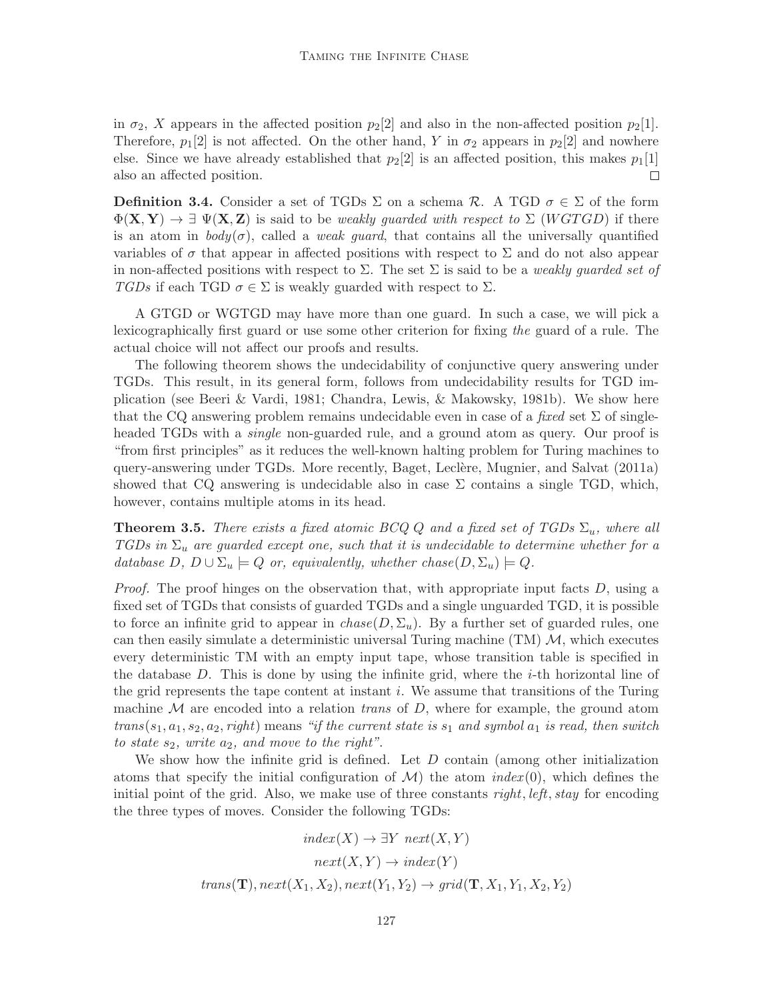in  $\sigma_2$ , X appears in the affected position  $p_2[2]$  and also in the non-affected position  $p_2[1]$ . Therefore,  $p_1[2]$  is not affected. On the other hand, Y in  $\sigma_2$  appears in  $p_2[2]$  and nowhere else. Since we have already established that  $p_2[2]$  is an affected position, this makes  $p_1[1]$ also an affected position.  $\Box$ 

**Definition 3.4.** Consider a set of TGDs  $\Sigma$  on a schema R. A TGD  $\sigma \in \Sigma$  of the form  $\Phi(X, Y) \to \exists \Psi(X, Z)$  is said to be weakly quarded with respect to  $\Sigma(WGTGD)$  if there is an atom in  $body(\sigma)$ , called a *weak guard*, that contains all the universally quantified variables of  $\sigma$  that appear in affected positions with respect to  $\Sigma$  and do not also appear in non-affected positions with respect to  $\Sigma$ . The set  $\Sigma$  is said to be a *weakly guarded set of* TGDs if each TGD  $\sigma \in \Sigma$  is weakly guarded with respect to  $\Sigma$ .

A GTGD or WGTGD may have more than one guard. In such a case, we will pick a lexicographically first guard or use some other criterion for fixing the guard of a rule. The actual choice will not affect our proofs and results.

The following theorem shows the undecidability of conjunctive query answering under TGDs. This result, in its general form, follows from undecidability results for TGD implication (see Beeri & Vardi, 1981; Chandra, Lewis, & Makowsky, 1981b). We show here that the CQ answering problem remains undecidable even in case of a fixed set  $\Sigma$  of singleheaded TGDs with a *single* non-guarded rule, and a ground atom as query. Our proof is "from first principles" as it reduces the well-known halting problem for Turing machines to query-answering under TGDs. More recently, Baget, Lecl`ere, Mugnier, and Salvat (2011a) showed that CQ answering is undecidable also in case  $\Sigma$  contains a single TGD, which, however, contains multiple atoms in its head.

**Theorem 3.5.** There exists a fixed atomic BCQ Q and a fixed set of TGDs  $\Sigma_u$ , where all TGDs in  $\Sigma_u$  are guarded except one, such that it is undecidable to determine whether for a database  $D, D \cup \Sigma_u \models Q$  or, equivalently, whether chase $(D, \Sigma_u) \models Q$ .

*Proof.* The proof hinges on the observation that, with appropriate input facts  $D$ , using a fixed set of TGDs that consists of guarded TGDs and a single unguarded TGD, it is possible to force an infinite grid to appear in  $chase(D, \Sigma_u)$ . By a further set of guarded rules, one can then easily simulate a deterministic universal Turing machine  $(TM)$   $\mathcal{M}$ , which executes every deterministic TM with an empty input tape, whose transition table is specified in the database  $D$ . This is done by using the infinite grid, where the *i*-th horizontal line of the grid represents the tape content at instant  $i$ . We assume that transitions of the Turing machine  $M$  are encoded into a relation *trans* of  $D$ , where for example, the ground atom  $trans(s_1, a_1, s_2, a_2, right)$  means "if the current state is  $s_1$  and symbol  $a_1$  is read, then switch to state  $s_2$ , write  $a_2$ , and move to the right".

We show how the infinite grid is defined. Let  $D$  contain (among other initialization atoms that specify the initial configuration of  $\mathcal{M}$ ) the atom *index* (0), which defines the initial point of the grid. Also, we make use of three constants right, left, stay for encoding the three types of moves. Consider the following TGDs:

$$
index(X) \to \exists Y \ next(X, Y)
$$

$$
next(X, Y) \to index(Y)
$$

$$
trans(\mathbf{T}), next(X_1, X_2), next(Y_1, Y_2) \to grid(\mathbf{T}, X_1, Y_1, X_2, Y_2)
$$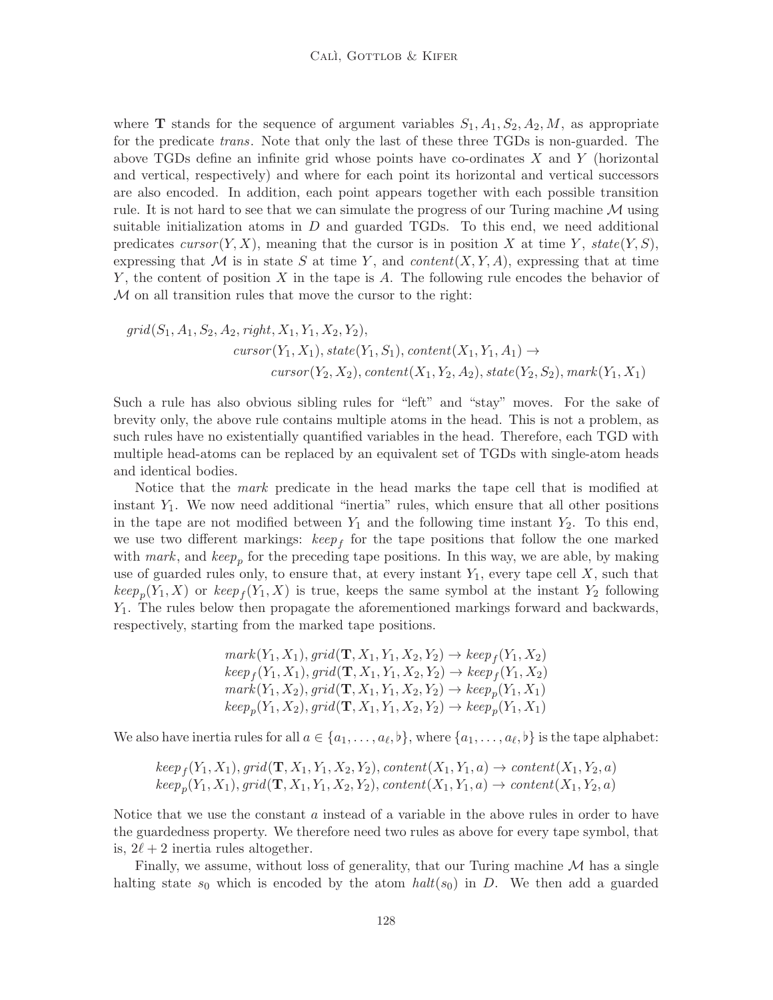where **T** stands for the sequence of argument variables  $S_1$ ,  $A_1$ ,  $S_2$ ,  $A_2$ ,  $M$ , as appropriate for the predicate *trans*. Note that only the last of these three TGDs is non-guarded. The above TGDs define an infinite grid whose points have co-ordinates  $X$  and  $Y$  (horizontal and vertical, respectively) and where for each point its horizontal and vertical successors are also encoded. In addition, each point appears together with each possible transition rule. It is not hard to see that we can simulate the progress of our Turing machine  $\mathcal M$  using suitable initialization atoms in  $D$  and guarded TGDs. To this end, we need additional predicates cursor  $(Y, X)$ , meaning that the cursor is in position X at time Y, state  $(Y, S)$ , expressing that M is in state S at time Y, and content(X, Y, A), expressing that at time Y, the content of position X in the tape is A. The following rule encodes the behavior of M on all transition rules that move the cursor to the right:

$$
grid(S_1, A_1, S_2, A_2, right, X_1, Y_1, X_2, Y_2),
$$
  
\n
$$
cursor(Y_1, X_1), state(Y_1, S_1), content(X_1, Y_1, A_1) \rightarrow
$$
  
\n
$$
cursor(Y_2, X_2), content(X_1, Y_2, A_2), state(Y_2, S_2), mark(Y_1, X_1)
$$

Such a rule has also obvious sibling rules for "left" and "stay" moves. For the sake of brevity only, the above rule contains multiple atoms in the head. This is not a problem, as such rules have no existentially quantified variables in the head. Therefore, each TGD with multiple head-atoms can be replaced by an equivalent set of TGDs with single-atom heads and identical bodies.

Notice that the mark predicate in the head marks the tape cell that is modified at instant  $Y_1$ . We now need additional "inertia" rules, which ensure that all other positions in the tape are not modified between  $Y_1$  and the following time instant  $Y_2$ . To this end, we use two different markings:  $keep_f$  for the tape positions that follow the one marked with mark, and keep<sub>p</sub> for the preceding tape positions. In this way, we are able, by making use of guarded rules only, to ensure that, at every instant  $Y_1$ , every tape cell  $X$ , such that  $keep_p(Y_1, X)$  or  $keep_f(Y_1, X)$  is true, keeps the same symbol at the instant  $Y_2$  following  $Y_1$ . The rules below then propagate the aforementioned markings forward and backwards, respectively, starting from the marked tape positions.

$$
mark(Y_1, X_1), grid(\mathbf{T}, X_1, Y_1, X_2, Y_2) \rightarrow keep_f(Y_1, X_2)
$$
  

$$
keep_f(Y_1, X_1), grid(\mathbf{T}, X_1, Y_1, X_2, Y_2) \rightarrow keep_f(Y_1, X_2)
$$
  

$$
mark(Y_1, X_2), grid(\mathbf{T}, X_1, Y_1, X_2, Y_2) \rightarrow keep_p(Y_1, X_1)
$$
  

$$
keep_p(Y_1, X_2), grid(\mathbf{T}, X_1, Y_1, X_2, Y_2) \rightarrow keep_p(Y_1, X_1)
$$

We also have inertia rules for all  $a \in \{a_1, \ldots, a_\ell, \mathfrak{b}\}$ , where  $\{a_1, \ldots, a_\ell, \mathfrak{b}\}$  is the tape alphabet:

$$
keep_f(Y_1, X_1), grid(\mathbf{T}, X_1, Y_1, X_2, Y_2), content(X_1, Y_1, a) \rightarrow content(X_1, Y_2, a)
$$
  

$$
keep_p(Y_1, X_1), grid(\mathbf{T}, X_1, Y_1, X_2, Y_2), content(X_1, Y_1, a) \rightarrow content(X_1, Y_2, a)
$$

Notice that we use the constant a instead of a variable in the above rules in order to have the guardedness property. We therefore need two rules as above for every tape symbol, that is,  $2\ell + 2$  inertia rules altogether.

Finally, we assume, without loss of generality, that our Turing machine  $M$  has a single halting state  $s_0$  which is encoded by the atom  $halt(s_0)$  in D. We then add a guarded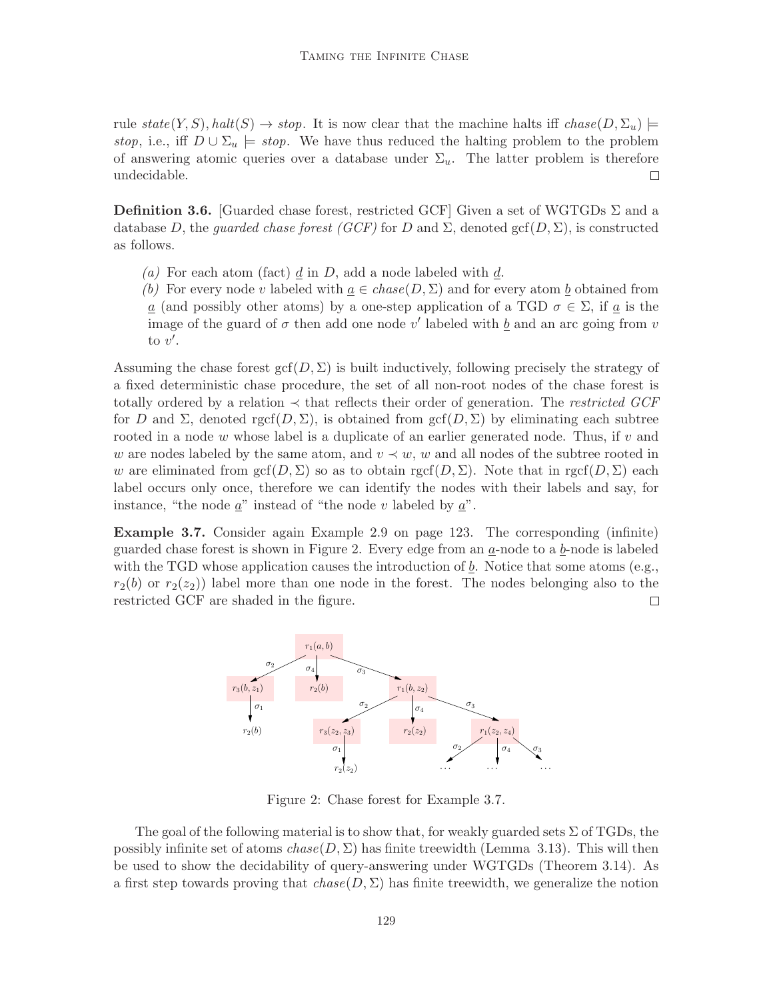rule  $state(Y, S)$ ,  $halt(S) \rightarrow stop$ . It is now clear that the machine halts iff  $chase(D, \Sigma_u)$ stop, i.e., iff  $D \cup \Sigma_u$  = stop. We have thus reduced the halting problem to the problem of answering atomic queries over a database under  $\Sigma_u$ . The latter problem is therefore undecidable.  $\Box$ 

**Definition 3.6.** [Guarded chase forest, restricted GCF] Given a set of WGTGDs  $\Sigma$  and a database D, the quarded chase forest (GCF) for D and  $\Sigma$ , denoted gcf( $D, \Sigma$ ), is constructed as follows.

- (a) For each atom (fact) d in D, add a node labeled with d.
- (b) For every node v labeled with  $a \in \text{chase}(D, \Sigma)$  and for every atom b obtained from a (and possibly other atoms) by a one-step application of a TGD  $\sigma \in \Sigma$ , if a is the image of the guard of  $\sigma$  then add one node  $v'$  labeled with  $\underline{b}$  and an arc going from  $v$ to  $v'$ .

Assuming the chase forest  $\text{gcf}(D, \Sigma)$  is built inductively, following precisely the strategy of a fixed deterministic chase procedure, the set of all non-root nodes of the chase forest is totally ordered by a relation  $\prec$  that reflects their order of generation. The *restricted GCF* for D and  $\Sigma$ , denoted rgcf(D,  $\Sigma$ ), is obtained from gcf(D,  $\Sigma$ ) by eliminating each subtree rooted in a node  $w$  whose label is a duplicate of an earlier generated node. Thus, if  $v$  and w are nodes labeled by the same atom, and  $v \prec w$ , w and all nodes of the subtree rooted in w are eliminated from  $\text{gcf}(D, \Sigma)$  so as to obtain  $\text{rgcf}(D, \Sigma)$ . Note that in  $\text{rgcf}(D, \Sigma)$  each label occurs only once, therefore we can identify the nodes with their labels and say, for instance, "the node  $\underline{a}$ " instead of "the node v labeled by  $\underline{a}$ ".

Example 3.7. Consider again Example 2.9 on page 123. The corresponding (infinite) guarded chase forest is shown in Figure 2. Every edge from an a-node to a b-node is labeled with the TGD whose application causes the introduction of  $\underline{b}$ . Notice that some atoms (e.g.,  $r_2(b)$  or  $r_2(z_2)$  label more than one node in the forest. The nodes belonging also to the restricted GCF are shaded in the figure.  $\Box$ 



Figure 2: Chase forest for Example 3.7.

The goal of the following material is to show that, for weakly guarded sets  $\Sigma$  of TGDs, the possibly infinite set of atoms  $chase(D, \Sigma)$  has finite treewidth (Lemma 3.13). This will then be used to show the decidability of query-answering under WGTGDs (Theorem 3.14). As a first step towards proving that  $chase(D, \Sigma)$  has finite treewidth, we generalize the notion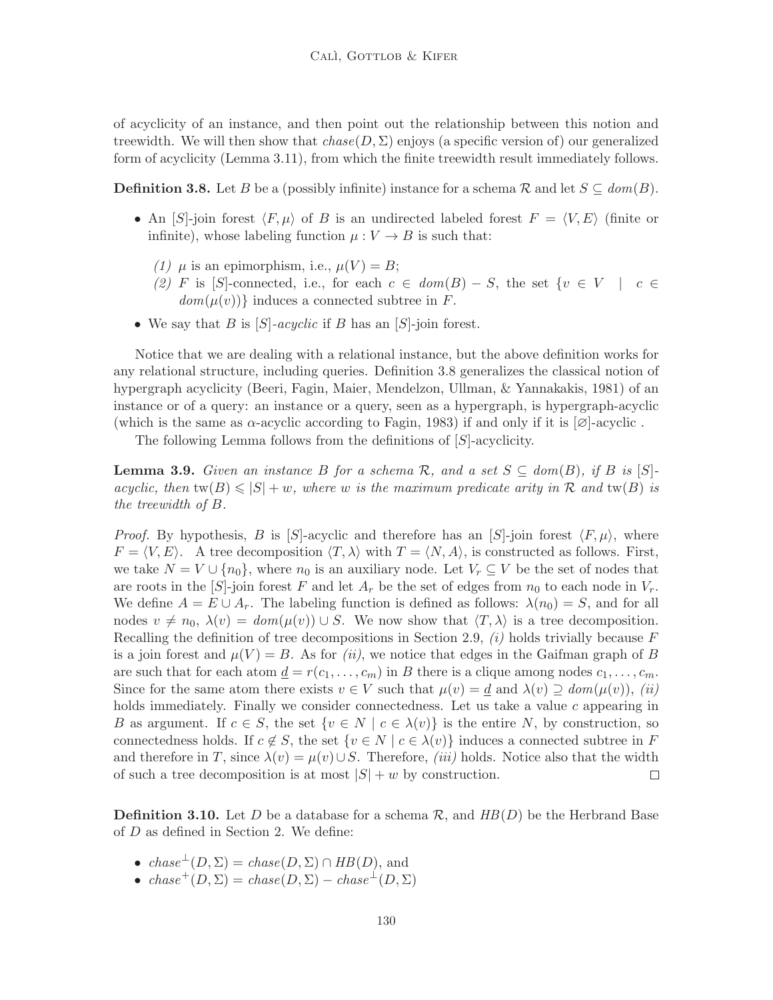of acyclicity of an instance, and then point out the relationship between this notion and treewidth. We will then show that  $chase(D, \Sigma)$  enjoys (a specific version of) our generalized form of acyclicity (Lemma 3.11), from which the finite treewidth result immediately follows.

**Definition 3.8.** Let B be a (possibly infinite) instance for a schema R and let  $S \subseteq dom(B)$ .

- An [S]-join forest  $\langle F, \mu \rangle$  of B is an undirected labeled forest  $F = \langle V, E \rangle$  (finite or infinite), whose labeling function  $\mu: V \to B$  is such that:
	- (1)  $\mu$  is an epimorphism, i.e.,  $\mu(V) = B$ ;
	- (2) F is [S]-connected, i.e., for each  $c \in dom(B) S$ , the set  $\{v \in V \mid c \in$  $dom(\mu(v))$  induces a connected subtree in F.
- We say that B is  $[S]$ -acyclic if B has an  $[S]$ -join forest.

Notice that we are dealing with a relational instance, but the above definition works for any relational structure, including queries. Definition 3.8 generalizes the classical notion of hypergraph acyclicity (Beeri, Fagin, Maier, Mendelzon, Ullman, & Yannakakis, 1981) of an instance or of a query: an instance or a query, seen as a hypergraph, is hypergraph-acyclic (which is the same as  $\alpha$ -acyclic according to Fagin, 1983) if and only if it is  $[\varnothing]$ -acyclic.

The following Lemma follows from the definitions of [S]-acyclicity.

**Lemma 3.9.** Given an instance B for a schema  $\mathcal{R}$ , and a set  $S \subseteq dom(B)$ , if B is  $[S]$ acyclic, then  $\text{tw}(B) \leq |S| + w$ , where w is the maximum predicate arity in R and  $\text{tw}(B)$  is the treewidth of B.

*Proof.* By hypothesis, B is [S]-acyclic and therefore has an [S]-join forest  $\langle F, \mu \rangle$ , where  $F = \langle V, E \rangle$ . A tree decomposition  $\langle T, \lambda \rangle$  with  $T = \langle N, A \rangle$ , is constructed as follows. First, we take  $N = V \cup \{n_0\}$ , where  $n_0$  is an auxiliary node. Let  $V_r \subseteq V$  be the set of nodes that are roots in the  $[S]$ -join forest F and let  $A_r$  be the set of edges from  $n_0$  to each node in  $V_r$ . We define  $A = E \cup A_r$ . The labeling function is defined as follows:  $\lambda(n_0) = S$ , and for all nodes  $v \neq n_0$ ,  $\lambda(v) = dom(\mu(v)) \cup S$ . We now show that  $\langle T, \lambda \rangle$  is a tree decomposition. Recalling the definition of tree decompositions in Section 2.9,  $(i)$  holds trivially because F is a join forest and  $\mu(V) = B$ . As for *(ii)*, we notice that edges in the Gaifman graph of B are such that for each atom  $\underline{d} = r(c_1, \ldots, c_m)$  in B there is a clique among nodes  $c_1, \ldots, c_m$ . Since for the same atom there exists  $v \in V$  such that  $\mu(v) = d$  and  $\lambda(v) \supseteq dom(\mu(v))$ , *(ii)* holds immediately. Finally we consider connectedness. Let us take a value  $c$  appearing in B as argument. If  $c \in S$ , the set  $\{v \in N \mid c \in \lambda(v)\}\$ is the entire N, by construction, so connectedness holds. If  $c \notin S$ , the set  $\{v \in N \mid c \in \lambda(v)\}\$  induces a connected subtree in F and therefore in T, since  $\lambda(v) = \mu(v) \cup S$ . Therefore, *(iii)* holds. Notice also that the width of such a tree decomposition is at most  $|S| + w$  by construction.  $\Box$ 

**Definition 3.10.** Let D be a database for a schema  $\mathcal{R}$ , and  $HB(D)$  be the Herbrand Base of D as defined in Section 2. We define:

- $chase^{\perp}(D, \Sigma) = chase(D, \Sigma) \cap HB(D)$ , and
- $chase^{+}(D, \Sigma) = chase(D, \Sigma) chase^{\perp}(D, \Sigma)$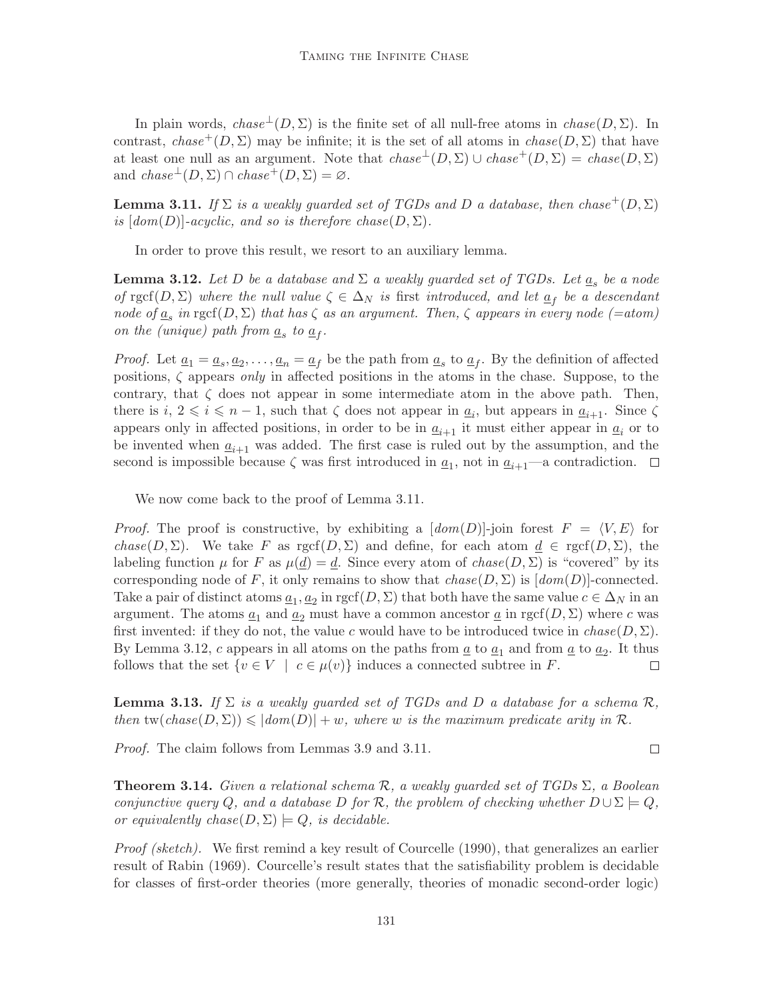In plain words,  $chase^{\perp}(D, \Sigma)$  is the finite set of all null-free atoms in  $chase(D, \Sigma)$ . In contrast, chase<sup>+</sup>( $D$ ,  $\Sigma$ ) may be infinite; it is the set of all atoms in chase( $D$ ,  $\Sigma$ ) that have at least one null as an argument. Note that  $chase^{\perp}(D, \Sigma) \cup chase^+(D, \Sigma) = chase(D, \Sigma)$ and  $chase^{\perp}(D, \Sigma) \cap chase^{\perp}(D, \Sigma) = \emptyset$ .

**Lemma 3.11.** If  $\Sigma$  is a weakly quarded set of TGDs and D a database, then chase<sup>+</sup>(D,  $\Sigma$ ) is  $[dom(D)]$ -acyclic, and so is therefore chase $(D, \Sigma)$ .

In order to prove this result, we resort to an auxiliary lemma.

**Lemma 3.12.** Let D be a database and  $\Sigma$  a weakly guarded set of TGDs. Let  $\underline{a}_s$  be a node of rgcf(D,  $\Sigma$ ) where the null value  $\zeta \in \Delta_N$  is first introduced, and let  $\underline{a}_f$  be a descendant node of  $\underline{a}_s$  in  $\text{rgcf}(D, \Sigma)$  that has  $\zeta$  as an argument. Then,  $\zeta$  appears in every node (=atom) on the (unique) path from  $\underline{a}_s$  to  $\underline{a}_f$ .

*Proof.* Let  $\underline{a}_1 = \underline{a}_s, \underline{a}_2, \ldots, \underline{a}_n = \underline{a}_f$  be the path from  $\underline{a}_s$  to  $\underline{a}_f$ . By the definition of affected positions,  $\zeta$  appears only in affected positions in the atoms in the chase. Suppose, to the contrary, that  $\zeta$  does not appear in some intermediate atom in the above path. Then, there is  $i, 2 \leq i \leq n-1$ , such that  $\zeta$  does not appear in  $\underline{a}_i$ , but appears in  $\underline{a}_{i+1}$ . Since  $\zeta$ appears only in affected positions, in order to be in  $\underline{a}_{i+1}$  it must either appear in  $\underline{a}_i$  or to be invented when  $\underline{a}_{i+1}$  was added. The first case is ruled out by the assumption, and the second is impossible because  $\zeta$  was first introduced in  $\underline{a}_1$ , not in  $\underline{a}_{i+1}$ —a contradiction.

We now come back to the proof of Lemma 3.11.

*Proof.* The proof is constructive, by exhibiting a  $\text{dom}(D)$ -join forest  $F = \langle V, E \rangle$  for chase(D,  $\Sigma$ ). We take F as rgcf(D,  $\Sigma$ ) and define, for each atom  $d \in \text{rgef}(D, \Sigma)$ , the labeling function  $\mu$  for F as  $\mu(d) = d$ . Since every atom of chase( $D, \Sigma$ ) is "covered" by its corresponding node of F, it only remains to show that  $chase(D, \Sigma)$  is  $[dom(D)]$ -connected. Take a pair of distinct atoms  $\underline{a}_1, \underline{a}_2$  in rgcf(D,  $\Sigma$ ) that both have the same value  $c \in \Delta_N$  in an argument. The atoms  $\underline{a}_1$  and  $\underline{a}_2$  must have a common ancestor  $\underline{a}$  in rgcf $(D, \Sigma)$  where c was first invented: if they do not, the value c would have to be introduced twice in  $chase(D, \Sigma)$ . By Lemma 3.12, c appears in all atoms on the paths from  $\underline{a}$  to  $\underline{a}_1$  and from  $\underline{a}$  to  $\underline{a}_2$ . It thus follows that the set  $\{v \in V \mid c \in \mu(v)\}\$  induces a connected subtree in F.  $\Box$ 

**Lemma 3.13.** If  $\Sigma$  is a weakly quarded set of TGDs and D a database for a schema  $\mathcal{R}$ , then tw(chase( $D, \Sigma$ ))  $\leqslant |dom(D)| + w$ , where w is the maximum predicate arity in  $\mathcal{R}$ .

Proof. The claim follows from Lemmas 3.9 and 3.11.

**Theorem 3.14.** Given a relational schema  $\mathcal{R}$ , a weakly quarded set of TGDs  $\Sigma$ , a Boolean conjunctive query Q, and a database D for R, the problem of checking whether  $D \cup \Sigma \models Q$ , or equivalently chase $(D, \Sigma) \models Q$ , is decidable.

Proof (sketch). We first remind a key result of Courcelle (1990), that generalizes an earlier result of Rabin (1969). Courcelle's result states that the satisfiability problem is decidable for classes of first-order theories (more generally, theories of monadic second-order logic)

 $\Box$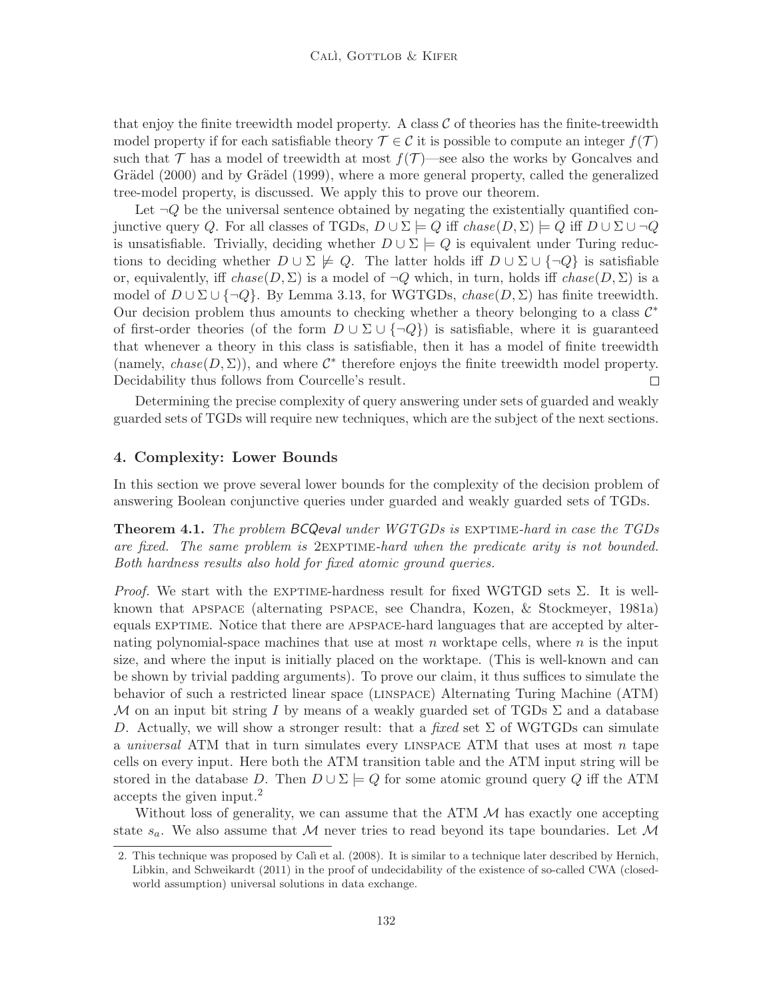that enjoy the finite treewidth model property. A class  $C$  of theories has the finite-treewidth model property if for each satisfiable theory  $\mathcal{T} \in \mathcal{C}$  it is possible to compute an integer  $f(\mathcal{T})$ such that  $\mathcal T$  has a model of treewidth at most  $f(\mathcal T)$ —see also the works by Goncalves and Grädel (2000) and by Grädel (1999), where a more general property, called the generalized tree-model property, is discussed. We apply this to prove our theorem.

Let  $\neg Q$  be the universal sentence obtained by negating the existentially quantified conjunctive query Q. For all classes of TGDs,  $D \cup \Sigma \models Q$  iff  $chase(D, \Sigma) \models Q$  iff  $D \cup \Sigma \cup \neg Q$ is unsatisfiable. Trivially, deciding whether  $D \cup \Sigma \models Q$  is equivalent under Turing reductions to deciding whether  $D \cup \Sigma \not\models Q$ . The latter holds iff  $D \cup \Sigma \cup \{\neg Q\}$  is satisfiable or, equivalently, iff  $chase(D, \Sigma)$  is a model of  $\neg Q$  which, in turn, holds iff  $chase(D, \Sigma)$  is a model of  $D \cup \Sigma \cup \{\neg Q\}$ . By Lemma 3.13, for WGTGDs,  $chase(D, \Sigma)$  has finite treewidth. Our decision problem thus amounts to checking whether a theory belonging to a class  $\mathcal{C}^*$ of first-order theories (of the form  $D \cup \Sigma \cup \{\neg Q\}$ ) is satisfiable, where it is guaranteed that whenever a theory in this class is satisfiable, then it has a model of finite treewidth (namely,  $chase(D, \Sigma)$ ), and where  $\mathcal{C}^*$  therefore enjoys the finite treewidth model property. Decidability thus follows from Courcelle's result.  $\Box$ 

Determining the precise complexity of query answering under sets of guarded and weakly guarded sets of TGDs will require new techniques, which are the subject of the next sections.

# 4. Complexity: Lower Bounds

In this section we prove several lower bounds for the complexity of the decision problem of answering Boolean conjunctive queries under guarded and weakly guarded sets of TGDs.

**Theorem 4.1.** The problem BCQeval under WGTGDs is EXPTIME-hard in case the TGDs are fixed. The same problem is 2EXPTIME-hard when the predicate arity is not bounded. Both hardness results also hold for fixed atomic ground queries.

*Proof.* We start with the EXPTIME-hardness result for fixed WGTGD sets  $\Sigma$ . It is wellknown that apspace (alternating pspace, see Chandra, Kozen, & Stockmeyer, 1981a) equals exptime. Notice that there are apspace-hard languages that are accepted by alternating polynomial-space machines that use at most n worktape cells, where  $n$  is the input size, and where the input is initially placed on the worktape. (This is well-known and can be shown by trivial padding arguments). To prove our claim, it thus suffices to simulate the behavior of such a restricted linear space (linspace) Alternating Turing Machine (ATM) M on an input bit string I by means of a weakly guarded set of TGDs  $\Sigma$  and a database D. Actually, we will show a stronger result: that a fixed set  $\Sigma$  of WGTGDs can simulate a *universal* ATM that in turn simulates every LINSPACE ATM that uses at most n tape cells on every input. Here both the ATM transition table and the ATM input string will be stored in the database D. Then  $D \cup \Sigma \models Q$  for some atomic ground query Q iff the ATM accepts the given input.<sup>2</sup>

Without loss of generality, we can assume that the ATM  $M$  has exactly one accepting state  $s_a$ . We also assume that M never tries to read beyond its tape boundaries. Let M

<sup>2.</sup> This technique was proposed by Calì et al. (2008). It is similar to a technique later described by Hernich, Libkin, and Schweikardt (2011) in the proof of undecidability of the existence of so-called CWA (closedworld assumption) universal solutions in data exchange.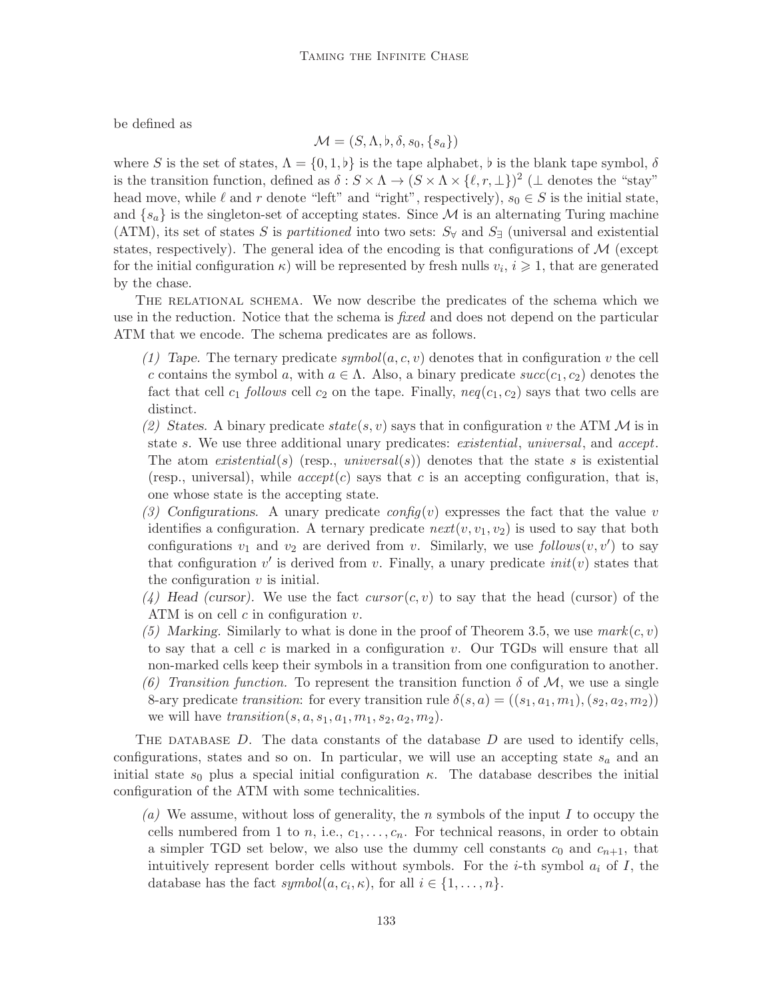be defined as

$$
\mathcal{M} = (S, \Lambda, \flat, \delta, s_0, \{s_a\})
$$

where S is the set of states,  $\Lambda = \{0, 1, \mathfrak{b}\}\$ is the tape alphabet,  $\mathfrak{b}$  is the blank tape symbol,  $\delta$ is the transition function, defined as  $\delta: S \times \Lambda \to (S \times \Lambda \times \{\ell, r, \bot\})^2$  ( $\bot$  denotes the "stay" head move, while  $\ell$  and r denote "left" and "right", respectively),  $s_0 \in S$  is the initial state, and  $\{s_a\}$  is the singleton-set of accepting states. Since M is an alternating Turing machine (ATM), its set of states S is partitioned into two sets:  $S_{\forall}$  and  $S_{\exists}$  (universal and existential states, respectively). The general idea of the encoding is that configurations of  $\mathcal{M}$  (except for the initial configuration  $\kappa$ ) will be represented by fresh nulls  $v_i, i \geq 1$ , that are generated by the chase.

THE RELATIONAL SCHEMA. We now describe the predicates of the schema which we use in the reduction. Notice that the schema is *fixed* and does not depend on the particular ATM that we encode. The schema predicates are as follows.

- (1) Tape. The ternary predicate  $symbol(a, c, v)$  denotes that in configuration v the cell c contains the symbol a, with  $a \in \Lambda$ . Also, a binary predicate  $succ(c_1, c_2)$  denotes the fact that cell  $c_1$  follows cell  $c_2$  on the tape. Finally,  $neq(c_1, c_2)$  says that two cells are distinct.
- (2) States. A binary predicate  $state(s, v)$  says that in configuration v the ATM M is in state s. We use three additional unary predicates: *existential*, *universal*, and *accept*. The atom existential(s) (resp., universal(s)) denotes that the state s is existential (resp., universal), while  $accept(c)$  says that c is an accepting configuration, that is, one whose state is the accepting state.
- (3) Configurations. A unary predicate  $\mathit{config}(v)$  expresses the fact that the value v identifies a configuration. A ternary predicate  $next(v, v_1, v_2)$  is used to say that both configurations  $v_1$  and  $v_2$  are derived from v. Similarly, we use  $follows(v, v')$  to say that configuration  $v'$  is derived from v. Finally, a unary predicate  $init(v)$  states that the configuration  $v$  is initial.
- $(4)$  Head (cursor). We use the fact cursor  $(c, v)$  to say that the head (cursor) of the ATM is on cell  $c$  in configuration  $v$ .
- (5) Marking. Similarly to what is done in the proof of Theorem 3.5, we use  $mark(c, v)$ to say that a cell  $c$  is marked in a configuration  $v$ . Our TGDs will ensure that all non-marked cells keep their symbols in a transition from one configuration to another.
- (6) Transition function. To represent the transition function  $\delta$  of  $\mathcal{M}$ , we use a single 8-ary predicate transition: for every transition rule  $\delta(s, a) = ((s_1, a_1, m_1), (s_2, a_2, m_2))$ we will have  $transition(s, a, s_1, a_1, m_1, s_2, a_2, m_2)$ .

THE DATABASE  $D$ . The data constants of the database  $D$  are used to identify cells, configurations, states and so on. In particular, we will use an accepting state  $s_a$  and an initial state  $s_0$  plus a special initial configuration κ. The database describes the initial configuration of the ATM with some technicalities.

(a) We assume, without loss of generality, the n symbols of the input I to occupy the cells numbered from 1 to n, i.e.,  $c_1, \ldots, c_n$ . For technical reasons, in order to obtain a simpler TGD set below, we also use the dummy cell constants  $c_0$  and  $c_{n+1}$ , that intuitively represent border cells without symbols. For the *i*-th symbol  $a_i$  of  $I$ , the database has the fact  $symbol(a, c_i, \kappa)$ , for all  $i \in \{1, \ldots, n\}$ .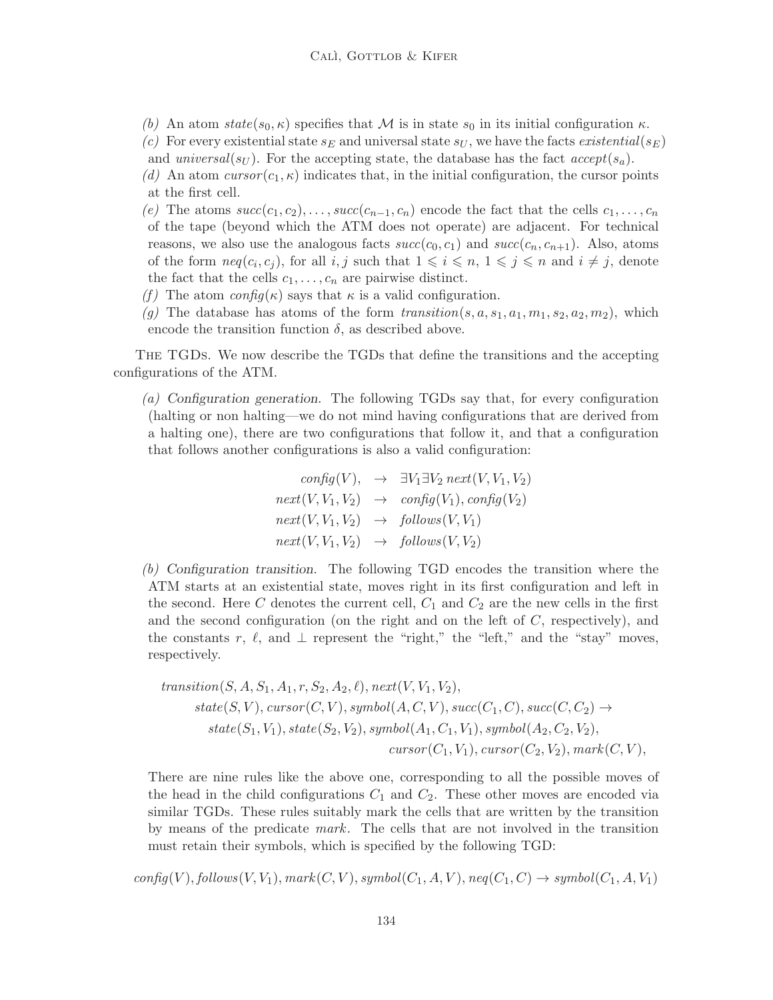- (b) An atom state(s<sub>0</sub>,  $\kappa$ ) specifies that M is in state s<sub>0</sub> in its initial configuration  $\kappa$ .
- (c) For every existential state  $s_E$  and universal state  $s_U$ , we have the facts existential( $s_E$ ) and universal $(s_U)$ . For the accepting state, the database has the fact  $accept(s_a)$ .
- (d) An atom cursor  $(c_1, \kappa)$  indicates that, in the initial configuration, the cursor points at the first cell.
- (e) The atoms  $succ(c_1, c_2), \ldots, succ(c_{n-1}, c_n)$  encode the fact that the cells  $c_1, \ldots, c_n$ of the tape (beyond which the ATM does not operate) are adjacent. For technical reasons, we also use the analogous facts  $succ(c_0, c_1)$  and  $succ(c_n, c_{n+1})$ . Also, atoms of the form  $neq(c_i, c_j)$ , for all  $i, j$  such that  $1 \leq i \leq n$ ,  $1 \leq j \leq n$  and  $i \neq j$ , denote the fact that the cells  $c_1, \ldots, c_n$  are pairwise distinct.
- (f) The atom  $\text{config}(\kappa)$  says that  $\kappa$  is a valid configuration.
- (g) The database has atoms of the form  $transition(s, a, s_1, a_1, m_1, s_2, a_2, m_2)$ , which encode the transition function  $\delta$ , as described above.

The TGDs. We now describe the TGDs that define the transitions and the accepting configurations of the ATM.

(a) Configuration generation. The following TGDs say that, for every configuration (halting or non halting—we do not mind having configurations that are derived from a halting one), there are two configurations that follow it, and that a configuration that follows another configurations is also a valid configuration:

$$
config(V), \rightarrow \exists V_1 \exists V_2 \, next(V, V_1, V_2)
$$
  
next(V, V\_1, V\_2)  $\rightarrow$  config(V\_1), config(V\_2)  
next(V, V\_1, V\_2)  $\rightarrow$  follows(V, V\_1)  
next(V, V\_1, V\_2)  $\rightarrow$  follows(V, V\_2)

(b) Configuration transition. The following TGD encodes the transition where the ATM starts at an existential state, moves right in its first configuration and left in the second. Here C denotes the current cell,  $C_1$  and  $C_2$  are the new cells in the first and the second configuration (on the right and on the left of  $C$ , respectively), and the constants r,  $\ell$ , and  $\bot$  represent the "right," the "left," and the "stay" moves, respectively.

$$
transition(S, A, S_1, A_1, r, S_2, A_2, \ell), next(V, V_1, V_2),
$$
  
\n
$$
state(S, V), cursor(C, V), symbol(A, C, V), succ(C_1, C), succ(C, C_2) \rightarrow
$$
  
\n
$$
state(S_1, V_1), state(S_2, V_2), symbol(A_1, C_1, V_1), symbol(A_2, C_2, V_2),
$$
  
\n
$$
cursor(C_1, V_1), cursor(C_2, V_2), mark(C, V),
$$

There are nine rules like the above one, corresponding to all the possible moves of the head in the child configurations  $C_1$  and  $C_2$ . These other moves are encoded via similar TGDs. These rules suitably mark the cells that are written by the transition by means of the predicate mark. The cells that are not involved in the transition must retain their symbols, which is specified by the following TGD:

 $config(V), follows(V, V_1), mark(C, V), symbol(C_1, A, V), neg(C_1, C) \rightarrow symbol(C_1, A, V_1)$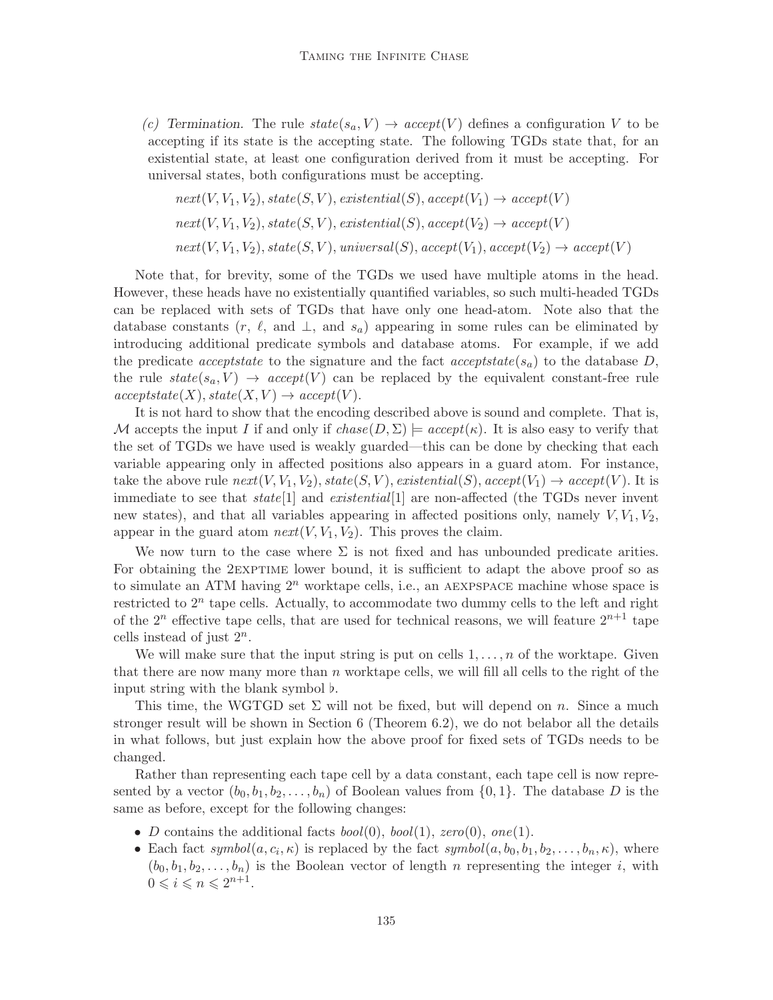(c) Termination. The rule  $state(s_a, V) \rightarrow accept(V)$  defines a configuration V to be accepting if its state is the accepting state. The following TGDs state that, for an existential state, at least one configuration derived from it must be accepting. For universal states, both configurations must be accepting.

$$
next(V, V_1, V_2), state(S, V), existential(S), accept(V_1) \rightarrow accept(V)
$$
  

$$
next(V, V_1, V_2), state(S, V), existential(S), accept(V_2) \rightarrow accept(V)
$$
  

$$
next(V, V_1, V_2), state(S, V), universal(S), accept(V_1), accept(V_2) \rightarrow accept(V)
$$

Note that, for brevity, some of the TGDs we used have multiple atoms in the head. However, these heads have no existentially quantified variables, so such multi-headed TGDs can be replaced with sets of TGDs that have only one head-atom. Note also that the database constants  $(r, \ell, \text{ and } \perp, \text{ and } s_a)$  appearing in some rules can be eliminated by introducing additional predicate symbols and database atoms. For example, if we add the predicate *acceptstate* to the signature and the fact *acceptstate*( $s_a$ ) to the database D, the rule  $state(s_a, V) \rightarrow accept(V)$  can be replaced by the equivalent constant-free rule  $acceptstate(X), state(X, V) \rightarrow accept(V).$ 

It is not hard to show that the encoding described above is sound and complete. That is, M accepts the input I if and only if  $chase(D, \Sigma) \models accept(\kappa)$ . It is also easy to verify that the set of TGDs we have used is weakly guarded—this can be done by checking that each variable appearing only in affected positions also appears in a guard atom. For instance, take the above rule  $next(V, V_1, V_2)$ , state(S, V), existential(S), accept(V<sub>1</sub>)  $\rightarrow accept(V)$ . It is immediate to see that  $state[1]$  and  $existential[1]$  are non-affected (the TGDs never invent new states), and that all variables appearing in affected positions only, namely  $V, V_1, V_2$ , appear in the guard atom  $next(V, V_1, V_2)$ . This proves the claim.

We now turn to the case where  $\Sigma$  is not fixed and has unbounded predicate arities. For obtaining the 2EXPTIME lower bound, it is sufficient to adapt the above proof so as to simulate an ATM having  $2^n$  worktape cells, i.e., an AEXPSPACE machine whose space is restricted to  $2<sup>n</sup>$  tape cells. Actually, to accommodate two dummy cells to the left and right of the  $2^n$  effective tape cells, that are used for technical reasons, we will feature  $2^{n+1}$  tape cells instead of just  $2^n$ .

We will make sure that the input string is put on cells  $1, \ldots, n$  of the worktape. Given that there are now many more than  $n$  worktape cells, we will fill all cells to the right of the input string with the blank symbol ♭.

This time, the WGTGD set  $\Sigma$  will not be fixed, but will depend on n. Since a much stronger result will be shown in Section 6 (Theorem 6.2), we do not belabor all the details in what follows, but just explain how the above proof for fixed sets of TGDs needs to be changed.

Rather than representing each tape cell by a data constant, each tape cell is now represented by a vector  $(b_0, b_1, b_2, \ldots, b_n)$  of Boolean values from  $\{0, 1\}$ . The database D is the same as before, except for the following changes:

- D contains the additional facts  $bool(0), bool(1), zero(0), one(1).$
- Each fact symbol $(a, c_i, \kappa)$  is replaced by the fact symbol $(a, b_0, b_1, b_2, \ldots, b_n, \kappa)$ , where  $(b_0, b_1, b_2, \ldots, b_n)$  is the Boolean vector of length n representing the integer i, with  $0 \leqslant i \leqslant n \leqslant 2^{n+1}.$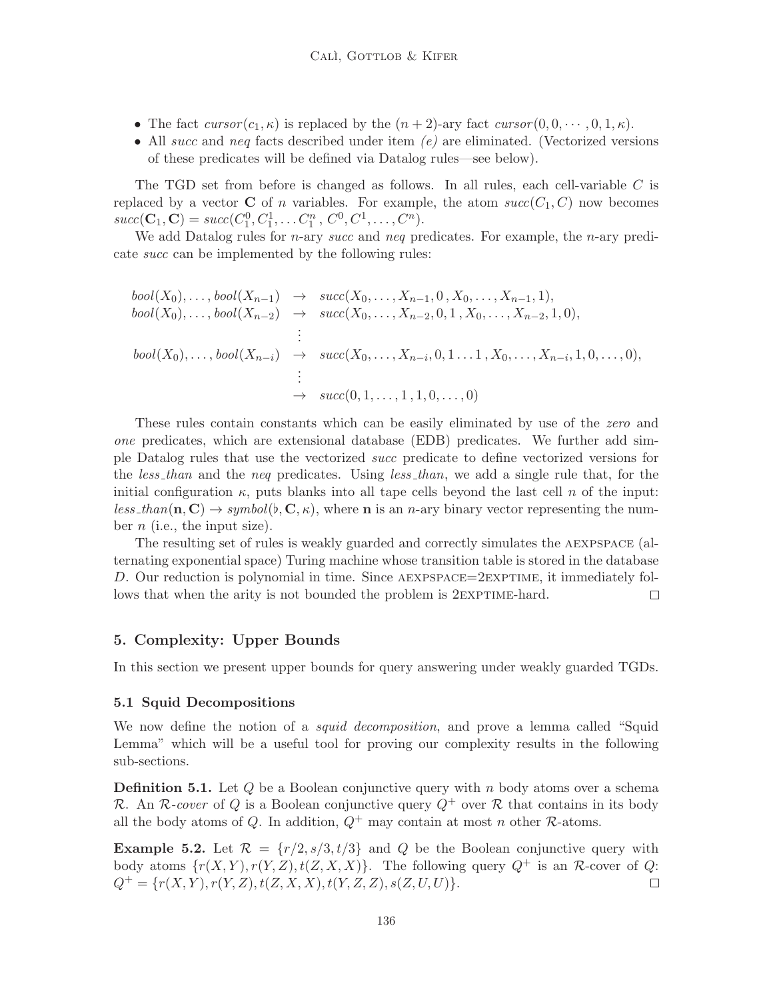- The fact  $\text{cursor}(c_1, \kappa)$  is replaced by the  $(n+2)$ -ary fact  $\text{cursor}(0, 0, \dots, 0, 1, \kappa)$ .
- All succ and neg facts described under item  $(e)$  are eliminated. (Vectorized versions of these predicates will be defined via Datalog rules—see below).

The TGD set from before is changed as follows. In all rules, each cell-variable C is replaced by a vector **C** of *n* variables. For example, the atom  $succ(C_1, C)$  now becomes  $succ(\mathbf{C}_1, \mathbf{C}) = succ(C_1^0, C_1^1, \dots C_1^n, C^0, C^1, \dots, C^n).$ 

We add Datalog rules for *n*-ary *succ* and *neq* predicates. For example, the *n*-ary predicate succ can be implemented by the following rules:

$$
bool(X_0),...,bool(X_{n-1}) \rightarrow succ(X_0,...,X_{n-1}, 0, X_0,...,X_{n-1}, 1),\nbool(X_0),...,bool(X_{n-2}) \rightarrow succ(X_0,...,X_{n-2}, 0, 1, X_0,...,X_{n-2}, 1, 0),\n
$$
bool(X_0),...,bool(X_{n-i}) \rightarrow succ(X_0,...,X_{n-i}, 0, 1...1, X_0,...,X_{n-i}, 1, 0,..., 0),\n
$$
succ(0, 1,..., 1, 1, 0,..., 0)
$$
$$
$$

These rules contain constants which can be easily eliminated by use of the zero and one predicates, which are extensional database (EDB) predicates. We further add simple Datalog rules that use the vectorized succ predicate to define vectorized versions for the *less than* and the *neq* predicates. Using *less than*, we add a single rule that, for the initial configuration  $\kappa$ , puts blanks into all tape cells beyond the last cell n of the input:  $less\_than(\mathbf{n}, \mathbf{C}) \rightarrow symbol(\mathfrak{b}, \mathbf{C}, \kappa)$ , where **n** is an *n*-ary binary vector representing the number  $n$  (i.e., the input size).

The resulting set of rules is weakly guarded and correctly simulates the AEXPSPACE (alternating exponential space) Turing machine whose transition table is stored in the database D. Our reduction is polynomial in time. Since  $AEXPSPACE = 2EXPTIME$ , it immediately follows that when the arity is not bounded the problem is  $2EXTIME-hard$ .  $\Box$ 

# 5. Complexity: Upper Bounds

In this section we present upper bounds for query answering under weakly guarded TGDs.

### 5.1 Squid Decompositions

We now define the notion of a *squid decomposition*, and prove a lemma called "Squid" Lemma" which will be a useful tool for proving our complexity results in the following sub-sections.

**Definition 5.1.** Let  $Q$  be a Boolean conjunctive query with  $n$  body atoms over a schema R. An R-cover of Q is a Boolean conjunctive query  $Q^+$  over R that contains in its body all the body atoms of Q. In addition,  $Q^+$  may contain at most n other R-atoms.

**Example 5.2.** Let  $\mathcal{R} = \{r/2, s/3, t/3\}$  and Q be the Boolean conjunctive query with body atoms  $\{r(X, Y), r(Y, Z), t(Z, X, X)\}.$  The following query  $Q^+$  is an R-cover of Q:  $Q^+ = \{r(X, Y), r(Y, Z), t(Z, X, X), t(Y, Z, Z), s(Z, U, U)\}.$  $\Box$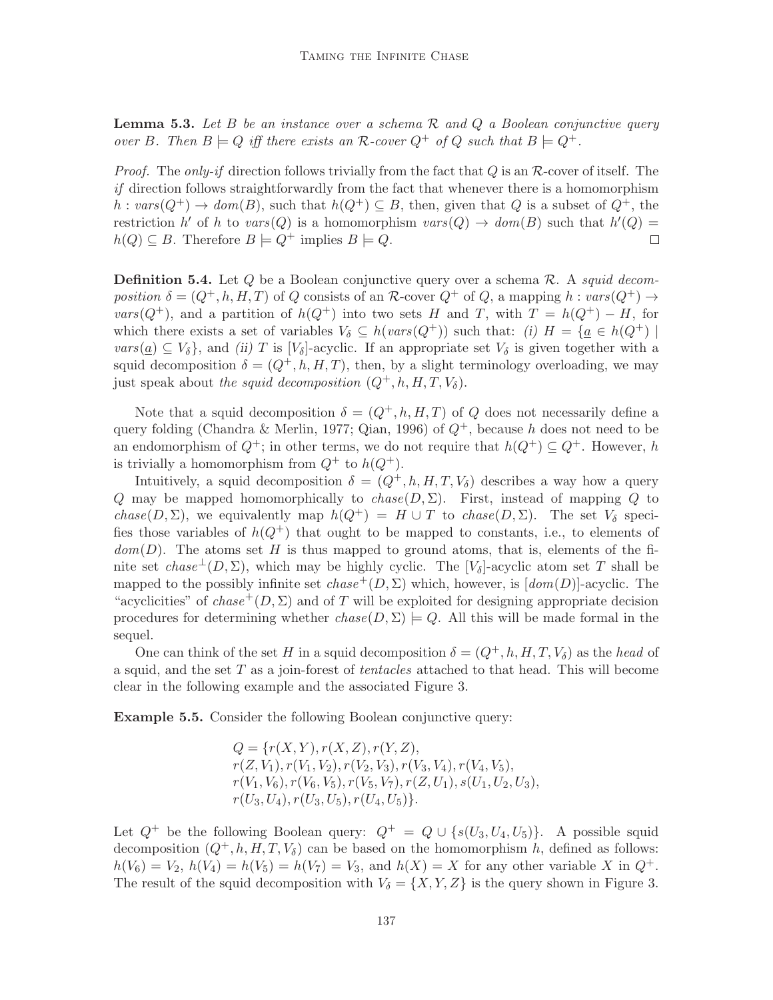**Lemma 5.3.** Let B be an instance over a schema  $\mathcal{R}$  and  $Q$  a Boolean conjunctive query over B. Then  $B \models Q$  iff there exists an R-cover  $Q^+$  of Q such that  $B \models Q^+$ .

*Proof.* The *only-if* direction follows trivially from the fact that Q is an R-cover of itself. The if direction follows straightforwardly from the fact that whenever there is a homomorphism  $h: vars(Q^+) \to dom(B)$ , such that  $h(Q^+) \subseteq B$ , then, given that Q is a subset of  $Q^+$ , the restriction h' of h to vars(Q) is a homomorphism vars(Q)  $\rightarrow dom(B)$  such that  $h'(Q)$  =  $h(Q) \subseteq B$ . Therefore  $B \models Q^+$  implies  $B \models Q$ .  $\Box$ 

**Definition 5.4.** Let Q be a Boolean conjunctive query over a schema  $\mathcal{R}$ . A squid decomposition  $\delta = (Q^+, h, H, T)$  of Q consists of an R-cover  $Q^+$  of Q, a mapping  $h : vars(Q^+) \rightarrow$ vars( $Q^+$ ), and a partition of  $h(Q^+)$  into two sets H and T, with  $T = h(Q^+) - H$ , for which there exists a set of variables  $V_{\delta} \subseteq h(vars(Q^+))$  such that: (i)  $H = \{ \underline{a} \in h(Q^+) \mid$  $vars(\underline{a}) \subseteq V_{\delta}$ , and (ii) T is [V<sub>δ</sub>]-acyclic. If an appropriate set V<sub>δ</sub> is given together with a squid decomposition  $\delta = (Q^+, h, H, T)$ , then, by a slight terminology overloading, we may just speak about the squid decomposition  $(Q^+, h, H, T, V_\delta)$ .

Note that a squid decomposition  $\delta = (Q^+, h, H, T)$  of Q does not necessarily define a query folding (Chandra & Merlin, 1977; Qian, 1996) of  $Q^+$ , because h does not need to be an endomorphism of  $Q^+$ ; in other terms, we do not require that  $h(Q^+) \subset Q^+$ . However, h is trivially a homomorphism from  $Q^+$  to  $h(Q^+)$ .

Intuitively, a squid decomposition  $\delta = (Q^+, h, H, T, V_\delta)$  describes a way how a query Q may be mapped homomorphically to  $chase(D, \Sigma)$ . First, instead of mapping Q to chase(D, Σ), we equivalently map  $h(Q^+) = H \cup T$  to chase(D, Σ). The set  $V_\delta$  specifies those variables of  $h(Q^+)$  that ought to be mapped to constants, i.e., to elements of  $dom(D)$ . The atoms set H is thus mapped to ground atoms, that is, elements of the finite set chase<sup>⊥</sup>(D,  $\Sigma$ ), which may be highly cyclic. The [V<sub>δ</sub>]-acyclic atom set T shall be mapped to the possibly infinite set  $chase^+(D, \Sigma)$  which, however, is  $[dom(D)]$ -acyclic. The "acyclicities" of chase<sup>+</sup>( $D, \Sigma$ ) and of T will be exploited for designing appropriate decision procedures for determining whether  $chase(D, \Sigma) \models Q$ . All this will be made formal in the sequel.

One can think of the set H in a squid decomposition  $\delta = (Q^+, h, H, T, V_\delta)$  as the head of a squid, and the set T as a join-forest of tentacles attached to that head. This will become clear in the following example and the associated Figure 3.

Example 5.5. Consider the following Boolean conjunctive query:

 $Q = \{r(X, Y), r(X, Z), r(Y, Z),$  $r(Z, V_1), r(V_1, V_2), r(V_2, V_3), r(V_3, V_4), r(V_4, V_5),$  $r(V_1, V_6), r(V_6, V_5), r(V_5, V_7), r(Z, U_1), s(U_1, U_2, U_3),$  $r(U_3, U_4), r(U_3, U_5), r(U_4, U_5)\}.$ 

Let  $Q^+$  be the following Boolean query:  $Q^+ = Q \cup \{s(U_3, U_4, U_5)\}\$ . A possible squid decomposition  $(Q^+, h, H, T, V_\delta)$  can be based on the homomorphism h, defined as follows:  $h(V_6) = V_2$ ,  $h(V_4) = h(V_5) = h(V_7) = V_3$ , and  $h(X) = X$  for any other variable X in  $Q^+$ . The result of the squid decomposition with  $V_{\delta} = \{X, Y, Z\}$  is the query shown in Figure 3.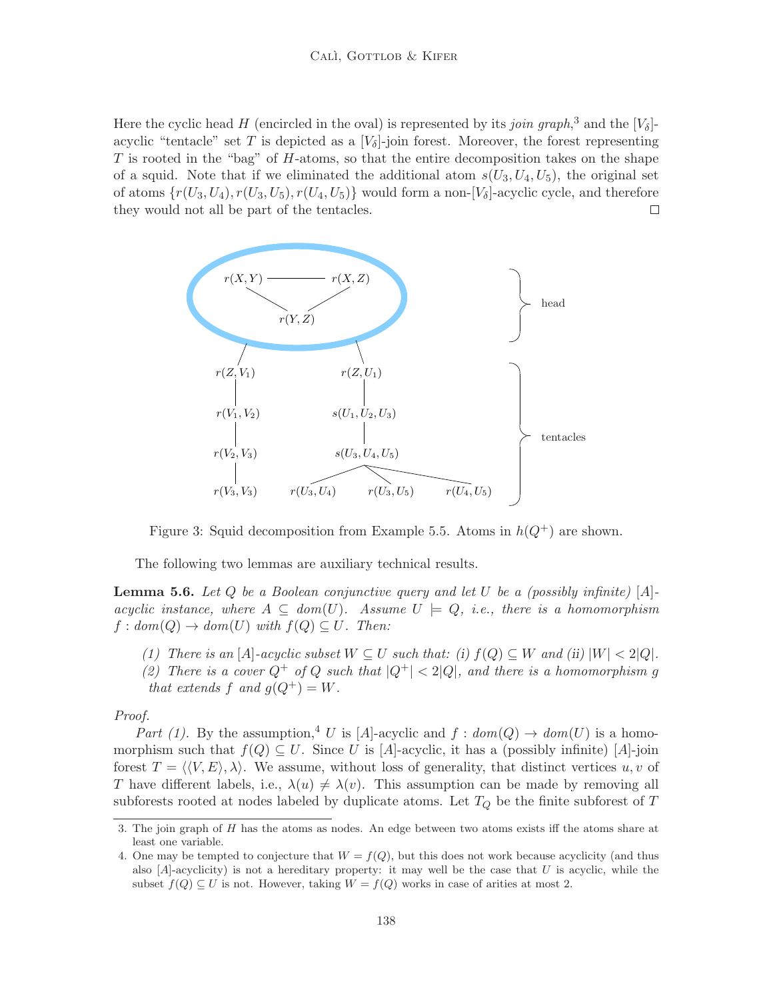#### Calì, Gottlob & Kifer

Here the cyclic head H (encircled in the oval) is represented by its *join graph*,<sup>3</sup> and the [ $V_{\delta}$ ]acyclic "tentacle" set T is depicted as a  $[V<sub>δ</sub>]$ -join forest. Moreover, the forest representing  $T$  is rooted in the "bag" of  $H$ -atoms, so that the entire decomposition takes on the shape of a squid. Note that if we eliminated the additional atom  $s(U_3, U_4, U_5)$ , the original set of atoms  $\{r(U_3, U_4), r(U_3, U_5), r(U_4, U_5)\}\$  would form a non- $[V_\delta]$ -acyclic cycle, and therefore they would not all be part of the tentacles.  $\Box$ 



Figure 3: Squid decomposition from Example 5.5. Atoms in  $h(Q^+)$  are shown.

The following two lemmas are auxiliary technical results.

**Lemma 5.6.** Let Q be a Boolean conjunctive query and let U be a (possibly infinite)  $[A]$ acyclic instance, where  $A \subseteq dom(U)$ . Assume  $U \models Q$ , i.e., there is a homomorphism  $f: dom(Q) \rightarrow dom(U)$  with  $f(Q) \subset U$ . Then:

- (1) There is an [A]-acyclic subset  $W \subseteq U$  such that: (i)  $f(Q) \subseteq W$  and (ii)  $|W| < 2|Q|$ .
- (2) There is a cover  $Q^+$  of Q such that  $|Q^+| < 2|Q|$ , and there is a homomorphism q that extends f and  $q(Q^+) = W$ .

#### Proof.

Part (1). By the assumption,<sup>4</sup> U is [A]-acyclic and  $f : dom(Q) \rightarrow dom(U)$  is a homomorphism such that  $f(Q) \subseteq U$ . Since U is [A]-acyclic, it has a (possibly infinite) [A]-join forest  $T = \langle \langle V, E \rangle, \lambda \rangle$ . We assume, without loss of generality, that distinct vertices u, v of T have different labels, i.e.,  $\lambda(u) \neq \lambda(v)$ . This assumption can be made by removing all subforests rooted at nodes labeled by duplicate atoms. Let  $T_Q$  be the finite subforest of T

<sup>3.</sup> The join graph of H has the atoms as nodes. An edge between two atoms exists iff the atoms share at least one variable.

<sup>4.</sup> One may be tempted to conjecture that  $W = f(Q)$ , but this does not work because acyclicity (and thus also  $[A]$ -acyclicity) is not a hereditary property: it may well be the case that U is acyclic, while the subset  $f(Q) \subseteq U$  is not. However, taking  $W = f(Q)$  works in case of arities at most 2.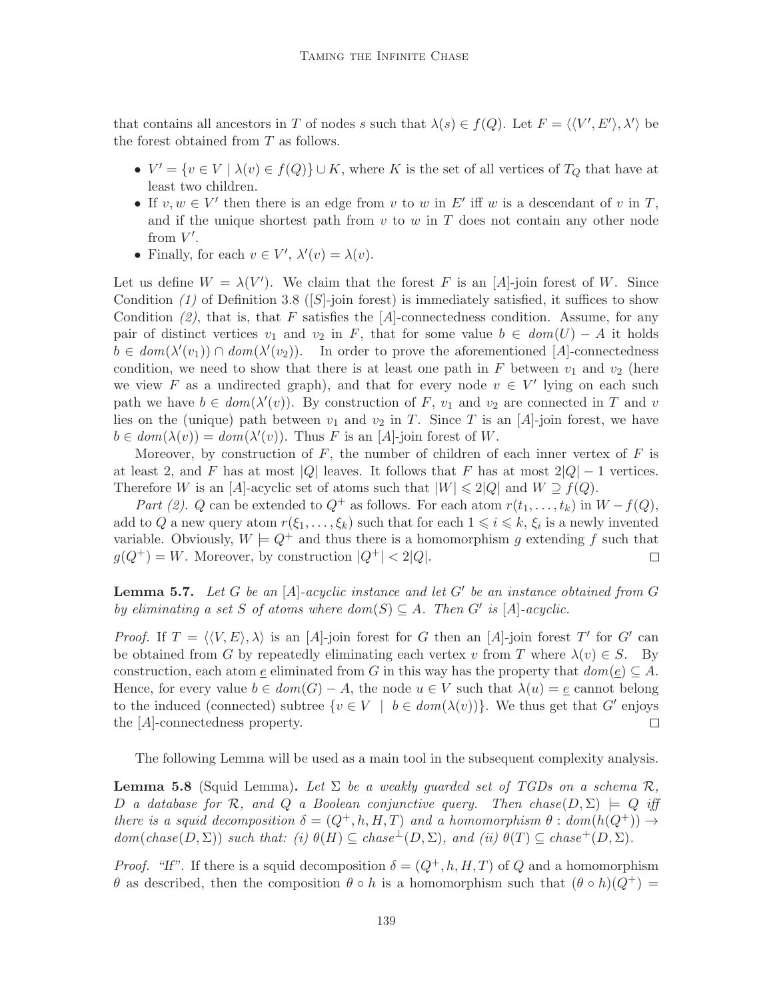that contains all ancestors in T of nodes s such that  $\lambda(s) \in f(Q)$ . Let  $F = \langle \langle V', E' \rangle, \lambda' \rangle$  be the forest obtained from T as follows.

- $V' = \{v \in V \mid \lambda(v) \in f(Q)\} \cup K$ , where K is the set of all vertices of  $T_Q$  that have at least two children.
- If  $v, w \in V'$  then there is an edge from v to w in E' iff w is a descendant of v in T, and if the unique shortest path from  $v$  to  $w$  in  $T$  does not contain any other node from  $V'$ .
- Finally, for each  $v \in V'$ ,  $\lambda'(v) = \lambda(v)$ .

Let us define  $W = \lambda(V')$ . We claim that the forest F is an [A]-join forest of W. Since Condition (1) of Definition 3.8 ([S]-join forest) is immediately satisfied, it suffices to show Condition  $(2)$ , that is, that F satisfies the [A]-connectedness condition. Assume, for any pair of distinct vertices  $v_1$  and  $v_2$  in F, that for some value  $b \in dom(U) - A$  it holds  $b \in dom(\lambda'(v_1)) \cap dom(\lambda'(v_2)).$  In order to prove the aforementioned [A]-connectedness condition, we need to show that there is at least one path in  $F$  between  $v_1$  and  $v_2$  (here we view F as a undirected graph), and that for every node  $v \in V'$  lying on each such path we have  $b \in dom(\lambda'(v))$ . By construction of F,  $v_1$  and  $v_2$  are connected in T and v lies on the (unique) path between  $v_1$  and  $v_2$  in T. Since T is an [A]-join forest, we have  $b \in dom(\lambda(v)) = dom(\lambda'(v))$ . Thus F is an [A]-join forest of W.

Moreover, by construction of  $F$ , the number of children of each inner vertex of  $F$  is at least 2, and F has at most |Q| leaves. It follows that F has at most  $2|Q| - 1$  vertices. Therefore W is an [A]-acyclic set of atoms such that  $|W| \leq 2|Q|$  and  $W \supseteq f(Q)$ .

Part (2). Q can be extended to  $Q^+$  as follows. For each atom  $r(t_1, \ldots, t_k)$  in  $W - f(Q)$ , add to Q a new query atom  $r(\xi_1,\ldots,\xi_k)$  such that for each  $1 \leq i \leq k, \xi_i$  is a newly invented variable. Obviously,  $W \models Q^+$  and thus there is a homomorphism g extending f such that  $g(Q^+) = W$ . Moreover, by construction  $|Q^+| < 2|Q|$ .  $\Box$ 

**Lemma 5.7.** Let G be an  $[A]$ -acyclic instance and let G' be an instance obtained from G by eliminating a set S of atoms where  $dom(S) \subseteq A$ . Then G' is [A]-acyclic.

Proof. If  $T = \langle \langle V, E \rangle, \lambda \rangle$  is an [A]-join forest for G then an [A]-join forest T' for G' can be obtained from G by repeatedly eliminating each vertex v from T where  $\lambda(v) \in S$ . By construction, each atom  $\underline{e}$  eliminated from G in this way has the property that  $dom(\underline{e}) \subseteq A$ . Hence, for every value  $b \in dom(G) - A$ , the node  $u \in V$  such that  $\lambda(u) = e$  cannot belong to the induced (connected) subtree  $\{v \in V \mid b \in dom(\lambda(v))\}$ . We thus get that G' enjoys the [A]-connectedness property.  $\Box$ 

The following Lemma will be used as a main tool in the subsequent complexity analysis.

**Lemma 5.8** (Squid Lemma). Let  $\Sigma$  be a weakly quarded set of TGDs on a schema  $\mathcal{R}$ , D a database for R, and Q a Boolean conjunctive query. Then chase $(D, \Sigma) \models Q$  iff there is a squid decomposition  $\delta = (Q^+, h, H, T)$  and a homomorphism  $\theta : dom(h(Q^+)) \rightarrow$  $dom(chase(D, \Sigma))$  such that: (i)  $\theta(H) \subseteq chase^{\perp}(D, \Sigma)$ , and (ii)  $\theta(T) \subseteq chase^+(D, \Sigma)$ .

*Proof.* "If". If there is a squid decomposition  $\delta = (Q^+, h, H, T)$  of Q and a homomorphism θ as described, then the composition θ ∘ h is a homomorphism such that  $(θ ∘ h)(Q<sup>+</sup>) =$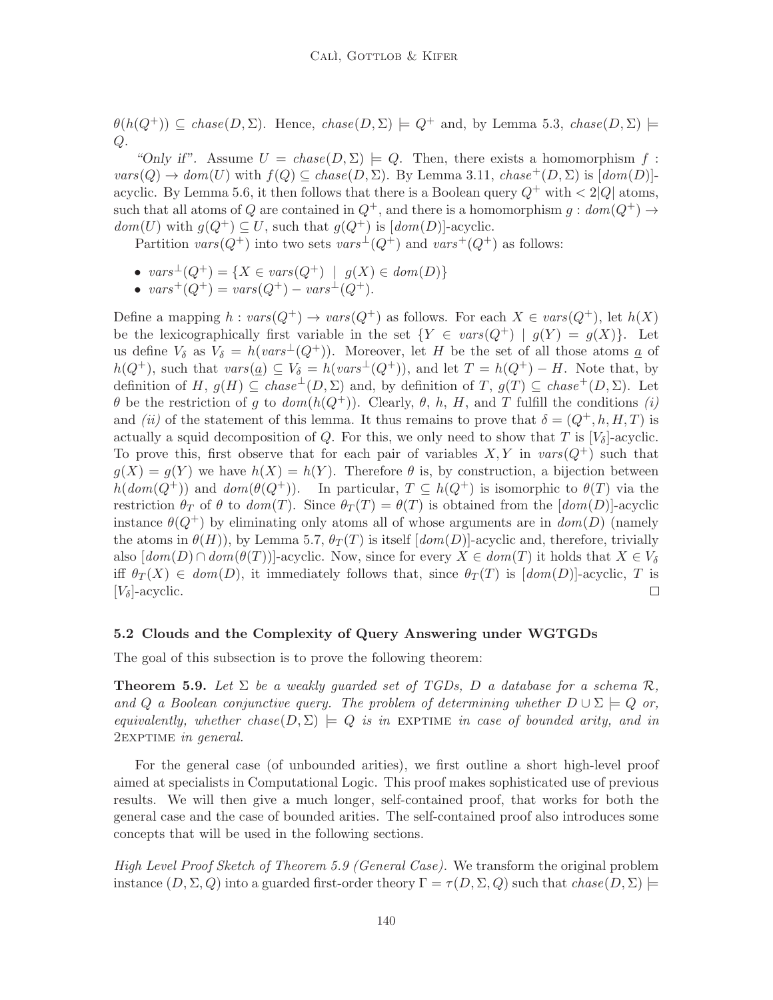$\theta(h(Q^+)) \subseteq \text{chase}(D, \Sigma)$ . Hence,  $\text{chase}(D, \Sigma) \models Q^+$  and, by Lemma 5.3,  $\text{chase}(D, \Sigma) \models$ Q.

"Only if". Assume  $U = \text{chase}(D, \Sigma) \models Q$ . Then, there exists a homomorphism f:  $vars(Q) \rightarrow dom(U)$  with  $f(Q) \subseteq chase(D, \Sigma)$ . By Lemma 3.11,  $chase^{+}(D, \Sigma)$  is  $[dom(D)]$ acyclic. By Lemma 5.6, it then follows that there is a Boolean query  $Q^+$  with  $\langle 2|Q|$  atoms, such that all atoms of Q are contained in  $Q^+$ , and there is a homomorphism  $g: dom(Q^+) \rightarrow$  $dom(U)$  with  $g(Q^+) \subseteq U$ , such that  $g(Q^+)$  is  $[dom(D)]$ -acyclic.

Partition vars $(Q^+)$  into two sets vars<sup> $\perp(Q^+)$ </sup> and vars<sup>+</sup> $(Q^+)$  as follows:

- $vars^{\perp}(Q^{+}) = \{ X \in vars(Q^{+}) \mid g(X) \in dom(D) \}$
- $vars^{+}(Q^{+}) = vars(Q^{+}) vars^{\perp}(Q^{+}).$

Define a mapping  $h : vars(Q^+) \rightarrow vars(Q^+)$  as follows. For each  $X \in vars(Q^+)$ , let  $h(X)$ be the lexicographically first variable in the set  $\{Y \in vars(Q^+) \mid g(Y) = g(X)\}\$ . Let us define  $V_{\delta}$  as  $V_{\delta} = h(vars^{\perp}(Q^+))$ . Moreover, let H be the set of all those atoms  $\underline{a}$  of  $h(Q^+)$ , such that  $vars(\underline{a}) \subseteq V_{\delta} = hvars^{\perp}(Q^+))$ , and let  $T = h(Q^+) - H$ . Note that, by definition of H,  $g(H) \subseteq \text{chase}^{\perp}(D, \Sigma)$  and, by definition of T,  $g(T) \subseteq \text{chase}^+(D, \Sigma)$ . Let θ be the restriction of g to  $dom(h(Q^+))$ . Clearly, θ, h, H, and T fulfill the conditions (i) and *(ii)* of the statement of this lemma. It thus remains to prove that  $\delta = (Q^+, h, H, T)$  is actually a squid decomposition of Q. For this, we only need to show that T is  $[V<sub>\delta</sub>]$ -acyclic. To prove this, first observe that for each pair of variables  $X, Y$  in vars $(Q^+)$  such that  $g(X) = g(Y)$  we have  $h(X) = h(Y)$ . Therefore  $\theta$  is, by construction, a bijection between  $h(dom(Q^+))$  and  $dom(\theta(Q^+))$ . In particular,  $T \subseteq h(Q^+)$  is isomorphic to  $\theta(T)$  via the restriction  $\theta_T$  of  $\theta$  to  $dom(T)$ . Since  $\theta_T(T) = \theta(T)$  is obtained from the  $[dom(D)]$ -acyclic instance  $\theta(Q^+)$  by eliminating only atoms all of whose arguments are in  $dom(D)$  (namely the atoms in  $\theta(H)$ , by Lemma 5.7,  $\theta_T(T)$  is itself  $dom(D)$ -acyclic and, therefore, trivially also  $[dom(D) \cap dom(\theta(T))]$ -acyclic. Now, since for every  $X \in dom(T)$  it holds that  $X \in V_{\delta}$ iff  $\theta_T(X) \in dom(D)$ , it immediately follows that, since  $\theta_T(T)$  is  $[dom(D)]$ -acyclic, T is  $[V_{\delta}]$ -acyclic.  $\Box$ 

### 5.2 Clouds and the Complexity of Query Answering under WGTGDs

The goal of this subsection is to prove the following theorem:

**Theorem 5.9.** Let  $\Sigma$  be a weakly guarded set of TGDs, D a database for a schema  $\mathcal{R}$ , and Q a Boolean conjunctive query. The problem of determining whether  $D \cup \Sigma \models Q$  or, equivalently, whether chase( $D, \Sigma$ ) = Q is in EXPTIME in case of bounded arity, and in 2exptime in general.

For the general case (of unbounded arities), we first outline a short high-level proof aimed at specialists in Computational Logic. This proof makes sophisticated use of previous results. We will then give a much longer, self-contained proof, that works for both the general case and the case of bounded arities. The self-contained proof also introduces some concepts that will be used in the following sections.

High Level Proof Sketch of Theorem 5.9 (General Case). We transform the original problem instance  $(D, \Sigma, Q)$  into a guarded first-order theory  $\Gamma = \tau(D, \Sigma, Q)$  such that  $chase(D, \Sigma) \models$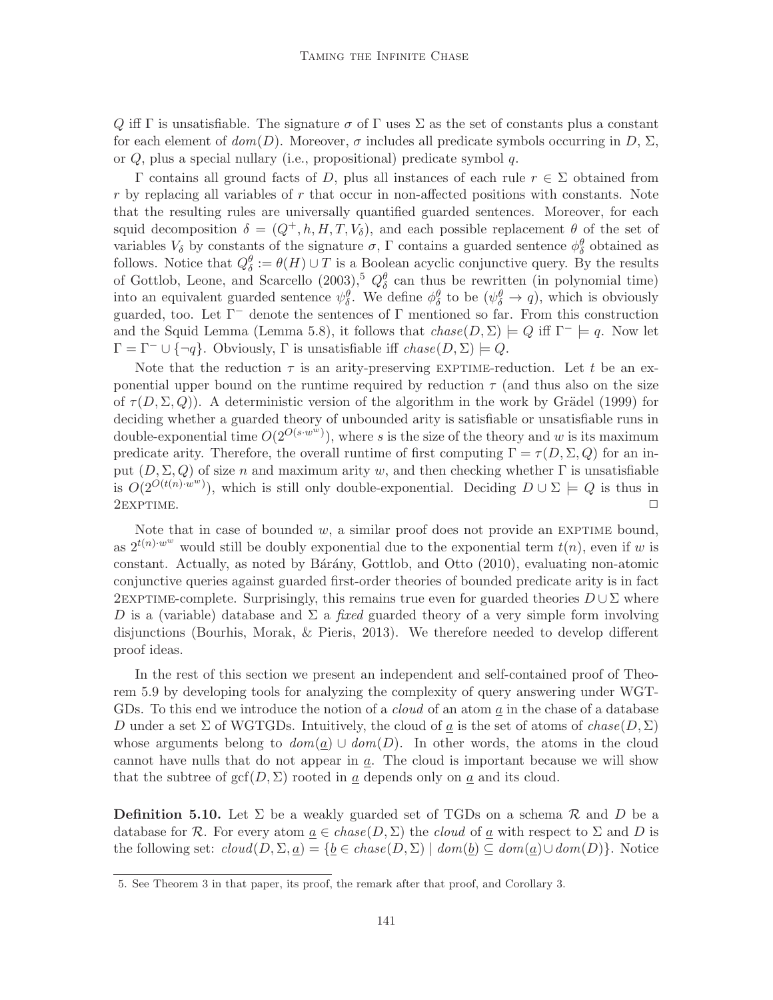Q iff Γ is unsatisfiable. The signature  $\sigma$  of Γ uses Σ as the set of constants plus a constant for each element of  $dom(D)$ . Moreover,  $\sigma$  includes all predicate symbols occurring in  $D, \Sigma$ , or  $Q$ , plus a special nullary (i.e., propositional) predicate symbol  $q$ .

Γ contains all ground facts of D, plus all instances of each rule r ∈ Σ obtained from  $r$  by replacing all variables of  $r$  that occur in non-affected positions with constants. Note that the resulting rules are universally quantified guarded sentences. Moreover, for each squid decomposition  $\delta = (Q^+, h, H, T, V_\delta)$ , and each possible replacement  $\theta$  of the set of variables  $V_{\delta}$  by constants of the signature  $\sigma$ ,  $\Gamma$  contains a guarded sentence  $\phi_{\delta}^{\theta}$  obtained as follows. Notice that  $Q_{\delta}^{\theta} := \theta(H) \cup T$  is a Boolean acyclic conjunctive query. By the results of Gottlob, Leone, and Scarcello  $(2003)$ ,<sup>5</sup>  $Q_{\delta}^{\theta}$  can thus be rewritten (in polynomial time) into an equivalent guarded sentence  $\psi_{\delta}^{\theta}$ . We define  $\phi_{\delta}^{\theta}$  to be  $(\psi_{\delta}^{\theta} \to q)$ , which is obviously guarded, too. Let  $\Gamma^-$  denote the sentences of  $\Gamma$  mentioned so far. From this construction and the Squid Lemma (Lemma 5.8), it follows that  $chase(D, \Sigma) \models Q$  iff  $\Gamma^- \models q$ . Now let  $\Gamma = \Gamma^- \cup \{\neg q\}.$  Obviously,  $\Gamma$  is unsatisfiable iff  $chase(D, \Sigma) \models Q.$ 

Note that the reduction  $\tau$  is an arity-preserving EXPTIME-reduction. Let t be an exponential upper bound on the runtime required by reduction  $\tau$  (and thus also on the size of  $\tau(D, \Sigma, Q)$ ). A deterministic version of the algorithm in the work by Grädel (1999) for deciding whether a guarded theory of unbounded arity is satisfiable or unsatisfiable runs in double-exponential time  $O(2^{O(s \cdot w^w)})$ , where s is the size of the theory and w is its maximum predicate arity. Therefore, the overall runtime of first computing  $\Gamma = \tau(D, \Sigma, Q)$  for an input  $(D, \Sigma, Q)$  of size n and maximum arity w, and then checking whether  $\Gamma$  is unsatisfiable is  $O(2^{O(t(n) \cdot w^w)})$ , which is still only double-exponential. Deciding  $D \cup \Sigma \models Q$  is thus in  $2$  exptime.  $\square$ 

Note that in case of bounded  $w$ , a similar proof does not provide an EXPTIME bound, as  $2^{t(n) \cdot w^w}$  would still be doubly exponential due to the exponential term  $t(n)$ , even if w is  $\alpha$ constant. Actually, as noted by Bárány, Gottlob, and Otto  $(2010)$ , evaluating non-atomic conjunctive queries against guarded first-order theories of bounded predicate arity is in fact 2EXPTIME-complete. Surprisingly, this remains true even for guarded theories  $D \cup \Sigma$  where D is a (variable) database and  $\Sigma$  a *fixed* guarded theory of a very simple form involving disjunctions (Bourhis, Morak, & Pieris, 2013). We therefore needed to develop different proof ideas.

In the rest of this section we present an independent and self-contained proof of Theorem 5.9 by developing tools for analyzing the complexity of query answering under WGT-GDs. To this end we introduce the notion of a *cloud* of an atom a in the chase of a database D under a set  $\Sigma$  of WGTGDs. Intuitively, the cloud of  $\underline{a}$  is the set of atoms of  $chase(D, \Sigma)$ whose arguments belong to  $dom(\underline{a}) \cup dom(D)$ . In other words, the atoms in the cloud cannot have nulls that do not appear in  $\underline{a}$ . The cloud is important because we will show that the subtree of  $\text{gcf}(D, \Sigma)$  rooted in <u>a</u> depends only on <u>a</u> and its cloud.

**Definition 5.10.** Let  $\Sigma$  be a weakly guarded set of TGDs on a schema  $\mathcal{R}$  and  $D$  be a database for R. For every atom  $\underline{a} \in \text{chase}(D, \Sigma)$  the cloud of  $\underline{a}$  with respect to  $\Sigma$  and  $D$  is the following set:  $cloud(D, \Sigma, \underline{a}) = {\underline{b} \in \text{chase}(D, \Sigma) \mid \text{dom}(\underline{b}) \subseteq \text{dom}(\underline{a}) \cup \text{dom}(D)}$ . Notice

<sup>5.</sup> See Theorem 3 in that paper, its proof, the remark after that proof, and Corollary 3.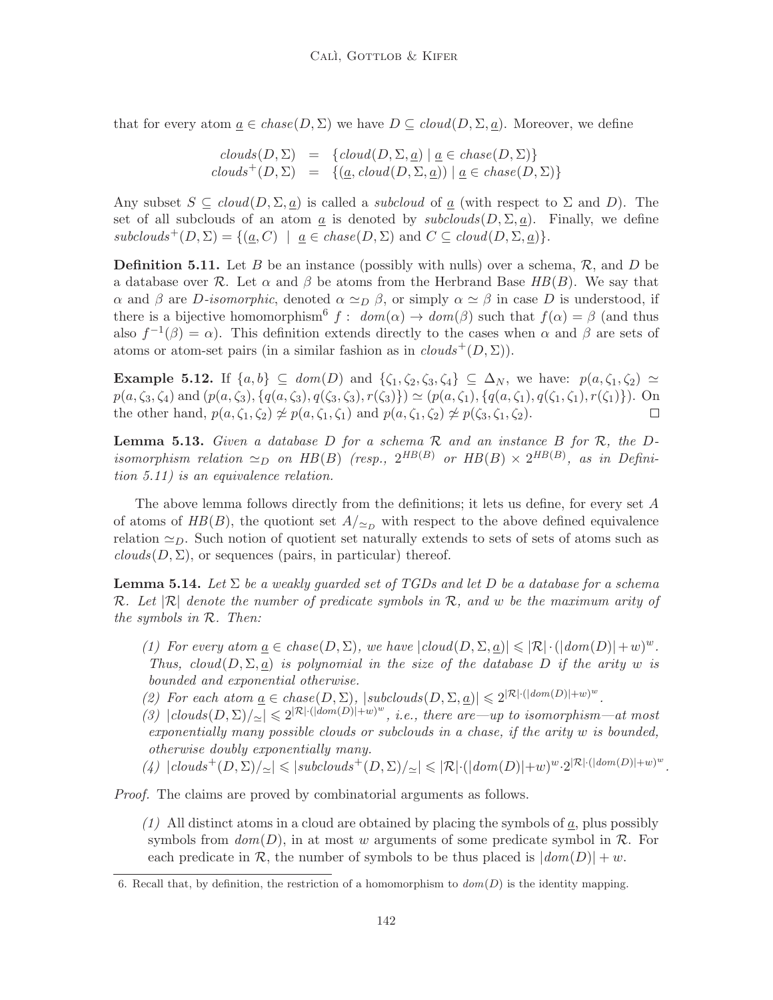that for every atom  $\underline{a} \in \text{chase}(D, \Sigma)$  we have  $D \subseteq \text{cloud}(D, \Sigma, \underline{a})$ . Moreover, we define

$$
clouds(D, \Sigma) = {cloud(D, \Sigma, \underline{a}) | \underline{a} \in \text{chase}(D, \Sigma)}
$$
  
\n
$$
clouds^{+}(D, \Sigma) = {(\underline{a}, \text{cloud}(D, \Sigma, \underline{a})) | \underline{a} \in \text{chase}(D, \Sigma)}
$$

Any subset  $S \subseteq cloud(D, \Sigma, a)$  is called a *subcloud* of a (with respect to  $\Sigma$  and D). The set of all subclouds of an atom a is denoted by  $subclouds(D, \Sigma, a)$ . Finally, we define  $subclouds^{+}(D, \Sigma) = \{(a, C) \mid a \in \text{chase}(D, \Sigma) \text{ and } C \subseteq \text{cloud}(D, \Sigma, a)\}.$ 

**Definition 5.11.** Let B be an instance (possibly with nulls) over a schema,  $\mathcal{R}$ , and D be a database over R. Let  $\alpha$  and  $\beta$  be atoms from the Herbrand Base HB(B). We say that α and β are D-isomorphic, denoted  $\alpha \simeq_D \beta$ , or simply  $\alpha \simeq \beta$  in case D is understood, if there is a bijective homomorphism<sup>6</sup> f :  $dom(\alpha) \rightarrow dom(\beta)$  such that  $f(\alpha) = \beta$  (and thus also  $f^{-1}(\beta) = \alpha$ ). This definition extends directly to the cases when  $\alpha$  and  $\beta$  are sets of atoms or atom-set pairs (in a similar fashion as in  $clouds^{+}(D, \Sigma)$ ).

**Example 5.12.** If  $\{a, b\} \subseteq dom(D)$  and  $\{\zeta_1, \zeta_2, \zeta_3, \zeta_4\} \subseteq \Delta_N$ , we have:  $p(a, \zeta_1, \zeta_2) \simeq$  $p(a,\zeta_3,\zeta_4)$  and  $(p(a,\zeta_3),\{q(a,\zeta_3),q(\zeta_3,\zeta_3),r(\zeta_3)\}) \simeq (p(a,\zeta_1),\{q(a,\zeta_1),q(\zeta_1,\zeta_1),r(\zeta_1)\}).$  On the other hand,  $p(a,\zeta_1,\zeta_2) \not\approx p(a,\zeta_1,\zeta_1)$  and  $p(a,\zeta_1,\zeta_2) \not\approx p(\zeta_3,\zeta_1,\zeta_2)$ .  $\Box$ 

**Lemma 5.13.** Given a database D for a schema  $\mathcal{R}$  and an instance B for  $\mathcal{R}$ , the Disomorphism relation  $\simeq_D$  on HB(B) (resp.,  $2^{HB(B)}$  or HB(B)  $\times$   $2^{HB(B)}$ , as in Definition 5.11) is an equivalence relation.

The above lemma follows directly from the definitions; it lets us define, for every set A of atoms of  $HB(B)$ , the quotiont set  $A/_{\simeq D}$  with respect to the above defined equivalence relation  $\simeq_D$ . Such notion of quotient set naturally extends to sets of sets of atoms such as  $clouds(D, \Sigma)$ , or sequences (pairs, in particular) thereof.

**Lemma 5.14.** Let  $\Sigma$  be a weakly quarded set of TGDs and let D be a database for a schema R. Let  $|\mathcal{R}|$  denote the number of predicate symbols in  $\mathcal{R}$ , and w be the maximum arity of the symbols in R. Then:

- (1) For every atom  $\underline{a} \in \text{chase}(D, \Sigma)$ , we have  $|\text{cloud}(D, \Sigma, \underline{a})| \leq |\mathcal{R}| \cdot (|\text{dom}(D)| + w)^w$ . Thus, cloud( $D, \Sigma, a$ ) is polynomial in the size of the database D if the arity w is bounded and exponential otherwise.
- (2) For each atom  $\underline{a} \in \text{chase}(D, \Sigma)$ ,  $|\text{subclouds}(D, \Sigma, \underline{a})| \leq 2^{|\mathcal{R}| \cdot (|\text{dom}(D)| + w)^w}$ .
- $\overline{(3)}$  |clouds $(D, \Sigma)/\overline{\leq}$ |  $\leq$  2<sup>|R|·(|dom(D)|+w)<sup>w</sup>, i.e., there are—up to isomorphism—at most</sup> exponentially many possible clouds or subclouds in a chase, if the arity w is bounded, otherwise doubly exponentially many.

 $(4) |clouds^+(D, \Sigma)/\sim |\leqslant |subclouds^+(D, \Sigma)/\sim |\leqslant |\mathcal{R}| \cdot (|dom(D)|+w)^w \cdot 2^{|\mathcal{R}| \cdot (|dom(D)|+w)^w}.$ 

Proof. The claims are proved by combinatorial arguments as follows.

(1) All distinct atoms in a cloud are obtained by placing the symbols of  $\underline{a}$ , plus possibly symbols from  $dom(D)$ , in at most w arguments of some predicate symbol in  $\mathcal{R}$ . For each predicate in  $\mathcal{R}$ , the number of symbols to be thus placed is  $|dom(D)| + w$ .

<sup>6.</sup> Recall that, by definition, the restriction of a homomorphism to  $dom(D)$  is the identity mapping.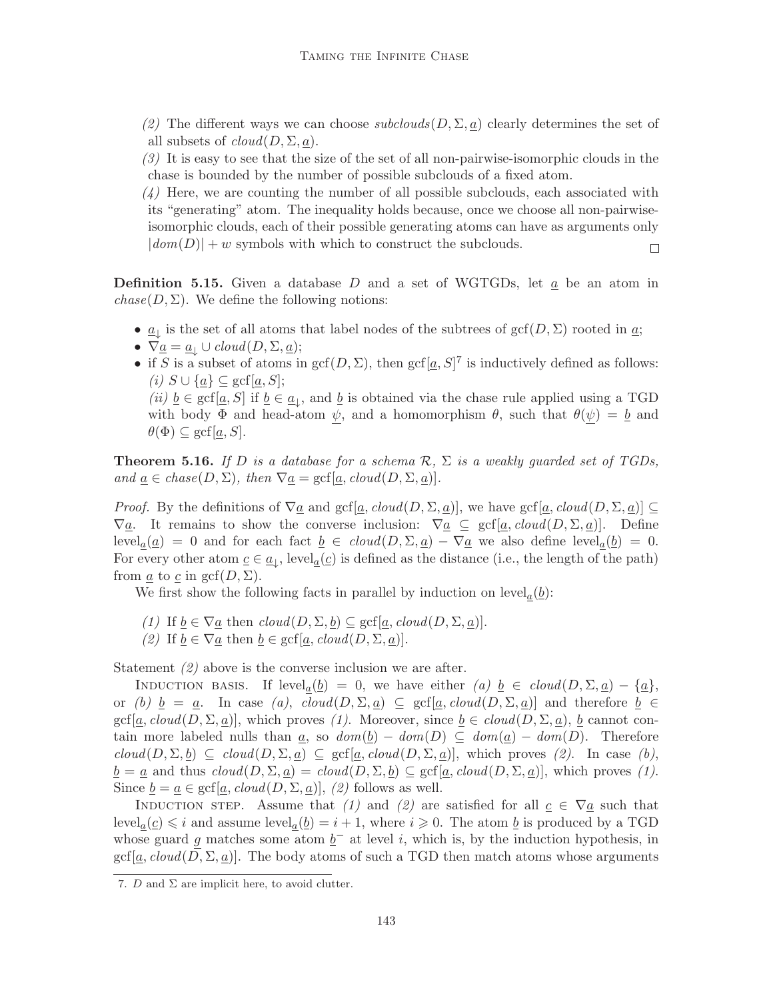- (2) The different ways we can choose  $subclouds(D, \Sigma, a)$  clearly determines the set of all subsets of  $cloud(D, \Sigma, a)$ .
- (3) It is easy to see that the size of the set of all non-pairwise-isomorphic clouds in the chase is bounded by the number of possible subclouds of a fixed atom.
- $(4)$  Here, we are counting the number of all possible subclouds, each associated with its "generating" atom. The inequality holds because, once we choose all non-pairwiseisomorphic clouds, each of their possible generating atoms can have as arguments only  $|dom(D)| + w$  symbols with which to construct the subclouds.  $\Box$

**Definition 5.15.** Given a database D and a set of WGTGDs, let  $\underline{a}$  be an atom in  $chase(D, \Sigma)$ . We define the following notions:

- $\underline{a}_{\downarrow}$  is the set of all atoms that label nodes of the subtrees of  $\text{gcf}(D, \Sigma)$  rooted in  $\underline{a}$ ;
- $\nabla \underline{a} = \underline{a}_{\downarrow} \cup \text{cloud}(D, \Sigma, \underline{a});$
- if S is a subset of atoms in  $\text{gcf}(D, \Sigma)$ , then  $\text{gcf}[\underline{a}, S]^7$  is inductively defined as follows: (i)  $S \cup \{\underline{a}\} \subseteq \text{gcf}[\underline{a},S];$

(ii)  $\underline{b} \in \text{gcf}[\underline{a}, S]$  if  $\underline{b} \in \underline{a}_{\downarrow}$ , and  $\underline{b}$  is obtained via the chase rule applied using a TGD with body  $\Phi$  and head-atom  $\psi$ , and a homomorphism  $\theta$ , such that  $\theta(\psi) = \underline{b}$  and  $\theta(\Phi) \subseteq \text{gcf}[\underline{a},S].$ 

**Theorem 5.16.** If D is a database for a schema  $\mathcal{R}$ ,  $\Sigma$  is a weakly quarded set of TGDs, and  $\underline{a} \in \text{chase}(D, \Sigma)$ , then  $\nabla \underline{a} = \text{gcf}[\underline{a}, \text{cloud}(D, \Sigma, \underline{a})]$ .

*Proof.* By the definitions of  $\nabla a$  and gcf[a, cloud(D,  $\Sigma$ , a)], we have gcf[a, cloud(D,  $\Sigma$ , a)]  $\subseteq$  $\nabla a$ . It remains to show the converse inclusion:  $\nabla a \subseteq \text{gcf}[a, cloud(D, \Sigma, a)]$ . Define level<sub>a</sub>( $\underline{a}$ ) = 0 and for each fact  $\underline{b} \in cloud(D, \Sigma, \underline{a}) - \nabla \underline{a}$  we also define level<sub>a</sub>( $\underline{b}$ ) = 0. For every other atom  $\underline{c} \in \underline{a}_{\downarrow}$ , level<sub> $\underline{a}(\underline{c})$ </sub> is defined as the distance (i.e., the length of the path) from  $\underline{a}$  to  $\underline{c}$  in gcf( $D, \Sigma$ ).

We first show the following facts in parallel by induction on  $level_a(\underline{b})$ :

(1) If  $\underline{b} \in \nabla \underline{a}$  then  $cloud(D, \Sigma, \underline{b}) \subseteq \text{gcf}[\underline{a}, cloud(D, \Sigma, \underline{a})].$ (2) If  $\underline{b} \in \nabla \underline{a}$  then  $\underline{b} \in \text{gcf}[\underline{a}, \text{cloud}(D, \Sigma, \underline{a})].$ 

Statement (2) above is the converse inclusion we are after.

INDUCTION BASIS. If level<sub>a</sub>(b) = 0, we have either (a) b ∈ cloud(D,  $\Sigma$ , a) – {a}, or (b)  $\underline{b} = \underline{a}$ . In case (a),  $cloud(D, \Sigma, \underline{a}) \subseteq \text{gcf}[\underline{a}, cloud(D, \Sigma, \underline{a})]$  and therefore  $\underline{b} \in$ gcf $[\underline{a}, cloud(D, \Sigma, \underline{a})]$ , which proves (1). Moreover, since  $\underline{b} \in cloud(D, \Sigma, \underline{a})$ ,  $\underline{b}$  cannot contain more labeled nulls than  $\underline{a}$ , so  $dom(\underline{b}) - dom(D) \subseteq dom(\underline{a}) - dom(D)$ . Therefore  $cloud(D, \Sigma, \underline{b}) \subseteq cloud(D, \Sigma, \underline{a}) \subseteq \text{gcf}[\underline{a}, cloud(D, \Sigma, \underline{a})],$  which proves (2). In case (b),  $\underline{b} = \underline{a}$  and thus  $cloud(D, \Sigma, \underline{a}) = cloud(D, \Sigma, \underline{b}) \subseteq \text{gcf}[\underline{a}, cloud(D, \Sigma, \underline{a})],$  which proves (1). Since  $\underline{b} = \underline{a} \in \text{gcf}[\underline{a}, \text{cloud}(D, \Sigma, \underline{a})], (2)$  follows as well.

INDUCTION STEP. Assume that (1) and (2) are satisfied for all  $c \in \nabla \underline{a}$  such that level<sub>a</sub>(c)  $\leq i$  and assume level<sub>a</sub>(b) = i + 1, where i  $\geq 0$ . The atom b is produced by a TGD whose guard g matches some atom  $\underline{b}^-$  at level i, which is, by the induction hypothesis, in  $\text{gcf}[\underline{a}, cloud(D, \Sigma, \underline{a})].$  The body atoms of such a TGD then match atoms whose arguments

<sup>7.</sup> D and  $\Sigma$  are implicit here, to avoid clutter.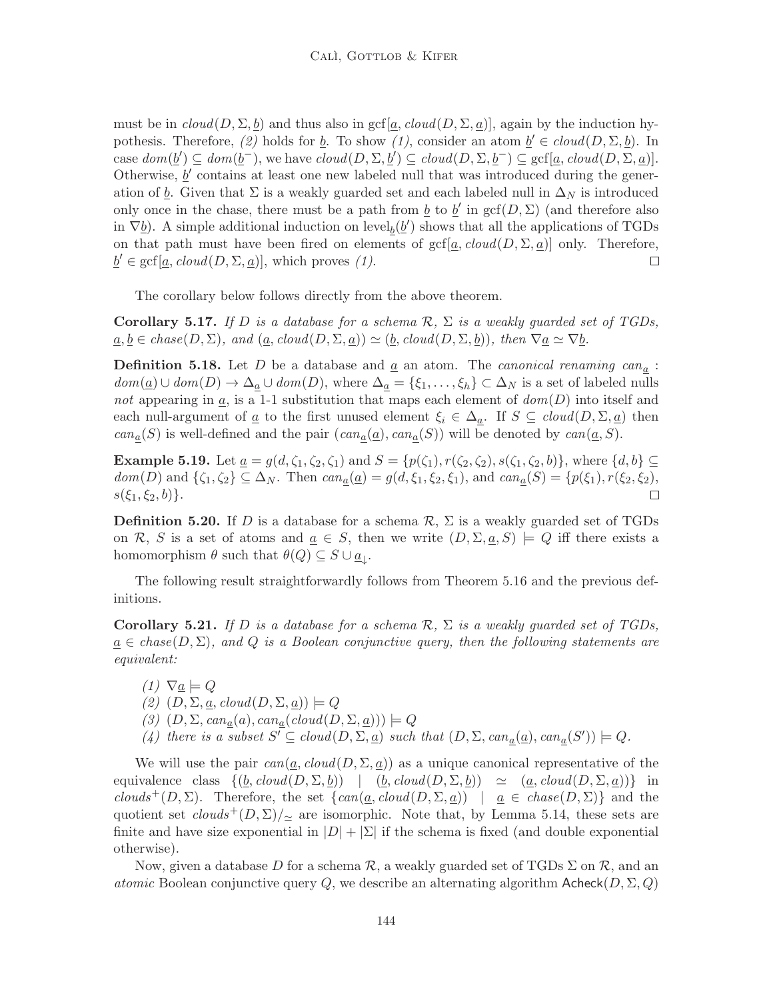must be in  $cloud(D, \Sigma, \underline{b})$  and thus also in gcf[ $\underline{a}$ ,  $cloud(D, \Sigma, \underline{a})$ ], again by the induction hypothesis. Therefore, (2) holds for <u>b</u>. To show (1), consider an atom  $\underline{b}' \in cloud(D, \Sigma, \underline{b})$ . In case  $dom(\underline{b}') \subseteq dom(\underline{b}^{-})$ , we have  $cloud(D, \Sigma, \underline{b}') \subseteq cloud(D, \Sigma, \underline{b}^{-}) \subseteq \text{gcf}[\underline{a}, cloud(D, \Sigma, \underline{a})]$ . Otherwise,  $\underline{b}'$  contains at least one new labeled null that was introduced during the generation of <u>b</u>. Given that  $\Sigma$  is a weakly guarded set and each labeled null in  $\Delta_N$  is introduced only once in the chase, there must be a path from  $\underline{b}$  to  $\underline{b}'$  in  $\text{gcf}(D,\Sigma)$  (and therefore also in  $\nabla_{\underline{b}}$ . A simple additional induction on level<sub> $\underline{b}(\underline{b}')$ </sub> shows that all the applications of TGDs on that path must have been fired on elements of  $\text{gcf}[a, cloud(D, \Sigma, a)]$  only. Therefore,  $\underline{b}' \in \text{gcf}[\underline{a}, \text{cloud}(D, \Sigma, \underline{a})],$  which proves (1).  $\Box$ 

The corollary below follows directly from the above theorem.

**Corollary 5.17.** If D is a database for a schema  $\mathcal{R}$ ,  $\Sigma$  is a weakly quarded set of TGDs,  $a, b \in \text{chase}(D, \Sigma)$ , and  $(a, \text{cloud}(D, \Sigma, \underline{a})) \simeq (b, \text{cloud}(D, \Sigma, \underline{b}))$ , then  $\nabla \underline{a} \simeq \nabla \underline{b}$ .

**Definition 5.18.** Let D be a database and  $\underline{a}$  an atom. The *canonical renaming can<sub>a</sub>*:  $dom(\underline{a}) \cup dom(D) \rightarrow \Delta_{\underline{a}} \cup dom(D)$ , where  $\Delta_{\underline{a}} = {\{\xi_1, \ldots, \xi_h\}} \subset \Delta_N$  is a set of labeled nulls not appearing in  $\underline{a}$ , is a 1-1 substitution that maps each element of  $dom(D)$  into itself and each null-argument of  $\underline{a}$  to the first unused element  $\xi_i \in \Delta_{\underline{a}}$ . If  $S \subseteq \text{cloud}(D, \Sigma, \underline{a})$  then  $can_{\underline{a}}(S)$  is well-defined and the pair  $(can_{\underline{a}}(\underline{a}), can_{\underline{a}}(S))$  will be denoted by  $can(\underline{a}, S)$ .

**Example 5.19.** Let  $\underline{a} = g(d, \zeta_1, \zeta_2, \zeta_1)$  and  $S = \{p(\zeta_1), r(\zeta_2, \zeta_2), s(\zeta_1, \zeta_2, b)\}\)$ , where  $\{d, b\} \subseteq$  $dom(D)$  and  $\{\zeta_1,\zeta_2\}\subseteq \Delta_N$ . Then  $can_{\underline{a}}(\underline{a})=g(d,\xi_1,\xi_2,\xi_1)$ , and  $can_{\underline{a}}(S)=\{p(\xi_1),r(\xi_2,\xi_2),$  $s(\xi_1, \xi_2, b)$ .  $\Box$ 

**Definition 5.20.** If D is a database for a schema  $\mathcal{R}$ ,  $\Sigma$  is a weakly guarded set of TGDs on R, S is a set of atoms and  $a \in S$ , then we write  $(D, \Sigma, a, S) \models Q$  iff there exists a homomorphism  $\theta$  such that  $\theta(Q) \subseteq S \cup \underline{a}_{\downarrow}$ .

The following result straightforwardly follows from Theorem 5.16 and the previous definitions.

**Corollary 5.21.** If D is a database for a schema  $\mathcal{R}, \Sigma$  is a weakly guarded set of TGDs,  $a \in \text{chase}(D, \Sigma)$ , and Q is a Boolean conjunctive query, then the following statements are equivalent:

 $(1)$   $\nabla \underline{a} \models Q$  $(2)$   $(D, \Sigma, \underline{a}, cloud(D, \Sigma, \underline{a})) \models Q$ (3)  $(D, \Sigma, can_a(a), can_a(cloud(D, \Sigma, \underline{a}))) \models Q$ (4) there is a subset  $S' \subseteq cloud(D, \Sigma, \underline{a})$  such that  $(D, \Sigma, can_{\underline{a}}(\underline{a}), can_{\underline{a}}(S')) \models Q$ .

We will use the pair  $can(\underline{a}, cloud(D, \Sigma, \underline{a}))$  as a unique canonical representative of the equivalence class  $\{(\underline{b}, cloud(D, \Sigma, \underline{b})) | (\underline{b}, cloud(D, \Sigma, \underline{b})) \simeq (\underline{a}, cloud(D, \Sigma, \underline{a}))\}$  in clouds<sup>+</sup>(D,  $\Sigma$ ). Therefore, the set  $\{ can(\underline{a}, cloud(D, \Sigma, \underline{a})) | \underline{a} \in \text{chase}(D, \Sigma)\}\$ and the quotient set  $clouds^{+}(D, \Sigma)/_{\simeq}$  are isomorphic. Note that, by Lemma 5.14, these sets are finite and have size exponential in  $|D| + |\Sigma|$  if the schema is fixed (and double exponential otherwise).

Now, given a database D for a schema  $\mathcal R$ , a weakly guarded set of TGDs  $\Sigma$  on  $\mathcal R$ , and an atomic Boolean conjunctive query Q, we describe an alternating algorithm  $\mathsf{Acheck}(D, \Sigma, Q)$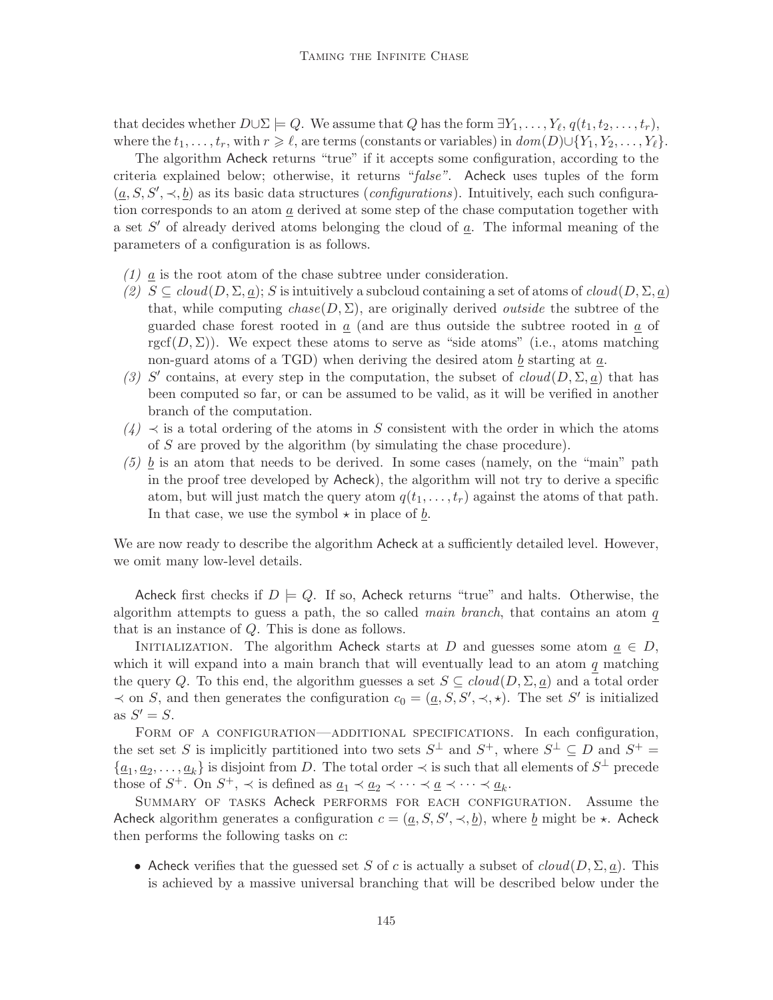that decides whether  $D \cup \Sigma \models Q$ . We assume that Q has the form  $\exists Y_1, \ldots, Y_\ell, q(t_1, t_2, \ldots, t_r)$ , where the  $t_1, \ldots, t_r$ , with  $r \geq \ell$ , are terms (constants or variables) in  $dom(D) \cup \{Y_1, Y_2, \ldots, Y_\ell\}$ .

The algorithm Acheck returns "true" if it accepts some configuration, according to the criteria explained below; otherwise, it returns "false". Acheck uses tuples of the form  $(\underline{a}, S, S', \prec, \underline{b})$  as its basic data structures (*configurations*). Intuitively, each such configuration corresponds to an atom  $\underline{a}$  derived at some step of the chase computation together with a set  $S'$  of already derived atoms belonging the cloud of  $\underline{a}$ . The informal meaning of the parameters of a configuration is as follows.

- $(1)$  a is the root atom of the chase subtree under consideration.
- (2)  $S \subseteq cloud(D, \Sigma, a);$  S is intuitively a subcloud containing a set of atoms of  $cloud(D, \Sigma, a)$ that, while computing  $chase(D, \Sigma)$ , are originally derived *outside* the subtree of the guarded chase forest rooted in  $\underline{a}$  (and are thus outside the subtree rooted in  $\underline{a}$  of rgcf( $D, \Sigma$ )). We expect these atoms to serve as "side atoms" (i.e., atoms matching non-guard atoms of a TGD) when deriving the desired atom  $\underline{b}$  starting at  $\underline{a}$ .
- (3) S' contains, at every step in the computation, the subset of  $cloud(D, \Sigma, \underline{a})$  that has been computed so far, or can be assumed to be valid, as it will be verified in another branch of the computation.
- $(4)$   $\prec$  is a total ordering of the atoms in S consistent with the order in which the atoms of S are proved by the algorithm (by simulating the chase procedure).
- $(5)$  b is an atom that needs to be derived. In some cases (namely, on the "main" path in the proof tree developed by Acheck), the algorithm will not try to derive a specific atom, but will just match the query atom  $q(t_1, \ldots, t_r)$  against the atoms of that path. In that case, we use the symbol  $\star$  in place of  $\underline{b}$ .

We are now ready to describe the algorithm Acheck at a sufficiently detailed level. However, we omit many low-level details.

Acheck first checks if  $D \models Q$ . If so, Acheck returns "true" and halts. Otherwise, the algorithm attempts to guess a path, the so called *main branch*, that contains an atom  $q$ that is an instance of Q. This is done as follows.

INITIALIZATION. The algorithm Acheck starts at D and guesses some atom  $a \in D$ , which it will expand into a main branch that will eventually lead to an atom  $q$  matching the query Q. To this end, the algorithm guesses a set  $S \subseteq cloud(D, \Sigma, \underline{a})$  and a total order  $\prec$  on S, and then generates the configuration  $c_0 = (\underline{a}, S, S', \prec, \star)$ . The set S' is initialized as  $S'=S$ .

FORM OF A CONFIGURATION—ADDITIONAL SPECIFICATIONS. In each configuration, the set set S is implicitly partitioned into two sets  $S^{\perp}$  and  $S^{+}$ , where  $S^{\perp} \subseteq D$  and  $S^{+} =$  $\{\underline{a}_1,\underline{a}_2,\ldots,\underline{a}_k\}$  is disjoint from D. The total order  $\prec$  is such that all elements of  $S^{\perp}$  precede those of  $S^+$ . On  $S^+$ ,  $\prec$  is defined as  $\underline{a}_1 \prec \underline{a}_2 \prec \cdots \prec \underline{a} \prec \cdots \prec \underline{a}_k$ .

Summary of tasks Acheck performs for each configuration. Assume the Acheck algorithm generates a configuration  $c = (\underline{a}, S, S', \prec, \underline{b})$ , where  $\underline{b}$  might be  $\star$ . Acheck then performs the following tasks on  $c$ :

• Acheck verifies that the guessed set S of c is actually a subset of  $cloud(D, \Sigma, a)$ . This is achieved by a massive universal branching that will be described below under the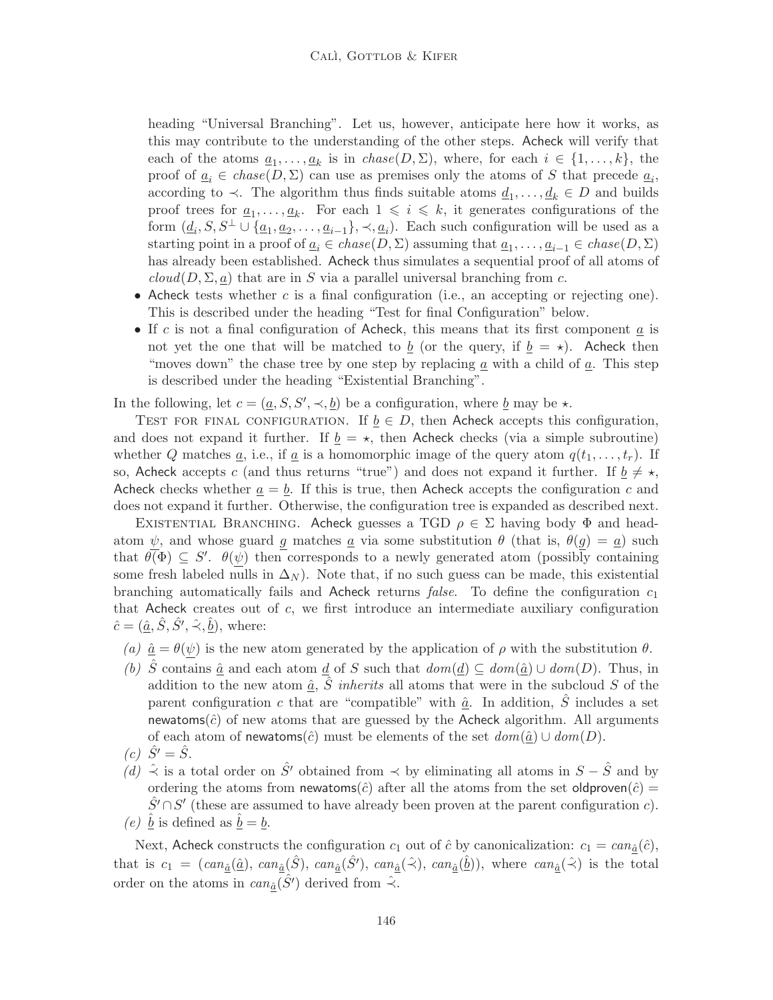heading "Universal Branching". Let us, however, anticipate here how it works, as this may contribute to the understanding of the other steps. Acheck will verify that each of the atoms  $\underline{a}_1, \ldots, \underline{a}_k$  is in  $chase(D, \Sigma)$ , where, for each  $i \in \{1, \ldots, k\}$ , the proof of  $\underline{a}_i \in \text{chase}(D, \Sigma)$  can use as premises only the atoms of S that precede  $\underline{a}_i$ , according to  $\prec$ . The algorithm thus finds suitable atoms  $\underline{d}_1, \ldots, \underline{d}_k \in D$  and builds proof trees for  $\underline{a}_1, \ldots, \underline{a}_k$ . For each  $1 \leqslant i \leqslant k$ , it generates configurations of the form  $(\underline{d}_i, S, S^{\perp} \cup {\underline{a}_1, \underline{a}_2, \ldots, \underline{a}_{i-1}}, \prec, \underline{a}_i)$ . Each such configuration will be used as a starting point in a proof of  $\underline{a}_i \in \text{chase}(D, \Sigma)$  assuming that  $\underline{a}_1, \ldots, \underline{a}_{i-1} \in \text{chase}(D, \Sigma)$ has already been established. Acheck thus simulates a sequential proof of all atoms of  $cloud(D, \Sigma, a)$  that are in S via a parallel universal branching from c.

- Acheck tests whether c is a final configuration (i.e., an accepting or rejecting one). This is described under the heading "Test for final Configuration" below.
- If c is not a final configuration of Acheck, this means that its first component  $\underline{a}$  is not yet the one that will be matched to  $\underline{b}$  (or the query, if  $\underline{b} = \star$ ). Acheck then "moves down" the chase tree by one step by replacing  $\underline{a}$  with a child of  $\underline{a}$ . This step is described under the heading "Existential Branching".

In the following, let  $c = (\underline{a}, S, S', \prec, \underline{b})$  be a configuration, where  $\underline{b}$  may be  $\star$ .

TEST FOR FINAL CONFIGURATION. If  $b \in D$ , then Acheck accepts this configuration, and does not expand it further. If  $b = \star$ , then Acheck checks (via a simple subroutine) whether Q matches a, i.e., if a is a homomorphic image of the query atom  $q(t_1, \ldots, t_r)$ . If so, Acheck accepts c (and thus returns "true") and does not expand it further. If  $b \neq \star$ , Acheck checks whether  $a = b$ . If this is true, then Acheck accepts the configuration c and does not expand it further. Otherwise, the configuration tree is expanded as described next.

EXISTENTIAL BRANCHING. Acheck guesses a TGD  $\rho \in \Sigma$  having body  $\Phi$  and headatom  $\psi$ , and whose guard g matches <u>a</u> via some substitution  $\theta$  (that is,  $\theta(g) = \underline{a}$ ) such that  $\theta(\Phi) \subseteq S'$ .  $\theta(\psi)$  then corresponds to a newly generated atom (possibly containing some fresh labeled nulls in  $\Delta_N$ ). Note that, if no such guess can be made, this existential branching automatically fails and Acheck returns *false*. To define the configuration  $c_1$ that Acheck creates out of c, we first introduce an intermediate auxiliary configuration  $\hat{c} = (\hat{\underline{a}}, \hat{S}, \hat{S}', \hat{\prec}, \hat{\underline{b}}),$  where:

- (a)  $\hat{\underline{a}} = \theta(\psi)$  is the new atom generated by the application of  $\rho$  with the substitution  $\theta$ .
- (b) S<sup>S</sup> contains  $\hat{a}$  and each atom d of S such that  $dom(d) \subseteq dom(\hat{a}) \cup dom(D)$ . Thus, in addition to the new atom  $\hat{a}$ ,  $\hat{S}$  inherits all atoms that were in the subcloud S of the parent configuration c that are "compatible" with  $\hat{a}$ . In addition,  $\hat{S}$  includes a set newatoms( $\hat{c}$ ) of new atoms that are guessed by the Acheck algorithm. All arguments of each atom of newatoms( $\hat{c}$ ) must be elements of the set  $dom(\hat{a}) \cup dom(D)$ .
- $(c) \hat{S}' = \hat{S}.$
- $(d)$   $\hat{\prec}$  is a total order on  $\hat{S}'$  obtained from  $\prec$  by eliminating all atoms in  $S \hat{S}$  and by ordering the atoms from newatoms( $\hat{c}$ ) after all the atoms from the set oldproven( $\hat{c}$ ) =  $\hat{S}' \cap S'$  (these are assumed to have already been proven at the parent configuration c).
- (e) <u>b</u> is defined as <u>b</u> = <u>b</u>.

Next, Acheck constructs the configuration  $c_1$  out of  $\hat{c}$  by canonicalization:  $c_1 = can_{\hat{a}}(\hat{c})$ , that is  $c_1 = (can_{\underline{\hat{a}}}(\underline{\hat{a}}), can_{\underline{\hat{a}}}(\hat{S}), can_{\underline{\hat{a}}}(\hat{S}'), can_{\underline{\hat{a}}}(\hat{\prec}), can_{\underline{\hat{a}}}(\underline{\hat{b}})),$  where  $can_{\underline{\hat{a}}}(\hat{\prec})$  is the total order on the atoms in  $can_{\hat{a}}(\hat{S}')$  derived from  $\hat{\prec}$ .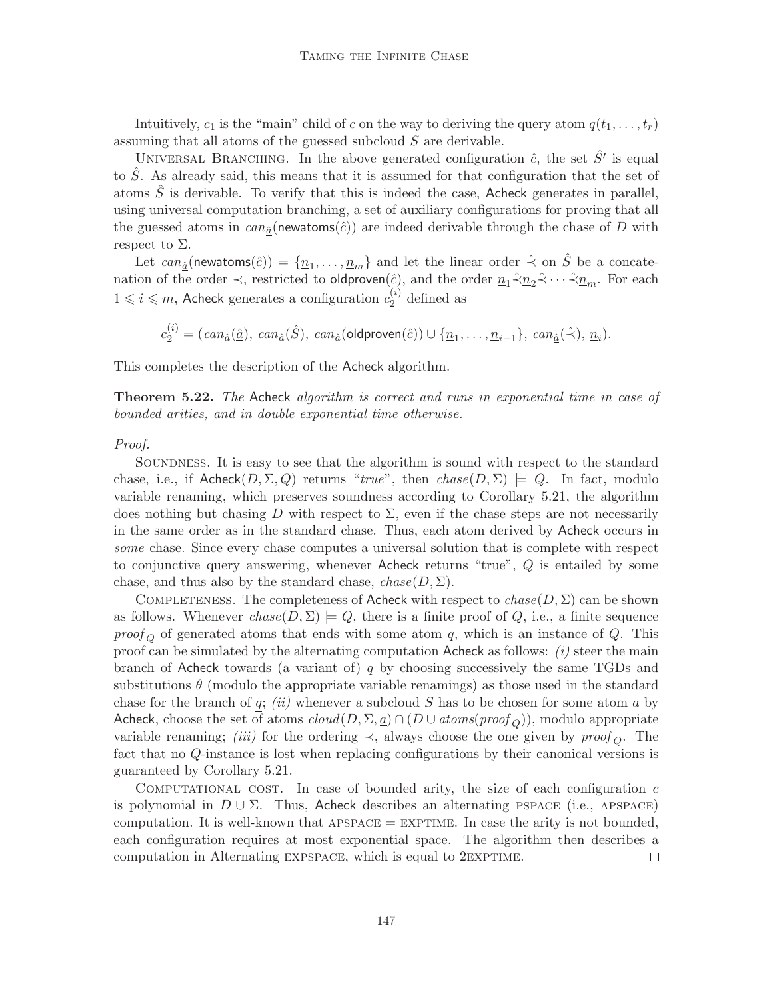Intuitively,  $c_1$  is the "main" child of c on the way to deriving the query atom  $q(t_1, \ldots, t_r)$ assuming that all atoms of the guessed subcloud  $S$  are derivable.

UNIVERSAL BRANCHING. In the above generated configuration  $\hat{c}$ , the set  $\hat{S}'$  is equal to  $\hat{S}$ . As already said, this means that it is assumed for that configuration that the set of atoms  $\hat{S}$  is derivable. To verify that this is indeed the case, Acheck generates in parallel, using universal computation branching, a set of auxiliary configurations for proving that all the guessed atoms in  $can_{\hat{a}}(newatoms(\hat{c}))$  are indeed derivable through the chase of D with respect to  $\Sigma$ .

Let  $can_{\underline{\hat{a}}}$ (newatoms $(\hat{c})) = \{\underline{n}_1, \ldots, \underline{n}_m\}$  and let the linear order  $\hat{\prec}$  on  $\hat{S}$  be a concatenation of the order  $\prec$ , restricted to oldproven( $\hat{c}$ ), and the order  $\underline{n}_1\hat{\prec}\underline{n}_2\hat{\prec}\cdots\hat{\prec}\underline{n}_m$ . For each  $1 \leqslant i \leqslant m$ , Acheck generates a configuration  $c_2^{(i)}$  $2^{(i)}$  defined as

$$
c_2^{(i)} = (can_{\hat{a}}(\hat{\underline{a}}), can_{\hat{a}}(\hat{S}), can_{\hat{a}}(\text{oldproven}(\hat{c})) \cup \{\underline{n}_1, \ldots, \underline{n}_{i-1}\}, can_{\hat{\underline{a}}}(\hat{\prec}), \underline{n}_i).
$$

This completes the description of the Acheck algorithm.

**Theorem 5.22.** The Acheck algorithm is correct and runs in exponential time in case of bounded arities, and in double exponential time otherwise.

#### Proof.

Soundness. It is easy to see that the algorithm is sound with respect to the standard chase, i.e., if Acheck $(D, \Sigma, Q)$  returns "true", then  $chase(D, \Sigma) \models Q$ . In fact, modulo variable renaming, which preserves soundness according to Corollary 5.21, the algorithm does nothing but chasing  $D$  with respect to  $\Sigma$ , even if the chase steps are not necessarily in the same order as in the standard chase. Thus, each atom derived by Acheck occurs in some chase. Since every chase computes a universal solution that is complete with respect to conjunctive query answering, whenever Acheck returns "true", Q is entailed by some chase, and thus also by the standard chase,  $chase(D, \Sigma)$ .

COMPLETENESS. The completeness of Acheck with respect to  $chase(D, \Sigma)$  can be shown as follows. Whenever  $chase(D, \Sigma) \models Q$ , there is a finite proof of Q, i.e., a finite sequence  $\text{proof}_Q$  of generated atoms that ends with some atom q, which is an instance of Q. This proof can be simulated by the alternating computation  $\mathsf{Acheck}$  as follows: (i) steer the main branch of Acheck towards (a variant of) q by choosing successively the same TGDs and substitutions  $\theta$  (modulo the appropriate variable renamings) as those used in the standard chase for the branch of q; (ii) whenever a subcloud S has to be chosen for some atom  $\underline{a}$  by Acheck, choose the set of atoms  $cloud(D, \Sigma, \underline{a}) \cap (D \cup atoms(proof_{Q}))$ , modulo appropriate variable renaming; *(iii)* for the ordering  $\prec$ , always choose the one given by proof<sub>Q</sub>. The fact that no Q-instance is lost when replacing configurations by their canonical versions is guaranteed by Corollary 5.21.

COMPUTATIONAL COST. In case of bounded arity, the size of each configuration  $c$ is polynomial in  $D \cup \Sigma$ . Thus, Acheck describes an alternating PSPACE (i.e., APSPACE) computation. It is well-known that  $APSPACE = EXPTIME$ . In case the arity is not bounded, each configuration requires at most exponential space. The algorithm then describes a computation in Alternating EXPSPACE, which is equal to 2EXPTIME.  $\Box$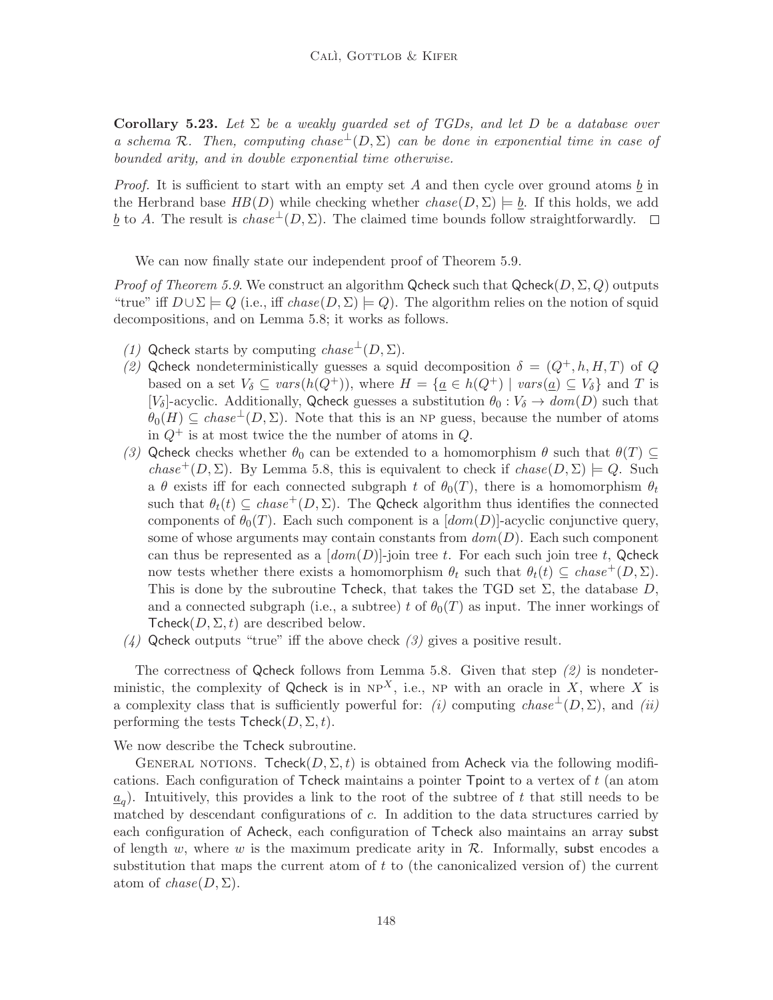Corollary 5.23. Let  $\Sigma$  be a weakly guarded set of TGDs, and let D be a database over a schema R. Then, computing chase  $\perp(D,\Sigma)$  can be done in exponential time in case of bounded arity, and in double exponential time otherwise.

*Proof.* It is sufficient to start with an empty set A and then cycle over ground atoms b in the Herbrand base  $HB(D)$  while checking whether  $chase(D, \Sigma) \models b$ . If this holds, we add b to A. The result is  $chase^{\perp}(D, \Sigma)$ . The claimed time bounds follow straightforwardly.  $\square$ 

We can now finally state our independent proof of Theorem 5.9.

*Proof of Theorem 5.9.* We construct an algorithm Qcheck such that  $\mathsf{Qcheck}(D, \Sigma, Q)$  outputs "true" iff  $D \cup \Sigma \models Q$  (i.e., iff chase( $D, \Sigma \models Q$ ). The algorithm relies on the notion of squid decompositions, and on Lemma 5.8; it works as follows.

- (1) Qcheck starts by computing  $chase^{\perp}(D, \Sigma)$ .
- (2) Qcheck nondeterministically guesses a squid decomposition  $\delta = (Q^+, h, H, T)$  of Q based on a set  $V_{\delta} \subseteq vars(h(Q^+))$ , where  $H = {\underline{a} \in h(Q^+) \mid vars(\underline{a}) \subseteq V_{\delta}}$  and T is [ $V_\delta$ ]-acyclic. Additionally, Qcheck guesses a substitution  $\theta_0 : V_\delta \to dom(D)$  such that  $\theta_0(H) \subseteq \text{chase}^{\perp}(D, \Sigma)$ . Note that this is an NP guess, because the number of atoms in  $Q^+$  is at most twice the the number of atoms in  $Q$ .
- (3) Qcheck checks whether  $\theta_0$  can be extended to a homomorphism  $\theta$  such that  $\theta(T) \subseteq$ chase<sup>+</sup>(D,  $\Sigma$ ). By Lemma 5.8, this is equivalent to check if chase(D,  $\Sigma$ )  $\models Q$ . Such a  $\theta$  exists iff for each connected subgraph t of  $\theta_0(T)$ , there is a homomorphism  $\theta_t$ such that  $\theta_t(t) \subseteq \text{chase}^+(D, \Sigma)$ . The Qcheck algorithm thus identifies the connected components of  $\theta_0(T)$ . Each such component is a  $\left[dom(D)\right]$ -acyclic conjunctive query, some of whose arguments may contain constants from  $dom(D)$ . Each such component can thus be represented as a  $[dom(D)]$ -join tree t. For each such join tree t, Qcheck now tests whether there exists a homomorphism  $\theta_t$  such that  $\theta_t(t) \subseteq \text{chase}^+(D, \Sigma)$ . This is done by the subroutine Tcheck, that takes the TGD set  $\Sigma$ , the database D, and a connected subgraph (i.e., a subtree) t of  $\theta_0(T)$  as input. The inner workings of Tcheck $(D, \Sigma, t)$  are described below.
- $(4)$  Qcheck outputs "true" iff the above check  $(3)$  gives a positive result.

The correctness of Qcheck follows from Lemma 5.8. Given that step  $(2)$  is nondeterministic, the complexity of Qcheck is in  $NP<sup>X</sup>$ , i.e., NP with an oracle in X, where X is a complexity class that is sufficiently powerful for: (i) computing chase  $\perp(D, \Sigma)$ , and (ii) performing the tests  $\mathsf{Tcheck}(D, \Sigma, t)$ .

We now describe the Tcheck subroutine.

GENERAL NOTIONS. Tcheck $(D, \Sigma, t)$  is obtained from Acheck via the following modifications. Each configuration of Tcheck maintains a pointer  $\mathsf{Topic}$  to a vertex of t (an atom  $\underline{a}_q$ ). Intuitively, this provides a link to the root of the subtree of t that still needs to be matched by descendant configurations of c. In addition to the data structures carried by each configuration of Acheck, each configuration of Tcheck also maintains an array subst of length w, where w is the maximum predicate arity in  $\mathcal{R}$ . Informally, subst encodes a substitution that maps the current atom of t to (the canonicalized version of) the current atom of  $chase(D, \Sigma)$ .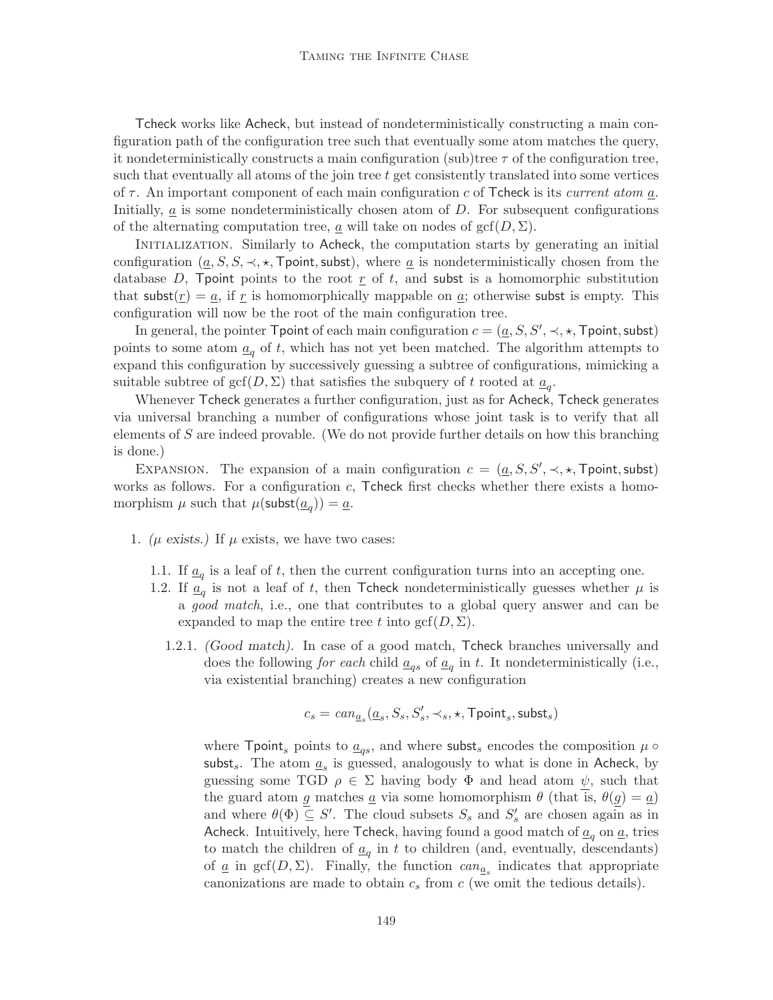Tcheck works like Acheck, but instead of nondeterministically constructing a main configuration path of the configuration tree such that eventually some atom matches the query, it nondeterministically constructs a main configuration (sub)tree  $\tau$  of the configuration tree, such that eventually all atoms of the join tree  $t$  get consistently translated into some vertices of  $\tau$ . An important component of each main configuration c of Tcheck is its current atom  $\underline{a}$ . Initially,  $\alpha$  is some nondeterministically chosen atom of  $D$ . For subsequent configurations of the alternating computation tree,  $\underline{a}$  will take on nodes of gcf( $D, \Sigma$ ).

INITIALIZATION. Similarly to Acheck, the computation starts by generating an initial configuration  $(a, S, S, \prec, \star, \text{Topint}, \text{subset})$ , where a is nondeterministically chosen from the database  $D$ , Tpoint points to the root  $r$  of  $t$ , and subst is a homomorphic substitution that subst $(r) = a$ , if r is homomorphically mappable on a; otherwise subst is empty. This configuration will now be the root of the main configuration tree.

In general, the pointer Tpoint of each main configuration  $c = (\underline{a}, S, S', \prec, \star, \text{Topoint}, \text{subst})$ points to some atom  $a<sub>a</sub>$  of t, which has not yet been matched. The algorithm attempts to expand this configuration by successively guessing a subtree of configurations, mimicking a suitable subtree of  $\text{gcf}(D, \Sigma)$  that satisfies the subquery of t rooted at  $\underline{a}_q$ .

Whenever Tcheck generates a further configuration, just as for Acheck, Tcheck generates via universal branching a number of configurations whose joint task is to verify that all elements of S are indeed provable. (We do not provide further details on how this branching is done.)

EXPANSION. The expansion of a main configuration  $c = (\underline{a}, S, S', \prec, \star, \text{Topoint}, \text{subst})$ works as follows. For a configuration  $c$ , Tcheck first checks whether there exists a homomorphism  $\mu$  such that  $\mu(\textsf{subst}(\underline{a}_q)) = \underline{a}$ .

- 1.  $(\mu \text{ exists.})$  If  $\mu \text{ exists.}$  we have two cases:
	- 1.1. If  $\underline{a}_q$  is a leaf of t, then the current configuration turns into an accepting one.
	- 1.2. If  $\underline{a}_q$  is not a leaf of t, then Tcheck nondeterministically guesses whether  $\mu$  is a good match, i.e., one that contributes to a global query answer and can be expanded to map the entire tree t into gcf $(D, \Sigma)$ .
		- 1.2.1. (Good match). In case of a good match, Tcheck branches universally and does the following *for each* child  $\underline{a}_{qs}$  of  $\underline{a}_{q}$  in t. It nondeterministically (i.e., via existential branching) creates a new configuration

$$
c_s = \mathit{can}_{\underline{a}_s}(\underline{a}_s,S_s,S'_s,\prec_s,\star,\mathsf{Topoint}_s,\mathsf{subst}_s)
$$

where Tpoint<sub>s</sub> points to  $\underline{a}_{qs}$ , and where subst<sub>s</sub> encodes the composition  $\mu \circ$ subst<sub>s</sub>. The atom  $\underline{a}_s$  is guessed, analogously to what is done in Acheck, by guessing some TGD  $\rho \in \Sigma$  having body  $\Phi$  and head atom  $\psi$ , such that the guard atom g matches  $\underline{a}$  via some homomorphism  $\theta$  (that is,  $\theta(g) = \underline{a}$ ) and where  $\theta(\Phi) \subseteq S'$ . The cloud subsets  $S_s$  and  $S'_s$  are chosen again as in Acheck. Intuitively, here Tcheck, having found a good match of  $\underline{a}_q$  on  $\underline{a}$ , tries to match the children of  $\underline{a}_q$  in t to children (and, eventually, descendants) of <u>a</u> in gcf( $D, \Sigma$ ). Finally, the function  $can_{\underline{a_s}}$  indicates that appropriate canonizations are made to obtain  $c_s$  from c (we omit the tedious details).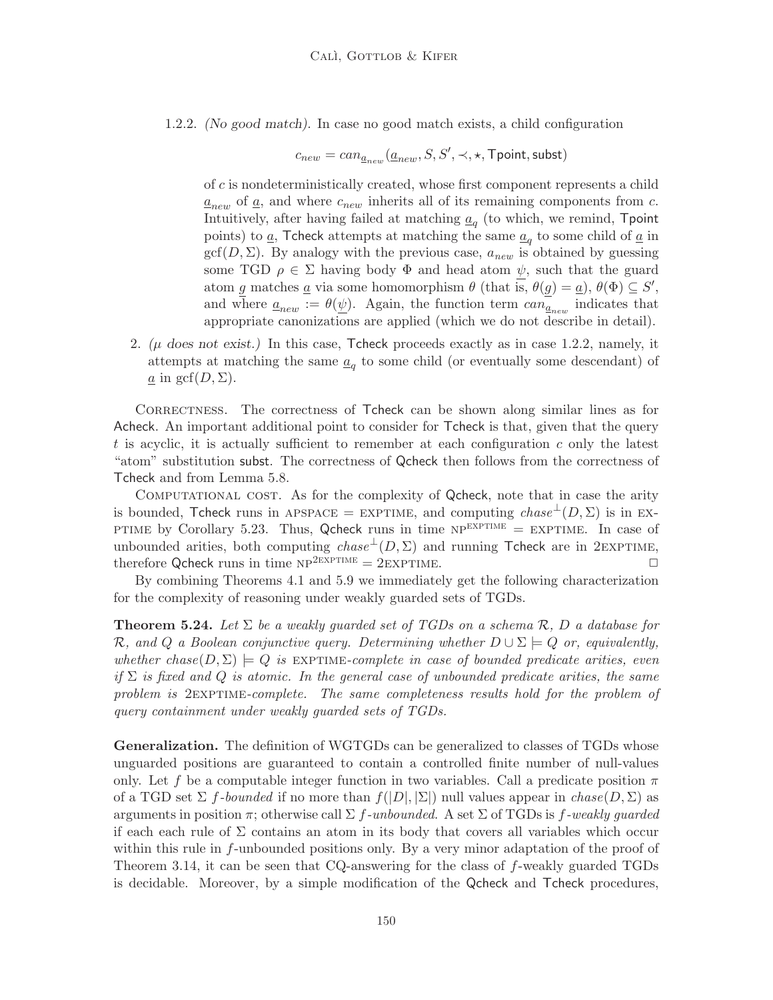1.2.2. (No good match). In case no good match exists, a child configuration

$$
c_{new} = can_{\underline{a}_{new}}(\underline{a}_{new},S,S',\prec,\star,\text{Topint},\text{subst})
$$

of c is nondeterministically created, whose first component represents a child  $a_{new}$  of  $a$ , and where  $c_{new}$  inherits all of its remaining components from c. Intuitively, after having failed at matching  $\underline{a}_q$  (to which, we remind, Tpoint points) to  $\underline{a}$ , Tcheck attempts at matching the same  $\underline{a}_q$  to some child of  $\underline{a}$  in gcf( $D$ ,  $\Sigma$ ). By analogy with the previous case,  $a_{new}$  is obtained by guessing some TGD  $\rho \in \Sigma$  having body  $\Phi$  and head atom  $\psi$ , such that the guard atom g matches <u>a</u> via some homomorphism  $\theta$  (that is,  $\theta(g) = \underline{a}$ ),  $\theta(\Phi) \subseteq S'$ , and where  $\underline{a}_{new} := \theta(\underline{\psi})$ . Again, the function term  $can_{\underline{a}_{new}}$  indicates that appropriate canonizations are applied (which we do not describe in detail).

2.  $(\mu \text{ does not exist.})$  In this case, Tcheck proceeds exactly as in case 1.2.2, namely, it attempts at matching the same  $\underline{a}_q$  to some child (or eventually some descendant) of  $\underline{a}$  in gcf( $D, \Sigma$ ).

Correctness. The correctness of Tcheck can be shown along similar lines as for Acheck. An important additional point to consider for Tcheck is that, given that the query t is acyclic, it is actually sufficient to remember at each configuration  $c$  only the latest "atom" substitution subst. The correctness of Qcheck then follows from the correctness of Tcheck and from Lemma 5.8.

Computational cost. As for the complexity of Qcheck, note that in case the arity is bounded, Tcheck runs in APSPACE = EXPTIME, and computing  $chase^{\perp}(D, \Sigma)$  is in EX-PTIME by Corollary 5.23. Thus, Qcheck runs in time  $NP^{EXPTIME} = EXPTIME$ . In case of unbounded arities, both computing  $chase^{\perp}(D, \Sigma)$  and running Tcheck are in 2EXPTIME, therefore Qcheck runs in time  $NP^{2EXPTIME} = 2EXPTIME$ .

By combining Theorems 4.1 and 5.9 we immediately get the following characterization for the complexity of reasoning under weakly guarded sets of TGDs.

**Theorem 5.24.** Let  $\Sigma$  be a weakly quarded set of TGDs on a schema  $\mathcal{R}$ , D a database for R, and Q a Boolean conjunctive query. Determining whether  $D \cup \Sigma \models Q$  or, equivalently, whether chase( $D, \Sigma$ ) = Q is EXPTIME-complete in case of bounded predicate arities, even if  $\Sigma$  is fixed and Q is atomic. In the general case of unbounded predicate arities, the same problem is 2EXPTIME-complete. The same completeness results hold for the problem of query containment under weakly guarded sets of TGDs.

Generalization. The definition of WGTGDs can be generalized to classes of TGDs whose unguarded positions are guaranteed to contain a controlled finite number of null-values only. Let f be a computable integer function in two variables. Call a predicate position  $\pi$ of a TGD set  $\Sigma$  f-bounded if no more than  $f(|D|, |\Sigma|)$  null values appear in chase $(D, \Sigma)$  as arguments in position  $\pi$ ; otherwise call  $\Sigma$  f-unbounded. A set  $\Sigma$  of TGDs is f-weakly quarded if each each rule of  $\Sigma$  contains an atom in its body that covers all variables which occur within this rule in f-unbounded positions only. By a very minor adaptation of the proof of Theorem 3.14, it can be seen that CQ-answering for the class of f-weakly guarded TGDs is decidable. Moreover, by a simple modification of the Qcheck and Tcheck procedures,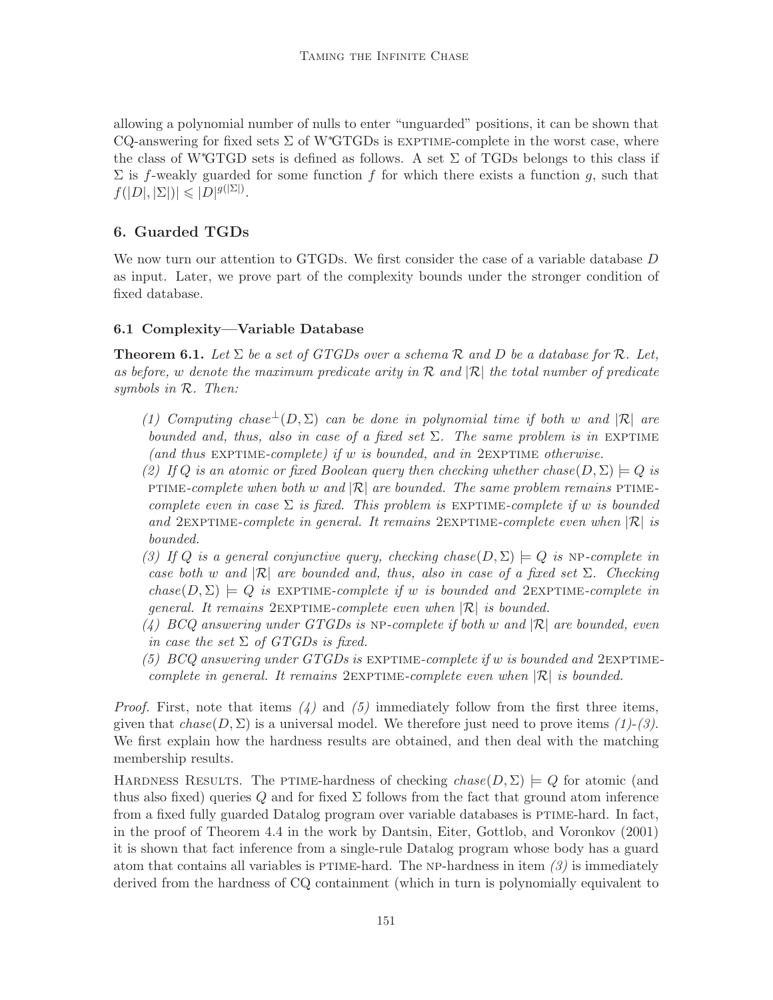allowing a polynomial number of nulls to enter "unguarded" positions, it can be shown that CQ-answering for fixed sets  $\Sigma$  of W<sup>\*</sup>GTGDs is EXPTIME-complete in the worst case, where the class of W<sup>\*</sup>GTGD sets is defined as follows. A set  $\Sigma$  of TGDs belongs to this class if  $\Sigma$  is f-weakly guarded for some function f for which there exists a function q, such that  $f(|D|, |\Sigma|)| \leqslant |D|^{g(|\Sigma|)}.$ 

# 6. Guarded TGDs

We now turn our attention to GTGDs. We first consider the case of a variable database D as input. Later, we prove part of the complexity bounds under the stronger condition of fixed database.

# 6.1 Complexity—Variable Database

**Theorem 6.1.** Let  $\Sigma$  be a set of GTGDs over a schema R and D be a database for R. Let, as before, w denote the maximum predicate arity in R and  $|\mathcal{R}|$  the total number of predicate symbols in R. Then:

- (1) Computing chase<sup> $\perp$ </sup>(D,  $\Sigma$ ) can be done in polynomial time if both w and  $|\mathcal{R}|$  are bounded and, thus, also in case of a fixed set  $\Sigma$ . The same problem is in EXPTIME (and thus EXPTIME-complete) if w is bounded, and in 2EXPTIME otherwise.
- (2) If Q is an atomic or fixed Boolean query then checking whether chase  $(D, \Sigma) \models Q$  is PTIME-complete when both w and  $|\mathcal{R}|$  are bounded. The same problem remains PTIMEcomplete even in case  $\Sigma$  is fixed. This problem is EXPTIME-complete if w is bounded and 2EXPTIME-complete in general. It remains 2EXPTIME-complete even when  $|\mathcal{R}|$  is bounded.
- (3) If Q is a general conjunctive query, checking chase( $D, \Sigma$ )  $\models Q$  is NP-complete in case both w and  $|\mathcal{R}|$  are bounded and, thus, also in case of a fixed set  $\Sigma$ . Checking chase( $D, \Sigma$ ) = Q is EXPTIME-complete if w is bounded and 2EXPTIME-complete in general. It remains  $2$ EXPTIME-complete even when  $|\mathcal{R}|$  is bounded.
- (4) BCQ answering under GTGDs is NP-complete if both w and  $|\mathcal{R}|$  are bounded, even in case the set  $\Sigma$  of GTGDs is fixed.
- (5) BCQ answering under GTGDs is EXPTIME-complete if w is bounded and  $2$ EXPTIMEcomplete in general. It remains 2EXPTIME-complete even when  $|\mathcal{R}|$  is bounded.

*Proof.* First, note that items  $(4)$  and  $(5)$  immediately follow from the first three items, given that  $chase(D, \Sigma)$  is a universal model. We therefore just need to prove items  $(1)-(3)$ . We first explain how the hardness results are obtained, and then deal with the matching membership results.

HARDNESS RESULTS. The PTIME-hardness of checking  $chase(D, \Sigma) \models Q$  for atomic (and thus also fixed) queries Q and for fixed  $\Sigma$  follows from the fact that ground atom inference from a fixed fully guarded Datalog program over variable databases is ptime-hard. In fact, in the proof of Theorem 4.4 in the work by Dantsin, Eiter, Gottlob, and Voronkov (2001) it is shown that fact inference from a single-rule Datalog program whose body has a guard atom that contains all variables is PTIME-hard. The NP-hardness in item  $\beta$  is immediately derived from the hardness of CQ containment (which in turn is polynomially equivalent to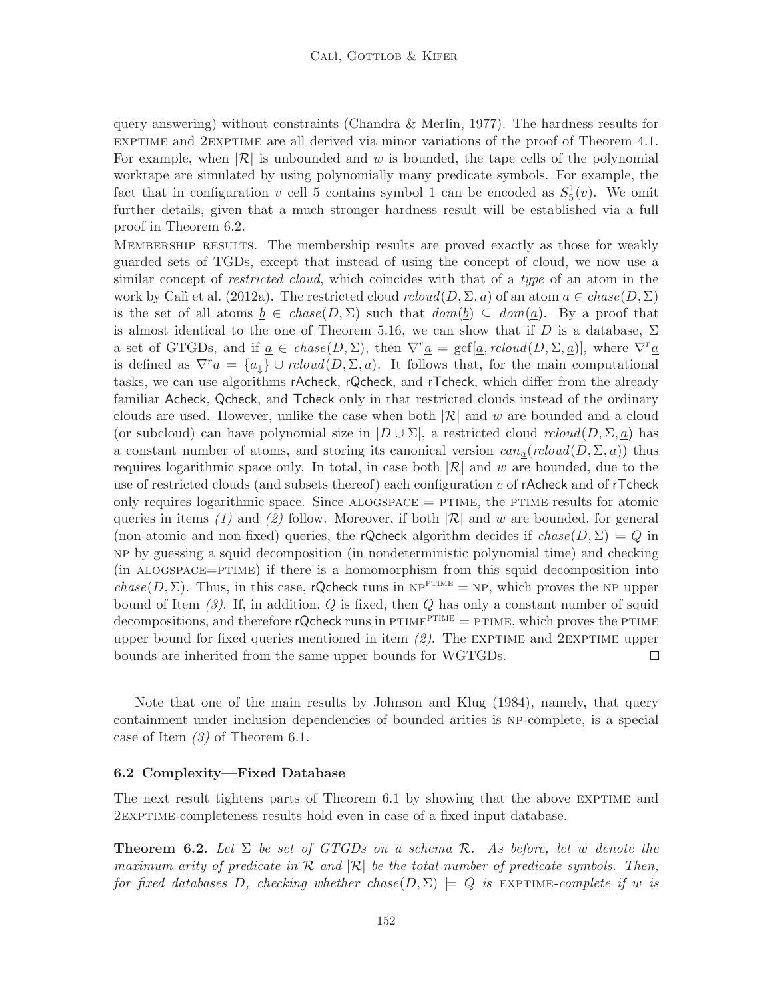query answering) without constraints (Chandra & Merlin, 1977). The hardness results for exptime and 2exptime are all derived via minor variations of the proof of Theorem 4.1. For example, when  $|\mathcal{R}|$  is unbounded and w is bounded, the tape cells of the polynomial worktape are simulated by using polynomially many predicate symbols. For example, the fact that in configuration v cell 5 contains symbol 1 can be encoded as  $S_5^1(v)$ . We omit further details, given that a much stronger hardness result will be established via a full proof in Theorem 6.2.

Membership results. The membership results are proved exactly as those for weakly guarded sets of TGDs, except that instead of using the concept of cloud, we now use a similar concept of *restricted cloud*, which coincides with that of a *type* of an atom in the work by Calì et al. (2012a). The restricted cloud  $rcloud(D, \Sigma, \underline{a})$  of an atom  $\underline{a} \in \text{chase}(D, \Sigma)$ is the set of all atoms  $\underline{b} \in \text{chase}(D, \Sigma)$  such that  $\text{dom}(\underline{b}) \subseteq \text{dom}(\underline{a})$ . By a proof that is almost identical to the one of Theorem 5.16, we can show that if D is a database,  $\Sigma$ a set of GTGDs, and if  $\underline{a} \in \text{chase}(D, \Sigma)$ , then  $\nabla^r \underline{a} = \text{gcf}[\underline{a}, \text{reload}(D, \Sigma, \underline{a})]$ , where  $\nabla^r \underline{a}$ is defined as  $\nabla^r \underline{a} = {\underline{a}}_1 \cup \text{cloud}(D, \Sigma, \underline{a})$ . It follows that, for the main computational tasks, we can use algorithms rAcheck, rQcheck, and rTcheck, which differ from the already familiar Acheck, Qcheck, and Tcheck only in that restricted clouds instead of the ordinary clouds are used. However, unlike the case when both  $\mathcal{R}$  and w are bounded and a cloud (or subcloud) can have polynomial size in  $|D \cup \Sigma|$ , a restricted cloud  $reload(D, \Sigma, a)$  has a constant number of atoms, and storing its canonical version  $can_{\underline{a}}(reload(D, \Sigma, \underline{a}))$  thus requires logarithmic space only. In total, in case both  $|\mathcal{R}|$  and w are bounded, due to the use of restricted clouds (and subsets thereof) each configuration  $c$  of rAcheck and of rTcheck only requires logarithmic space. Since  $ALOGSPACE = PTIME$ , the PTIME-results for atomic queries in items (1) and (2) follow. Moreover, if both  $|\mathcal{R}|$  and w are bounded, for general (non-atomic and non-fixed) queries, the rQcheck algorithm decides if  $chase(D, \Sigma) \models Q$  in np by guessing a squid decomposition (in nondeterministic polynomial time) and checking (in alogspace=ptime) if there is a homomorphism from this squid decomposition into chase( $D, \Sigma$ ). Thus, in this case, rQcheck runs in  $NP^{PTIME} = NP$ , which proves the NP upper bound of Item  $(3)$ . If, in addition, Q is fixed, then Q has only a constant number of squid decompositions, and therefore rQcheck runs in  $PTIME^{PTIME} = PTME$ , which proves the PTIME upper bound for fixed queries mentioned in item  $(2)$ . The EXPTIME and 2EXPTIME upper bounds are inherited from the same upper bounds for WGTGDs.  $\Box$ 

Note that one of the main results by Johnson and Klug (1984), namely, that query containment under inclusion dependencies of bounded arities is np-complete, is a special case of Item  $(3)$  of Theorem 6.1.

#### 6.2 Complexity—Fixed Database

The next result tightens parts of Theorem 6.1 by showing that the above exptime and 2exptime-completeness results hold even in case of a fixed input database.

**Theorem 6.2.** Let  $\Sigma$  be set of GTGDs on a schema R. As before, let w denote the maximum arity of predicate in  $\mathcal R$  and  $|\mathcal R|$  be the total number of predicate symbols. Then, for fixed databases D, checking whether chase( $D, \Sigma$ )  $\models Q$  is EXPTIME-complete if w is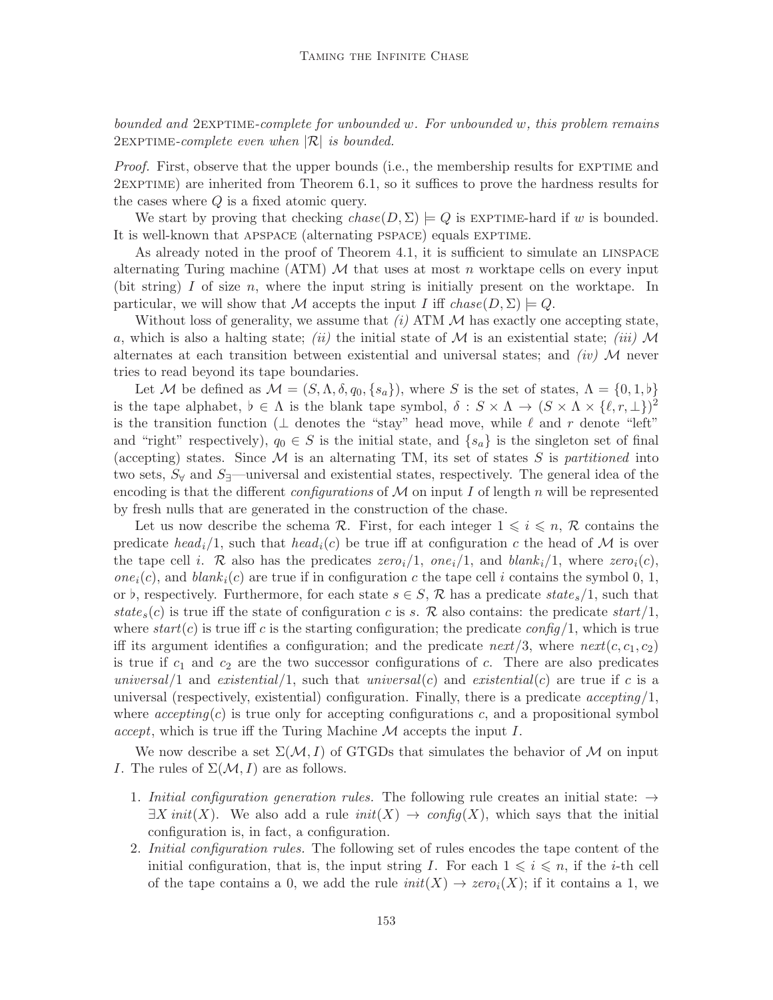bounded and  $2$ EXPTIME-complete for unbounded w. For unbounded w, this problem remains 2EXPTIME-complete even when  $|\mathcal{R}|$  is bounded.

Proof. First, observe that the upper bounds (i.e., the membership results for EXPTIME and 2exptime) are inherited from Theorem 6.1, so it suffices to prove the hardness results for the cases where Q is a fixed atomic query.

We start by proving that checking  $chase(D, \Sigma) \models Q$  is EXPTIME-hard if w is bounded. It is well-known that APSPACE (alternating PSPACE) equals EXPTIME.

As already noted in the proof of Theorem 4.1, it is sufficient to simulate an linspace alternating Turing machine (ATM)  $\mathcal M$  that uses at most n worktape cells on every input (bit string) I of size n, where the input string is initially present on the worktape. In particular, we will show that M accepts the input I iff  $chase(D, \Sigma) \models Q$ .

Without loss of generality, we assume that  $(i)$  ATM  $\mathcal M$  has exactly one accepting state, a, which is also a halting state; (ii) the initial state of M is an existential state; (iii) M alternates at each transition between existential and universal states; and  $(iv)$  M never tries to read beyond its tape boundaries.

Let M be defined as  $M = (S, \Lambda, \delta, q_0, \{s_a\})$ , where S is the set of states,  $\Lambda = \{0, 1, \flat\}$ is the tape alphabet,  $\flat \in \Lambda$  is the blank tape symbol,  $\delta: S \times \Lambda \to (S \times \Lambda \times \{\ell, r, \bot\})^2$ is the transition function ( $\perp$  denotes the "stay" head move, while  $\ell$  and r denote "left" and "right" respectively),  $q_0 \in S$  is the initial state, and  $\{s_a\}$  is the singleton set of final (accepting) states. Since  $M$  is an alternating TM, its set of states  $S$  is partitioned into two sets,  $S_{\forall}$  and  $S_{\exists}$ —universal and existential states, respectively. The general idea of the encoding is that the different *configurations* of M on input I of length n will be represented by fresh nulls that are generated in the construction of the chase.

Let us now describe the schema R. First, for each integer  $1 \leqslant i \leqslant n$ , R contains the predicate head<sub>i</sub>/1, such that head<sub>i</sub>(c) be true iff at configuration c the head of M is over the tape cell i. R also has the predicates  $zero_i/1$ ,  $one_i/1$ , and  $blank_i/1$ , where  $zero_i(c)$ ,  $one_i(c)$ , and  $blank_i(c)$  are true if in configuration c the tape cell i contains the symbol 0, 1, or  $\flat$ , respectively. Furthermore, for each state  $s \in S$ ,  $\mathcal{R}$  has a predicate state<sub>s</sub>/1, such that state<sub>s</sub>(c) is true iff the state of configuration c is s. R also contains: the predicate start/1, where  $start(c)$  is true iff c is the starting configuration; the predicate config/1, which is true iff its argument identifies a configuration; and the predicate  $next/3$ , where  $next(c, c_1, c_2)$ is true if  $c_1$  and  $c_2$  are the two successor configurations of c. There are also predicates universal/1 and existential/1, such that universal(c) and existential(c) are true if c is a universal (respectively, existential) configuration. Finally, there is a predicate  $accepting/1$ , where  $accepting(c)$  is true only for accepting configurations c, and a propositional symbol *accept*, which is true iff the Turing Machine  $M$  accepts the input I.

We now describe a set  $\Sigma(\mathcal{M}, I)$  of GTGDs that simulates the behavior of M on input I. The rules of  $\Sigma(\mathcal{M}, I)$  are as follows.

- 1. Initial configuration generation rules. The following rule creates an initial state:  $\rightarrow$  $\exists X \text{ init}(X)$ . We also add a rule  $init(X) \rightarrow config(X)$ , which says that the initial configuration is, in fact, a configuration.
- 2. Initial configuration rules. The following set of rules encodes the tape content of the initial configuration, that is, the input string I. For each  $1 \leqslant i \leqslant n$ , if the *i*-th cell of the tape contains a 0, we add the rule  $init(X) \rightarrow zero_i(X)$ ; if it contains a 1, we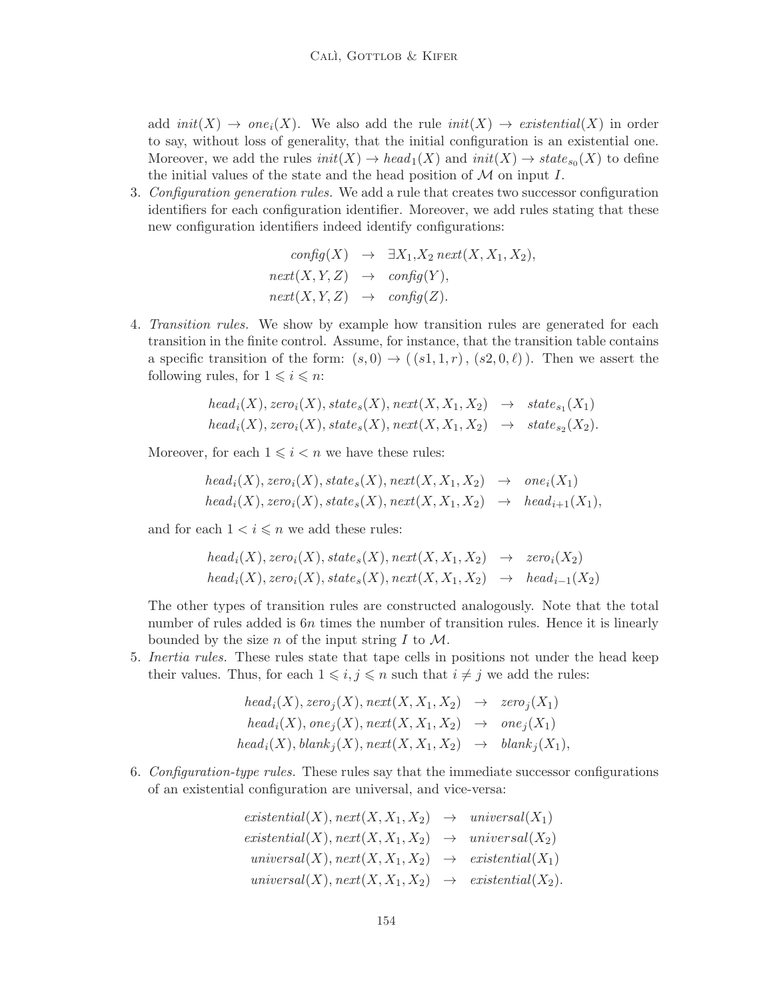add  $init(X) \rightarrow one_i(X)$ . We also add the rule  $init(X) \rightarrow existential(X)$  in order to say, without loss of generality, that the initial configuration is an existential one. Moreover, we add the rules  $init(X) \rightarrow head_1(X)$  and  $init(X) \rightarrow state_{s_0}(X)$  to define the initial values of the state and the head position of  $M$  on input  $I$ .

3. Configuration generation rules. We add a rule that creates two successor configuration identifiers for each configuration identifier. Moreover, we add rules stating that these new configuration identifiers indeed identify configurations:

> $\text{config}(X) \rightarrow \exists X_1, X_2 \text{ next}(X, X_1, X_2),$  $next(X, Y, Z) \rightarrow config(Y),$  $next(X, Y, Z) \rightarrow config(Z).$

4. Transition rules. We show by example how transition rules are generated for each transition in the finite control. Assume, for instance, that the transition table contains a specific transition of the form:  $(s, 0) \rightarrow (s_1, 1, r), (s_2, 0, \ell)$ . Then we assert the following rules, for  $1 \leq i \leq n$ :

$$
head_i(X), zero_i(X), state_s(X), next(X, X_1, X_2) \rightarrow state_{s_1}(X_1)
$$
  
\n
$$
head_i(X), zero_i(X), state_s(X), next(X, X_1, X_2) \rightarrow state_{s_2}(X_2).
$$

Moreover, for each  $1 \leq i \leq n$  we have these rules:

$$
head_i(X), zero_i(X), state_s(X), next(X, X_1, X_2) \rightarrow one_i(X_1)
$$
  

$$
head_i(X), zero_i(X), state_s(X), next(X, X_1, X_2) \rightarrow head_{i+1}(X_1),
$$

and for each  $1 \leq i \leq n$  we add these rules:

$$
head_i(X)
$$
,  $zero_i(X)$ ,  $state_s(X)$ ,  $next(X, X_1, X_2) \rightarrow zero_i(X_2)$   
\n $head_i(X)$ ,  $zero_i(X)$ ,  $state_s(X)$ ,  $next(X, X_1, X_2) \rightarrow head_{i-1}(X_2)$ 

The other types of transition rules are constructed analogously. Note that the total number of rules added is  $6n$  times the number of transition rules. Hence it is linearly bounded by the size n of the input string I to  $\mathcal{M}$ .

5. Inertia rules. These rules state that tape cells in positions not under the head keep their values. Thus, for each  $1 \leq i, j \leq n$  such that  $i \neq j$  we add the rules:

$$
head_i(X), zero_j(X), next(X, X_1, X_2) \rightarrow zero_j(X_1)
$$
  
\n
$$
head_i(X), one_j(X), next(X, X_1, X_2) \rightarrow one_j(X_1)
$$
  
\n
$$
head_i(X), blank_j(X), next(X, X_1, X_2) \rightarrow blank_j(X_1),
$$

6. Configuration-type rules. These rules say that the immediate successor configurations of an existential configuration are universal, and vice-versa:

$$
existential(X), next(X, X_1, X_2) \rightarrow universal(X_1)
$$
  

$$
existential(X), next(X, X_1, X_2) \rightarrow universal(X_2)
$$
  

$$
universal(X), next(X, X_1, X_2) \rightarrow existential(X_1)
$$
  

$$
universal(X), next(X, X_1, X_2) \rightarrow existential(X_2).
$$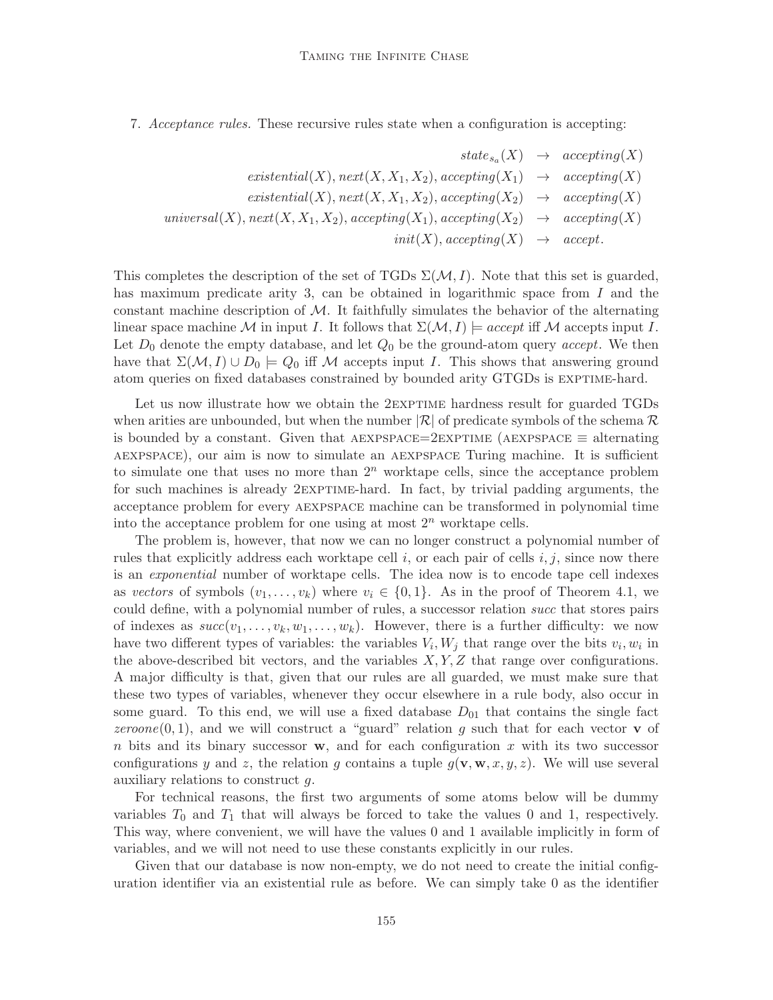7. Acceptance rules. These recursive rules state when a configuration is accepting:

|                                                                                                                                            | $state_{s_a}(X) \rightarrow accepting(X)$ |
|--------------------------------------------------------------------------------------------------------------------------------------------|-------------------------------------------|
| $existential(X), next(X, X_1, X_2), accepting(X_1) \rightarrow accepting(X)$                                                               |                                           |
| $existential(X), next(X, X_1, X_2), accepting(X_2) \rightarrow accepting(X)$                                                               |                                           |
| universal(X), next(X, X <sub>1</sub> , X <sub>2</sub> ), accepting(X <sub>1</sub> ), accepting(X <sub>2</sub> ) $\rightarrow$ accepting(X) |                                           |
| $init(X)$ , accepting(X) $\rightarrow$ accept.                                                                                             |                                           |

This completes the description of the set of TGDs  $\Sigma(\mathcal{M}, I)$ . Note that this set is guarded, has maximum predicate arity 3, can be obtained in logarithmic space from I and the constant machine description of  $M$ . It faithfully simulates the behavior of the alternating linear space machine M in input I. It follows that  $\Sigma(\mathcal{M}, I) \models accept$  iff M accepts input I. Let  $D_0$  denote the empty database, and let  $Q_0$  be the ground-atom query *accept*. We then have that  $\Sigma(\mathcal{M}, I) \cup D_0 \models Q_0$  iff M accepts input I. This shows that answering ground atom queries on fixed databases constrained by bounded arity GTGDs is EXPTIME-hard.

Let us now illustrate how we obtain the  $2EXTIME$  hardness result for guarded TGDs when arities are unbounded, but when the number  $|\mathcal{R}|$  of predicate symbols of the schema  $\mathcal{R}$ is bounded by a constant. Given that  $AEXPSPACE = 2EXPTIME (AEXPSPACE \equiv alternating$ aexpspace), our aim is now to simulate an aexpspace Turing machine. It is sufficient to simulate one that uses no more than  $2<sup>n</sup>$  worktape cells, since the acceptance problem for such machines is already 2EXPTIME-hard. In fact, by trivial padding arguments, the acceptance problem for every aexpspace machine can be transformed in polynomial time into the acceptance problem for one using at most  $2^n$  worktape cells.

The problem is, however, that now we can no longer construct a polynomial number of rules that explicitly address each worktape cell  $i$ , or each pair of cells  $i, j$ , since now there is an exponential number of worktape cells. The idea now is to encode tape cell indexes as vectors of symbols  $(v_1, \ldots, v_k)$  where  $v_i \in \{0, 1\}$ . As in the proof of Theorem 4.1, we could define, with a polynomial number of rules, a successor relation succ that stores pairs of indexes as  $succ(v_1, \ldots, v_k, w_1, \ldots, w_k)$ . However, there is a further difficulty: we now have two different types of variables: the variables  $V_i, W_j$  that range over the bits  $v_i, w_i$  in the above-described bit vectors, and the variables  $X, Y, Z$  that range over configurations. A major difficulty is that, given that our rules are all guarded, we must make sure that these two types of variables, whenever they occur elsewhere in a rule body, also occur in some guard. To this end, we will use a fixed database  $D_{01}$  that contains the single fact zeroone(0,1), and we will construct a "guard" relation g such that for each vector  $\bf{v}$  of n bits and its binary successor w, and for each configuration x with its two successor configurations y and z, the relation g contains a tuple  $g(\mathbf{v}, \mathbf{w}, x, y, z)$ . We will use several auxiliary relations to construct g.

For technical reasons, the first two arguments of some atoms below will be dummy variables  $T_0$  and  $T_1$  that will always be forced to take the values 0 and 1, respectively. This way, where convenient, we will have the values 0 and 1 available implicitly in form of variables, and we will not need to use these constants explicitly in our rules.

Given that our database is now non-empty, we do not need to create the initial configuration identifier via an existential rule as before. We can simply take 0 as the identifier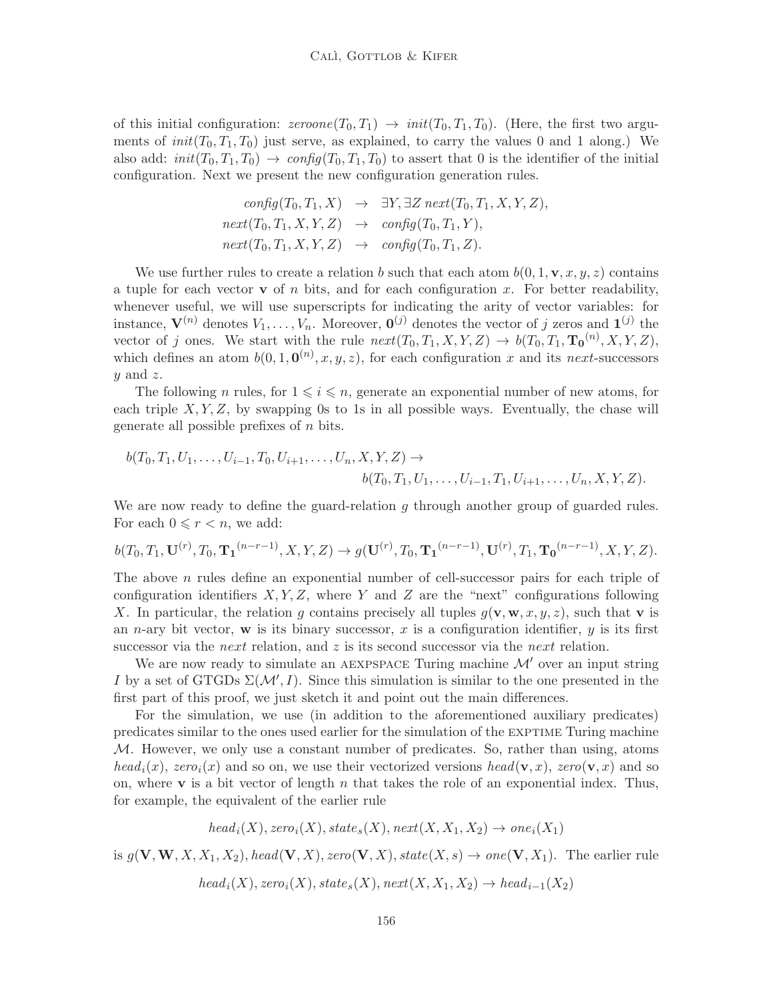of this initial configuration:  $zeroone(T_0, T_1) \rightarrow init(T_0, T_1, T_0)$ . (Here, the first two arguments of  $init(T_0, T_1, T_0)$  just serve, as explained, to carry the values 0 and 1 along.) We also add:  $init(T_0, T_1, T_0) \rightarrow confg(T_0, T_1, T_0)$  to assert that 0 is the identifier of the initial configuration. Next we present the new configuration generation rules.

$$
config(T_0, T_1, X) \rightarrow \exists Y, \exists Z \ next(T_0, T_1, X, Y, Z),
$$
  

$$
next(T_0, T_1, X, Y, Z) \rightarrow config(T_0, T_1, Y),
$$
  

$$
next(T_0, T_1, X, Y, Z) \rightarrow config(T_0, T_1, Z).
$$

We use further rules to create a relation b such that each atom  $b(0, 1, \mathbf{v}, x, y, z)$  contains a tuple for each vector **v** of n bits, and for each configuration x. For better readability, whenever useful, we will use superscripts for indicating the arity of vector variables: for instance,  $\mathbf{V}^{(n)}$  denotes  $V_1, \ldots, V_n$ . Moreover,  $\mathbf{0}^{(j)}$  denotes the vector of j zeros and  $\mathbf{1}^{(j)}$  the vector of j ones. We start with the rule  $next(T_0, T_1, X, Y, Z) \rightarrow b(T_0, T_1, \mathbf{T_0}^{(n)}, X, Y, Z),$ which defines an atom  $b(0,1,\mathbf{0}^{(n)},x,y,z)$ , for each configuration x and its next-successors  $y$  and  $z$ .

The following n rules, for  $1 \leq i \leq n$ , generate an exponential number of new atoms, for each triple  $X, Y, Z$ , by swapping 0s to 1s in all possible ways. Eventually, the chase will generate all possible prefixes of n bits.

$$
b(T_0, T_1, U_1, \ldots, U_{i-1}, T_0, U_{i+1}, \ldots, U_n, X, Y, Z) \to b(T_0, T_1, U_1, \ldots, U_{i-1}, T_1, U_{i+1}, \ldots, U_n, X, Y, Z).
$$

We are now ready to define the guard-relation  $g$  through another group of guarded rules. For each  $0 \leq r < n$ , we add:

$$
b(T_0, T_1, \mathbf{U}^{(r)}, T_0, \mathbf{T_1}^{(n-r-1)}, X, Y, Z) \to g(\mathbf{U}^{(r)}, T_0, \mathbf{T_1}^{(n-r-1)}, \mathbf{U}^{(r)}, T_1, \mathbf{T_0}^{(n-r-1)}, X, Y, Z).
$$

The above *n* rules define an exponential number of cell-successor pairs for each triple of configuration identifiers  $X, Y, Z$ , where Y and Z are the "next" configurations following X. In particular, the relation q contains precisely all tuples  $q(\mathbf{v}, \mathbf{w}, x, y, z)$ , such that **v** is an *n*-ary bit vector, w is its binary successor, x is a configuration identifier, y is its first successor via the *next* relation, and z is its second successor via the *next* relation.

We are now ready to simulate an AEXPSPACE Turing machine  $\mathcal{M}'$  over an input string I by a set of GTGDs  $\Sigma(\mathcal{M}', I)$ . Since this simulation is similar to the one presented in the first part of this proof, we just sketch it and point out the main differences.

For the simulation, we use (in addition to the aforementioned auxiliary predicates) predicates similar to the ones used earlier for the simulation of the exptime Turing machine  $M$ . However, we only use a constant number of predicates. So, rather than using, atoms  $head_i(x)$ , zero $_i(x)$  and so on, we use their vectorized versions  $head(\mathbf{v}, x)$ , zero $(\mathbf{v}, x)$  and so on, where  $\bf{v}$  is a bit vector of length n that takes the role of an exponential index. Thus, for example, the equivalent of the earlier rule

 $head_i(X), zero_i(X), state_s(X), next(X, X_1, X_2) \rightarrow one_i(X_1)$ 

is  $g(\mathbf{V}, \mathbf{W}, X, X_1, X_2)$ , head $(\mathbf{V}, X)$ , zero $(\mathbf{V}, X)$ , state $(X, s) \to one(\mathbf{V}, X_1)$ . The earlier rule

$$
head_i(X)
$$
,  $zero_i(X)$ ,  $state_s(X)$ ,  $next(X, X_1, X_2) \rightarrow head_{i-1}(X_2)$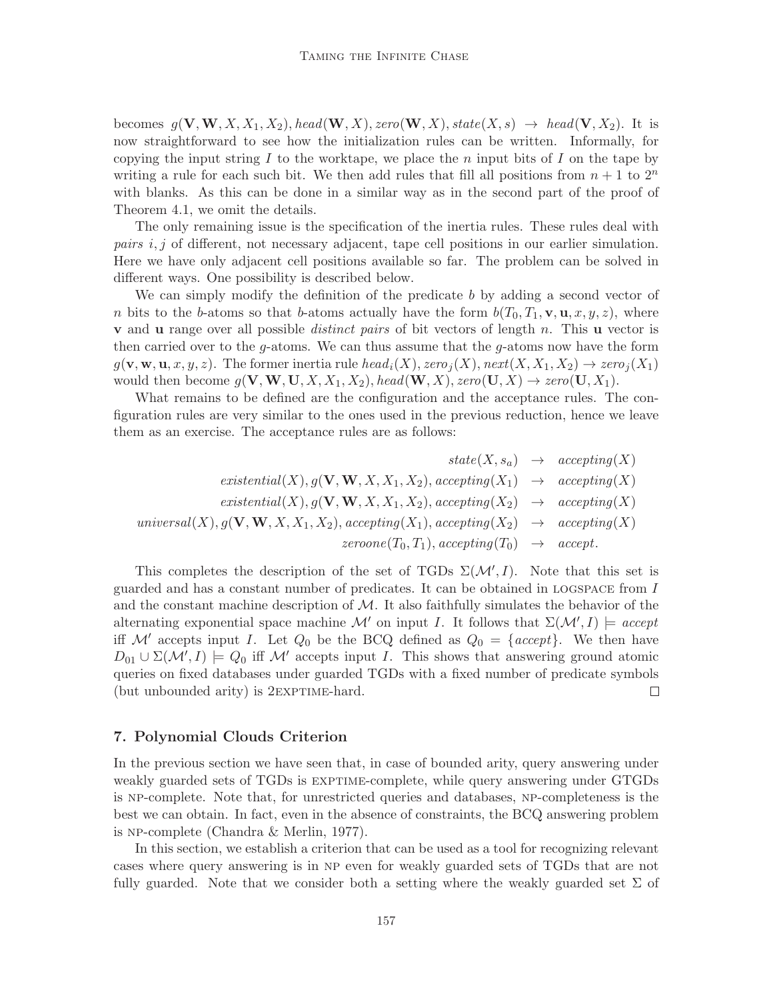becomes  $g(\mathbf{V}, \mathbf{W}, X, X_1, X_2)$ , head( $\mathbf{W}, X$ ), zero( $\mathbf{W}, X$ ), state(X, s)  $\rightarrow$  head( $\mathbf{V}, X_2$ ). It is now straightforward to see how the initialization rules can be written. Informally, for copying the input string I to the worktape, we place the n input bits of I on the tape by writing a rule for each such bit. We then add rules that fill all positions from  $n + 1$  to  $2^n$ with blanks. As this can be done in a similar way as in the second part of the proof of Theorem 4.1, we omit the details.

The only remaining issue is the specification of the inertia rules. These rules deal with *pairs i, j* of different, not necessary adjacent, tape cell positions in our earlier simulation. Here we have only adjacent cell positions available so far. The problem can be solved in different ways. One possibility is described below.

We can simply modify the definition of the predicate b by adding a second vector of n bits to the b-atoms so that b-atoms actually have the form  $b(T_0, T_1, \mathbf{v}, \mathbf{u}, x, y, z)$ , where **v** and **u** range over all possible *distinct pairs* of bit vectors of length n. This **u** vector is then carried over to the  $g$ -atoms. We can thus assume that the  $g$ -atoms now have the form  $g(\mathbf{v}, \mathbf{w}, \mathbf{u}, x, y, z)$ . The former inertia rule  $head_i(X)$ ,  $zero_i(X)$ ,  $next(X, X_1, X_2) \rightarrow zero_i(X_1)$ would then become  $g(\mathbf{V}, \mathbf{W}, \mathbf{U}, X, X_1, X_2)$ , head $(\mathbf{W}, X)$ , zero $(\mathbf{U}, X) \rightarrow zero(\mathbf{U}, X_1)$ .

What remains to be defined are the configuration and the acceptance rules. The configuration rules are very similar to the ones used in the previous reduction, hence we leave them as an exercise. The acceptance rules are as follows:

$$
state(X, s_a) \rightarrow accepting(X)
$$
  
existential(X),  $g(\mathbf{V}, \mathbf{W}, X, X_1, X_2)$ , accepting(X<sub>1</sub>)  $\rightarrow accepting(X)$   
existential(X),  $g(\mathbf{V}, \mathbf{W}, X, X_1, X_2)$ , accepting(X<sub>2</sub>)  $\rightarrow accepting(X)$   
universal(X),  $g(\mathbf{V}, \mathbf{W}, X, X_1, X_2)$ , accepting(X<sub>1</sub>), accepting(X<sub>2</sub>)  $\rightarrow accepting(X)$   
zeroone(T<sub>0</sub>, T<sub>1</sub>), accepting(T<sub>0</sub>)  $\rightarrow accepting(X)$ 

This completes the description of the set of TGDs  $\Sigma(\mathcal{M}', I)$ . Note that this set is guarded and has a constant number of predicates. It can be obtained in logspace from I and the constant machine description of  $\mathcal{M}$ . It also faithfully simulates the behavior of the alternating exponential space machine M' on input I. It follows that  $\Sigma(\mathcal{M}', I) \models accept$ iff M' accepts input I. Let  $Q_0$  be the BCQ defined as  $Q_0 = \{accept\}$ . We then have  $D_{01} \cup \Sigma(\mathcal{M}', I) \models Q_0$  iff  $\mathcal{M}'$  accepts input I. This shows that answering ground atomic queries on fixed databases under guarded TGDs with a fixed number of predicate symbols (but unbounded arity) is  $2$ EXPTIME-hard.  $\Box$ 

# 7. Polynomial Clouds Criterion

In the previous section we have seen that, in case of bounded arity, query answering under weakly guarded sets of TGDs is exptime-complete, while query answering under GTGDs is np-complete. Note that, for unrestricted queries and databases, np-completeness is the best we can obtain. In fact, even in the absence of constraints, the BCQ answering problem is np-complete (Chandra & Merlin, 1977).

In this section, we establish a criterion that can be used as a tool for recognizing relevant cases where query answering is in NP even for weakly guarded sets of TGDs that are not fully guarded. Note that we consider both a setting where the weakly guarded set  $\Sigma$  of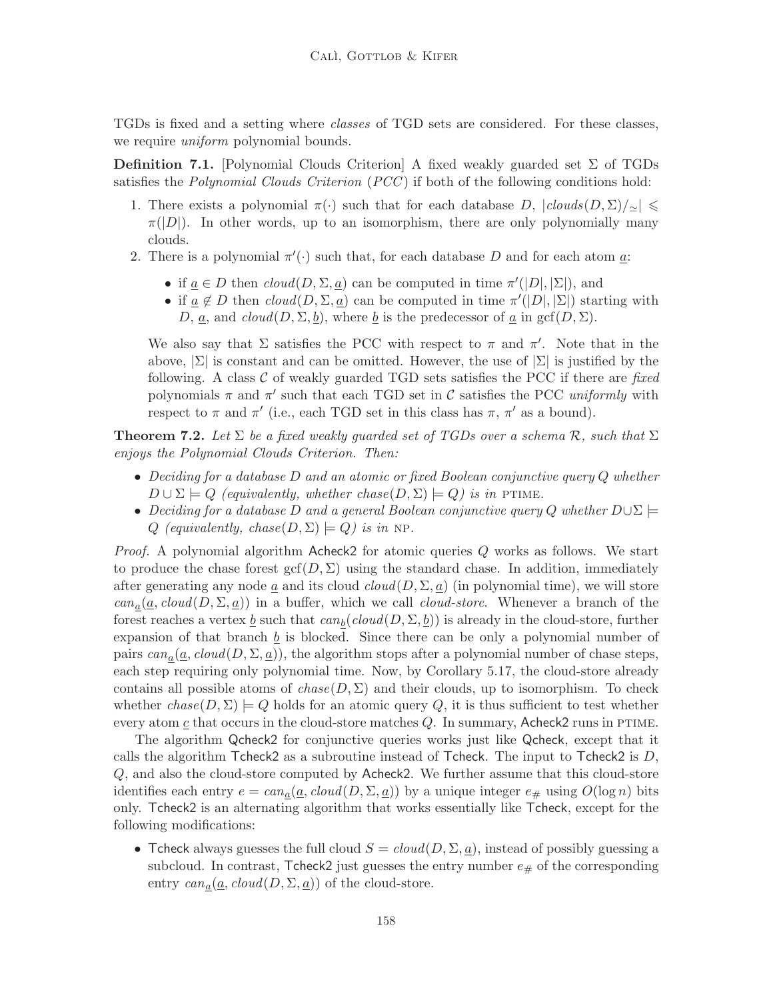TGDs is fixed and a setting where classes of TGD sets are considered. For these classes, we require *uniform* polynomial bounds.

**Definition 7.1.** [Polynomial Clouds Criterion] A fixed weakly guarded set  $\Sigma$  of TGDs satisfies the *Polynomial Clouds Criterion*  $(PCC)$  if both of the following conditions hold:

- 1. There exists a polynomial  $\pi(\cdot)$  such that for each database  $D, |clouds(D, \Sigma)\rangle_{\approx}| \leq$  $\pi(|D|)$ . In other words, up to an isomorphism, there are only polynomially many clouds.
- 2. There is a polynomial  $\pi'(\cdot)$  such that, for each database D and for each atom  $\underline{a}$ :
	- if  $\underline{a} \in D$  then  $cloud(D, \Sigma, \underline{a})$  can be computed in time  $\pi'(|D|, |\Sigma|)$ , and
	- if  $\underline{a} \notin D$  then  $cloud(D, \Sigma, \underline{a})$  can be computed in time  $\pi'(|D|, |\Sigma|)$  starting with D, <u>a</u>, and  $cloud(D, \Sigma, \underline{b})$ , where <u>b</u> is the predecessor of <u>a</u> in gcf(D,  $\Sigma$ ).

We also say that  $\Sigma$  satisfies the PCC with respect to  $\pi$  and  $\pi'$ . Note that in the above,  $|\Sigma|$  is constant and can be omitted. However, the use of  $|\Sigma|$  is justified by the following. A class  $\mathcal C$  of weakly guarded TGD sets satisfies the PCC if there are fixed polynomials  $\pi$  and  $\pi'$  such that each TGD set in C satisfies the PCC uniformly with respect to  $\pi$  and  $\pi'$  (i.e., each TGD set in this class has  $\pi$ ,  $\pi'$  as a bound).

**Theorem 7.2.** Let  $\Sigma$  be a fixed weakly guarded set of TGDs over a schema R, such that  $\Sigma$ enjoys the Polynomial Clouds Criterion. Then:

- Deciding for a database D and an atomic or fixed Boolean conjunctive query Q whether  $D \cup \Sigma \models Q$  (equivalently, whether chase $(D, \Sigma) \models Q$ ) is in PTIME.
- Deciding for a database D and a general Boolean conjunctive query Q whether  $D \cup \Sigma$   $\models$  $Q$  (equivalently, chase( $D, \Sigma$ ) =  $Q$ ) is in NP.

Proof. A polynomial algorithm Acheck2 for atomic queries Q works as follows. We start to produce the chase forest  $\text{gcf}(D, \Sigma)$  using the standard chase. In addition, immediately after generating any node a and its cloud  $cloud(D, \Sigma, a)$  (in polynomial time), we will store  $can_{a}(\underline{a}, cloud(D, \Sigma, \underline{a}))$  in a buffer, which we call *cloud-store*. Whenever a branch of the forest reaches a vertex <u>b</u> such that  $can_b(cloud(D, \Sigma, \underline{b}))$  is already in the cloud-store, further expansion of that branch  $\underline{b}$  is blocked. Since there can be only a polynomial number of pairs  $can_a(a, cloud(D, \Sigma, a))$ , the algorithm stops after a polynomial number of chase steps, each step requiring only polynomial time. Now, by Corollary 5.17, the cloud-store already contains all possible atoms of  $chase(D, \Sigma)$  and their clouds, up to isomorphism. To check whether  $chase(D, \Sigma) \models Q$  holds for an atomic query Q, it is thus sufficient to test whether every atom  $c$  that occurs in the cloud-store matches  $Q$ . In summary, Acheck2 runs in PTIME.

The algorithm Qcheck2 for conjunctive queries works just like Qcheck, except that it calls the algorithm Tcheck2 as a subroutine instead of Tcheck. The input to Tcheck2 is  $D$ , Q, and also the cloud-store computed by Acheck2. We further assume that this cloud-store identifies each entry  $e = can_{\underline{a}}(\underline{a}, cloud(D, \Sigma, \underline{a}))$  by a unique integer  $e_{\#}$  using  $O(log n)$  bits only. Tcheck2 is an alternating algorithm that works essentially like Tcheck, except for the following modifications:

• Tcheck always guesses the full cloud  $S = cloud(D, \Sigma, a)$ , instead of possibly guessing a subcloud. In contrast,  $T$ check2 just guesses the entry number  $e_{\#}$  of the corresponding entry  $can_{\underline{a}}(\underline{a}, cloud(D, \Sigma, \underline{a}))$  of the cloud-store.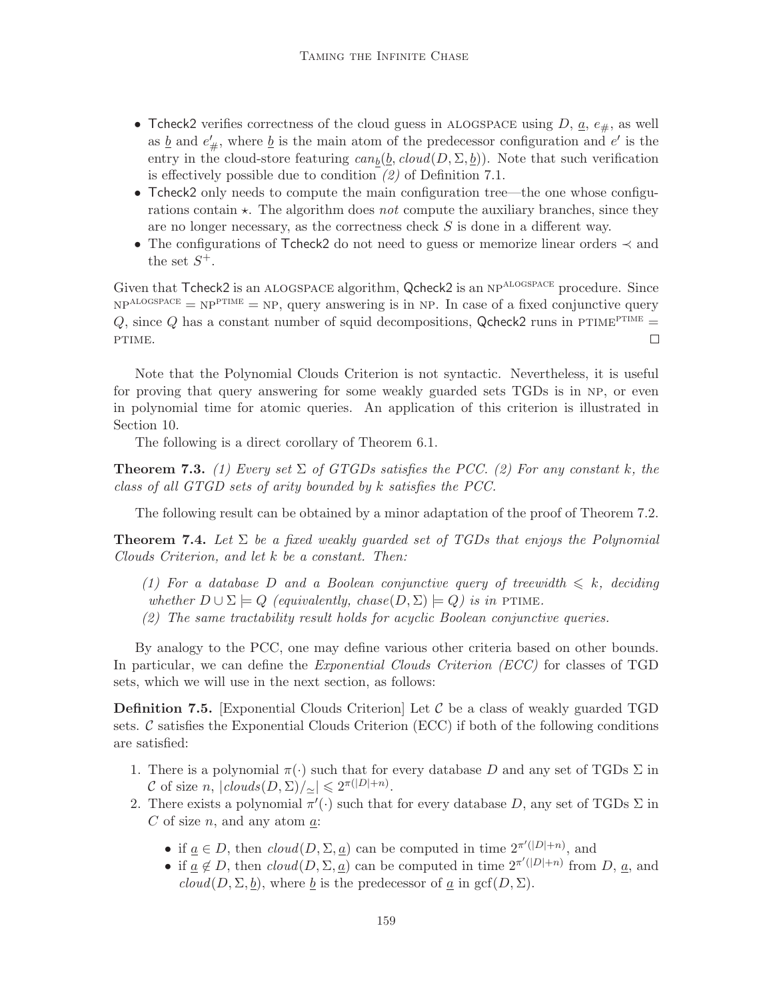- Tcheck2 verifies correctness of the cloud guess in ALOGSPACE using  $D, a, e_{\#}$ , as well as  $\underline{b}$  and  $e'_{\#}$ , where  $\underline{b}$  is the main atom of the predecessor configuration and  $e'$  is the entry in the cloud-store featuring  $can_b(b, cloud(D, \Sigma, b))$ . Note that such verification is effectively possible due to condition (2) of Definition 7.1.
- Tcheck2 only needs to compute the main configuration tree—the one whose configurations contain  $\star$ . The algorithm does not compute the auxiliary branches, since they are no longer necessary, as the correctness check S is done in a different way.
- The configurations of Tcheck2 do not need to guess or memorize linear orders ≺ and the set  $S^+$ .

Given that Tcheck2 is an ALOGSPACE algorithm, Qcheck2 is an NP<sup>ALOGSPACE</sup> procedure. Since  $NP<sup>ALOGSPACE</sup> = NP<sup>PTIME</sup> = NP$ , query answering is in NP. In case of a fixed conjunctive query  $Q$ , since  $Q$  has a constant number of squid decompositions, Qcheck2 runs in PTIME<sup>PTIME</sup> = PTIME.  $\Box$ 

Note that the Polynomial Clouds Criterion is not syntactic. Nevertheless, it is useful for proving that query answering for some weakly guarded sets TGDs is in NP, or even in polynomial time for atomic queries. An application of this criterion is illustrated in Section 10.

The following is a direct corollary of Theorem 6.1.

**Theorem 7.3.** (1) Every set  $\Sigma$  of GTGDs satisfies the PCC. (2) For any constant k, the class of all GTGD sets of arity bounded by k satisfies the PCC.

The following result can be obtained by a minor adaptation of the proof of Theorem 7.2.

**Theorem 7.4.** Let  $\Sigma$  be a fixed weakly guarded set of TGDs that enjoys the Polynomial Clouds Criterion, and let k be a constant. Then:

- (1) For a database D and a Boolean conjunctive query of treewidth  $\leq k$ , deciding whether  $D \cup \Sigma \models Q$  (equivalently, chase  $(D, \Sigma) \models Q$ ) is in PTIME.
- (2) The same tractability result holds for acyclic Boolean conjunctive queries.

By analogy to the PCC, one may define various other criteria based on other bounds. In particular, we can define the *Exponential Clouds Criterion (ECC)* for classes of TGD sets, which we will use in the next section, as follows:

**Definition 7.5.** [Exponential Clouds Criterion] Let  $\mathcal{C}$  be a class of weakly guarded TGD sets.  $\mathcal C$  satisfies the Exponential Clouds Criterion (ECC) if both of the following conditions are satisfied:

- 1. There is a polynomial  $\pi(\cdot)$  such that for every database D and any set of TGDs  $\Sigma$  in C of size n,  $|clouds(D, \Sigma)/_{\simeq}| \leq 2^{\pi(|D|+n)}$ .
- 2. There exists a polynomial  $\pi'(\cdot)$  such that for every database D, any set of TGDs  $\Sigma$  in  $C$  of size  $n$ , and any atom  $a$ :
	- if  $\underline{a} \in D$ , then  $cloud(D, \Sigma, \underline{a})$  can be computed in time  $2^{\pi'(|D|+n)}$ , and
	- if  $\overline{a} \notin D$ , then  $cloud(D, \Sigma, \overline{a})$  can be computed in time  $2^{\pi'(|D|+n)}$  from D,  $\underline{a}$ , and  $cloud(D, \Sigma, b)$ , where b is the predecessor of a in gcf(D,  $\Sigma$ ).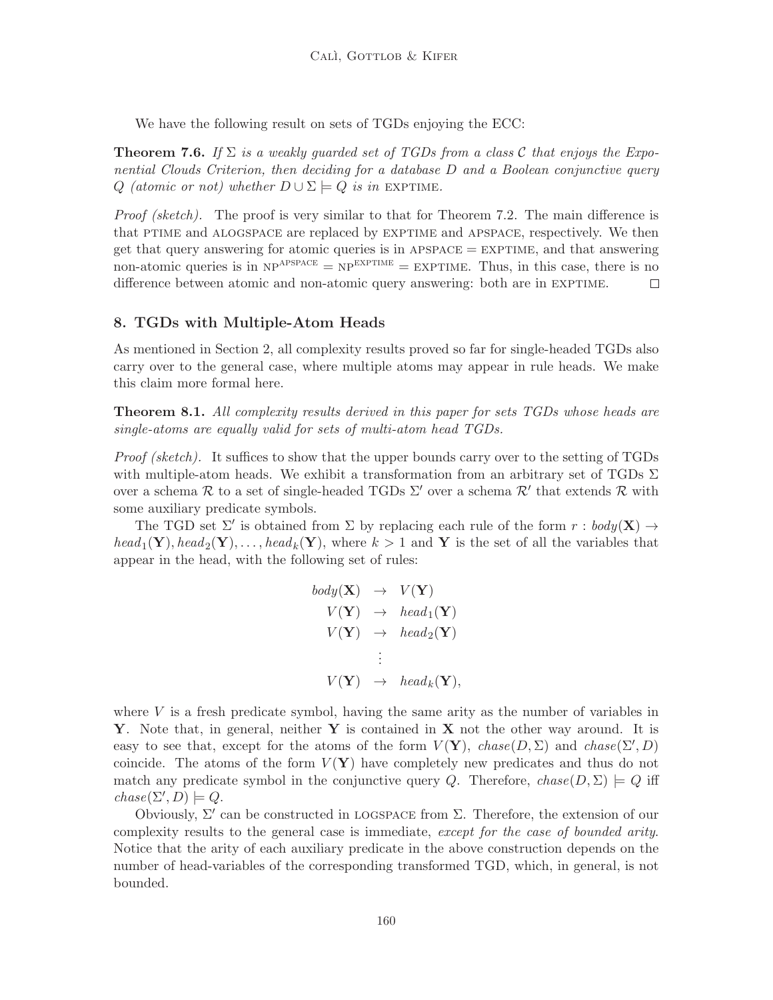We have the following result on sets of TGDs enjoying the ECC:

**Theorem 7.6.** If  $\Sigma$  is a weakly guarded set of TGDs from a class C that enjoys the Exponential Clouds Criterion, then deciding for a database D and a Boolean conjunctive query Q (atomic or not) whether  $D \cup \Sigma \models Q$  is in EXPTIME.

*Proof (sketch).* The proof is very similar to that for Theorem 7.2. The main difference is that PTIME and ALOGSPACE are replaced by EXPTIME and APSPACE, respectively. We then get that query answering for atomic queries is in  $APSPACE = EXPTIME$ , and that answering non-atomic queries is in  $NP^{APSPACE} = NP^{EXPTIME} = EXPTIME$ . Thus, in this case, there is no difference between atomic and non-atomic query answering: both are in EXPTIME.  $\Box$ 

# 8. TGDs with Multiple-Atom Heads

As mentioned in Section 2, all complexity results proved so far for single-headed TGDs also carry over to the general case, where multiple atoms may appear in rule heads. We make this claim more formal here.

**Theorem 8.1.** All complexity results derived in this paper for sets TGDs whose heads are single-atoms are equally valid for sets of multi-atom head TGDs.

Proof (sketch). It suffices to show that the upper bounds carry over to the setting of TGDs with multiple-atom heads. We exhibit a transformation from an arbitrary set of TGDs  $\Sigma$ over a schema R to a set of single-headed TGDs  $\Sigma'$  over a schema R' that extends R with some auxiliary predicate symbols.

The TGD set  $\Sigma'$  is obtained from  $\Sigma$  by replacing each rule of the form  $r : \text{body}(\mathbf{X}) \to$  $head_1(\mathbf{Y}), head_2(\mathbf{Y}), \ldots, head_k(\mathbf{Y}),$  where  $k > 1$  and Y is the set of all the variables that appear in the head, with the following set of rules:

$$
body(\mathbf{X}) \rightarrow V(\mathbf{Y})
$$
  
\n
$$
V(\mathbf{Y}) \rightarrow head_1(\mathbf{Y})
$$
  
\n
$$
V(\mathbf{Y}) \rightarrow head_2(\mathbf{Y})
$$
  
\n
$$
\vdots
$$
  
\n
$$
V(\mathbf{Y}) \rightarrow head_k(\mathbf{Y}),
$$

where  $V$  is a fresh predicate symbol, having the same arity as the number of variables in Y. Note that, in general, neither Y is contained in X not the other way around. It is easy to see that, except for the atoms of the form  $V(Y)$ ,  $chase(D, \Sigma)$  and  $chase(\Sigma', D)$ coincide. The atoms of the form  $V(Y)$  have completely new predicates and thus do not match any predicate symbol in the conjunctive query Q. Therefore,  $chase(D, \Sigma) \models Q$  iff  $chase(\Sigma', D) \models Q.$ 

Obviously,  $\Sigma'$  can be constructed in LOGSPACE from  $\Sigma$ . Therefore, the extension of our complexity results to the general case is immediate, except for the case of bounded arity. Notice that the arity of each auxiliary predicate in the above construction depends on the number of head-variables of the corresponding transformed TGD, which, in general, is not bounded.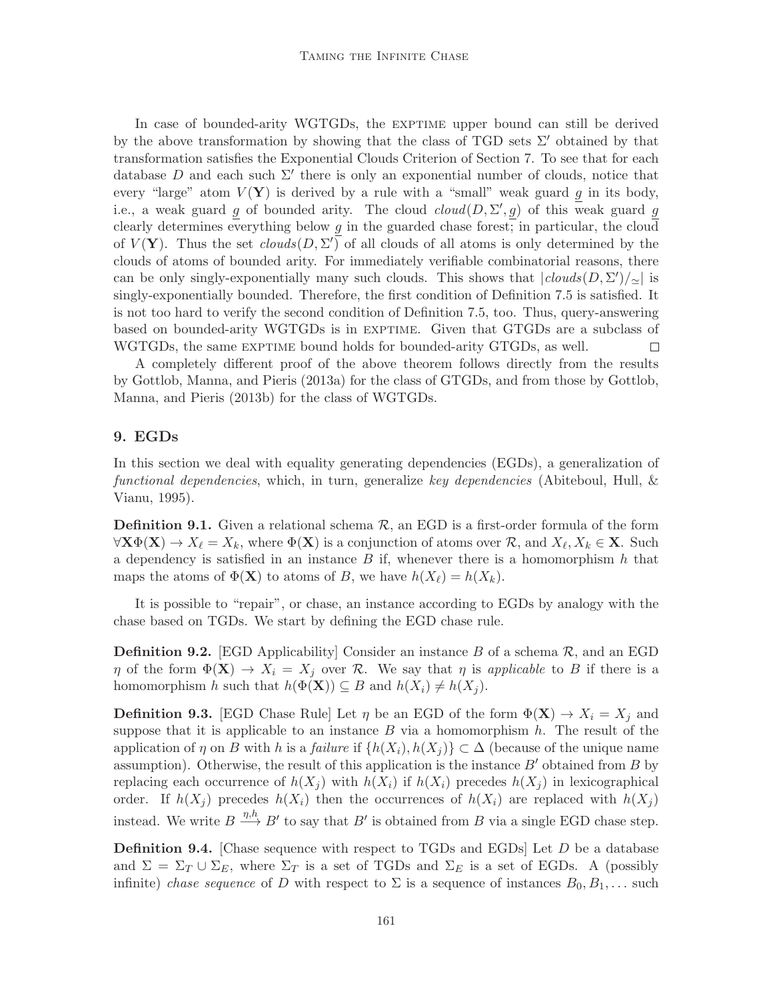In case of bounded-arity WGTGDs, the EXPTIME upper bound can still be derived by the above transformation by showing that the class of TGD sets  $\Sigma'$  obtained by that transformation satisfies the Exponential Clouds Criterion of Section 7. To see that for each database  $D$  and each such  $\Sigma'$  there is only an exponential number of clouds, notice that every "large" atom  $V(Y)$  is derived by a rule with a "small" weak guard g in its body, i.e., a weak guard g of bounded arity. The cloud  $cloud(D, \Sigma', g)$  of this weak guard g clearly determines everything below  $g$  in the guarded chase forest; in particular, the cloud of  $V(Y)$ . Thus the set  $clouds(D, \Sigma')$  of all clouds of all atoms is only determined by the clouds of atoms of bounded arity. For immediately verifiable combinatorial reasons, there can be only singly-exponentially many such clouds. This shows that  $|clouds(D, \Sigma')/\sim|$  is singly-exponentially bounded. Therefore, the first condition of Definition 7.5 is satisfied. It is not too hard to verify the second condition of Definition 7.5, too. Thus, query-answering based on bounded-arity WGTGDs is in exptime. Given that GTGDs are a subclass of WGTGDs, the same EXPTIME bound holds for bounded-arity GTGDs, as well.  $\Box$ 

A completely different proof of the above theorem follows directly from the results by Gottlob, Manna, and Pieris (2013a) for the class of GTGDs, and from those by Gottlob, Manna, and Pieris (2013b) for the class of WGTGDs.

# 9. EGDs

In this section we deal with equality generating dependencies (EGDs), a generalization of functional dependencies, which, in turn, generalize key dependencies (Abiteboul, Hull, & Vianu, 1995).

**Definition 9.1.** Given a relational schema  $\mathcal{R}$ , an EGD is a first-order formula of the form  $\forall \mathbf{X} \Phi(\mathbf{X}) \to X_{\ell} = X_k$ , where  $\Phi(\mathbf{X})$  is a conjunction of atoms over  $\mathcal{R}$ , and  $X_{\ell}, X_k \in \mathbf{X}$ . Such a dependency is satisfied in an instance  $B$  if, whenever there is a homomorphism h that maps the atoms of  $\Phi(\mathbf{X})$  to atoms of B, we have  $h(X_{\ell}) = h(X_{k}).$ 

It is possible to "repair", or chase, an instance according to EGDs by analogy with the chase based on TGDs. We start by defining the EGD chase rule.

**Definition 9.2.** [EGD Applicability] Consider an instance B of a schema  $\mathcal{R}$ , and an EGD  $\eta$  of the form  $\Phi(\mathbf{X}) \to X_i = X_j$  over R. We say that  $\eta$  is applicable to B if there is a homomorphism h such that  $h(\Phi(\mathbf{X})) \subseteq B$  and  $h(X_i) \neq h(X_j)$ .

**Definition 9.3.** [EGD Chase Rule] Let  $\eta$  be an EGD of the form  $\Phi(\mathbf{X}) \to X_i = X_j$  and suppose that it is applicable to an instance  $B$  via a homomorphism  $h$ . The result of the application of  $\eta$  on B with h is a *failure* if  $\{h(X_i), h(X_j)\}\subset \Delta$  (because of the unique name assumption). Otherwise, the result of this application is the instance  $B'$  obtained from  $B$  by replacing each occurrence of  $h(X_i)$  with  $h(X_i)$  if  $h(X_i)$  precedes  $h(X_i)$  in lexicographical order. If  $h(X_i)$  precedes  $h(X_i)$  then the occurrences of  $h(X_i)$  are replaced with  $h(X_i)$ instead. We write  $B \stackrel{\eta,h}{\longrightarrow} B'$  to say that  $B'$  is obtained from B via a single EGD chase step.

**Definition 9.4.** [Chase sequence with respect to TGDs and EGDs] Let  $D$  be a database and  $\Sigma = \Sigma_T \cup \Sigma_E$ , where  $\Sigma_T$  is a set of TGDs and  $\Sigma_E$  is a set of EGDs. A (possibly infinite) chase sequence of D with respect to  $\Sigma$  is a sequence of instances  $B_0, B_1, \ldots$  such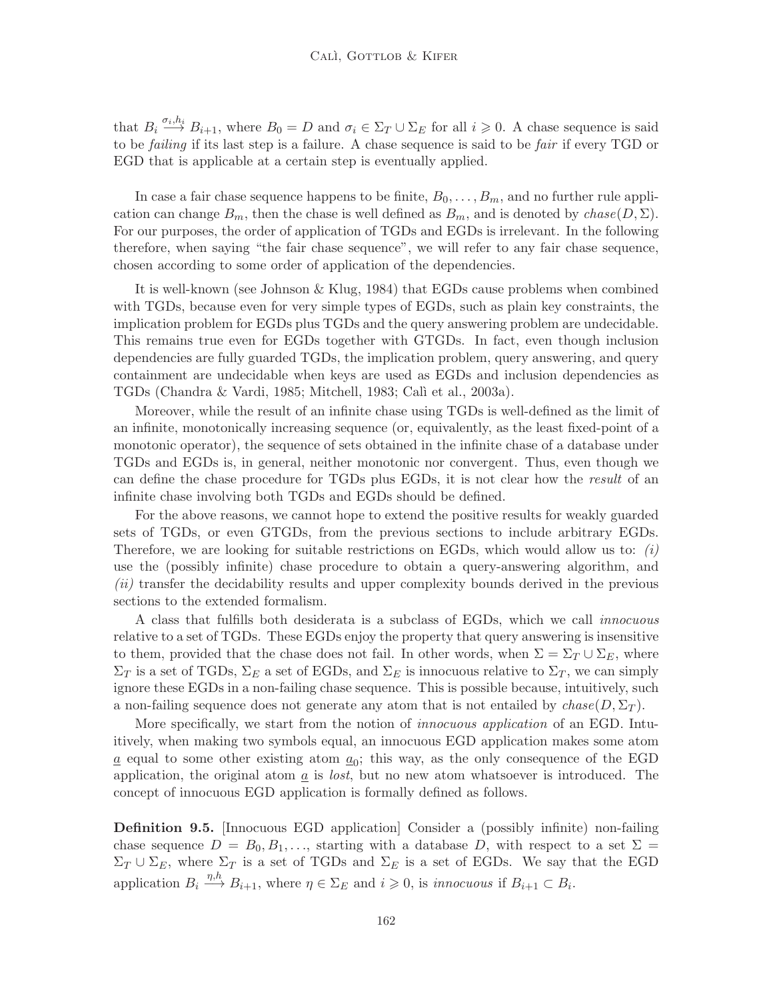that  $B_i \stackrel{\sigma_i,h_i}{\longrightarrow} B_{i+1}$ , where  $B_0 = D$  and  $\sigma_i \in \Sigma_T \cup \Sigma_E$  for all  $i \geq 0$ . A chase sequence is said to be *failing* if its last step is a failure. A chase sequence is said to be *fair* if every TGD or EGD that is applicable at a certain step is eventually applied.

In case a fair chase sequence happens to be finite,  $B_0, \ldots, B_m$ , and no further rule application can change  $B_m$ , then the chase is well defined as  $B_m$ , and is denoted by  $chase(D, \Sigma)$ . For our purposes, the order of application of TGDs and EGDs is irrelevant. In the following therefore, when saying "the fair chase sequence", we will refer to any fair chase sequence, chosen according to some order of application of the dependencies.

It is well-known (see Johnson & Klug, 1984) that EGDs cause problems when combined with TGDs, because even for very simple types of EGDs, such as plain key constraints, the implication problem for EGDs plus TGDs and the query answering problem are undecidable. This remains true even for EGDs together with GTGDs. In fact, even though inclusion dependencies are fully guarded TGDs, the implication problem, query answering, and query containment are undecidable when keys are used as EGDs and inclusion dependencies as TGDs (Chandra & Vardi, 1985; Mitchell, 1983; Calì et al., 2003a).

Moreover, while the result of an infinite chase using TGDs is well-defined as the limit of an infinite, monotonically increasing sequence (or, equivalently, as the least fixed-point of a monotonic operator), the sequence of sets obtained in the infinite chase of a database under TGDs and EGDs is, in general, neither monotonic nor convergent. Thus, even though we can define the chase procedure for TGDs plus EGDs, it is not clear how the result of an infinite chase involving both TGDs and EGDs should be defined.

For the above reasons, we cannot hope to extend the positive results for weakly guarded sets of TGDs, or even GTGDs, from the previous sections to include arbitrary EGDs. Therefore, we are looking for suitable restrictions on EGDs, which would allow us to:  $(i)$ use the (possibly infinite) chase procedure to obtain a query-answering algorithm, and (ii) transfer the decidability results and upper complexity bounds derived in the previous sections to the extended formalism.

A class that fulfills both desiderata is a subclass of EGDs, which we call innocuous relative to a set of TGDs. These EGDs enjoy the property that query answering is insensitive to them, provided that the chase does not fail. In other words, when  $\Sigma = \Sigma_T \cup \Sigma_E$ , where  $\Sigma_T$  is a set of TGDs,  $\Sigma_E$  a set of EGDs, and  $\Sigma_E$  is innocuous relative to  $\Sigma_T$ , we can simply ignore these EGDs in a non-failing chase sequence. This is possible because, intuitively, such a non-failing sequence does not generate any atom that is not entailed by  $chase(D, \Sigma_T)$ .

More specifically, we start from the notion of *innocuous application* of an EGD. Intuitively, when making two symbols equal, an innocuous EGD application makes some atom  $\underline{a}$  equal to some other existing atom  $\underline{a}_0$ ; this way, as the only consequence of the EGD application, the original atom  $\underline{a}$  is *lost*, but no new atom whatsoever is introduced. The concept of innocuous EGD application is formally defined as follows.

Definition 9.5. [Innocuous EGD application] Consider a (possibly infinite) non-failing chase sequence  $D = B_0, B_1, \ldots$ , starting with a database D, with respect to a set  $\Sigma =$  $\Sigma_T \cup \Sigma_E$ , where  $\Sigma_T$  is a set of TGDs and  $\Sigma_E$  is a set of EGDs. We say that the EGD application  $B_i \stackrel{\eta,h}{\longrightarrow} B_{i+1}$ , where  $\eta \in \Sigma_E$  and  $i \geq 0$ , is *innocuous* if  $B_{i+1} \subset B_i$ .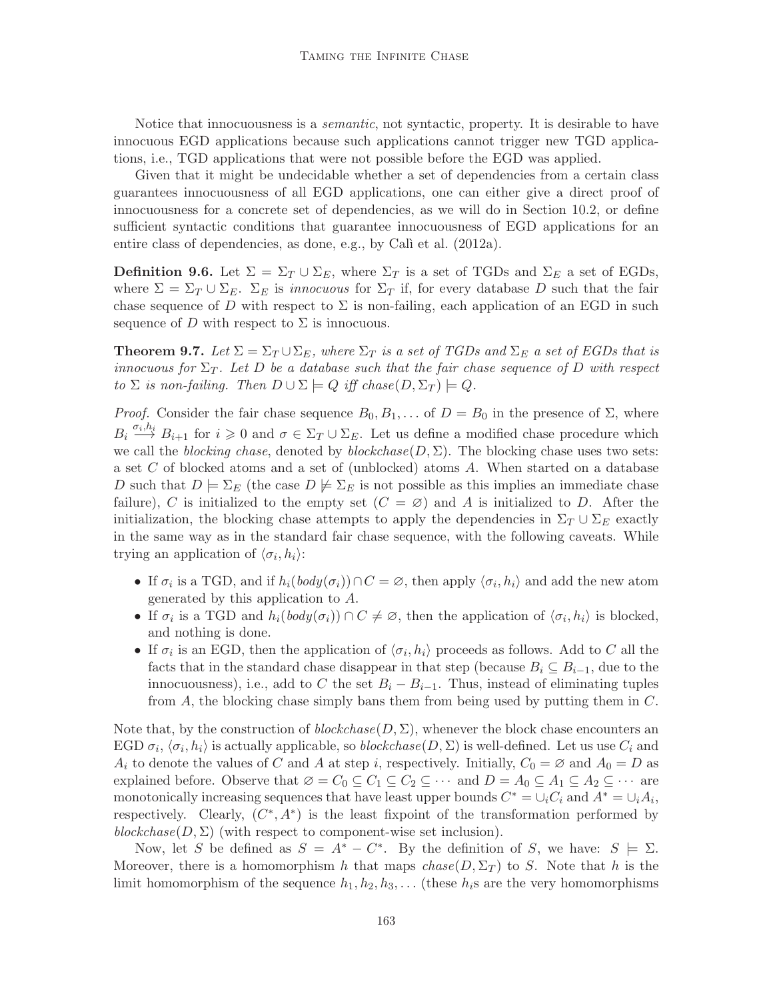Notice that innocuousness is a semantic, not syntactic, property. It is desirable to have innocuous EGD applications because such applications cannot trigger new TGD applications, i.e., TGD applications that were not possible before the EGD was applied.

Given that it might be undecidable whether a set of dependencies from a certain class guarantees innocuousness of all EGD applications, one can either give a direct proof of innocuousness for a concrete set of dependencies, as we will do in Section 10.2, or define sufficient syntactic conditions that guarantee innocuousness of EGD applications for an entire class of dependencies, as done, e.g., by Calì et al. (2012a).

**Definition 9.6.** Let  $\Sigma = \Sigma_T \cup \Sigma_E$ , where  $\Sigma_T$  is a set of TGDs and  $\Sigma_E$  a set of EGDs, where  $\Sigma = \Sigma_T \cup \Sigma_E$ .  $\Sigma_E$  is *innocuous* for  $\Sigma_T$  if, for every database D such that the fair chase sequence of D with respect to  $\Sigma$  is non-failing, each application of an EGD in such sequence of D with respect to  $\Sigma$  is innocuous.

**Theorem 9.7.** Let  $\Sigma = \Sigma_T \cup \Sigma_E$ , where  $\Sigma_T$  is a set of TGDs and  $\Sigma_E$  a set of EGDs that is innocuous for  $\Sigma_T$ . Let D be a database such that the fair chase sequence of D with respect to  $\Sigma$  is non-failing. Then  $D \cup \Sigma \models Q$  iff chase $(D, \Sigma_T) \models Q$ .

*Proof.* Consider the fair chase sequence  $B_0, B_1, \ldots$  of  $D = B_0$  in the presence of  $\Sigma$ , where  $B_i \stackrel{\sigma_i,h_i}{\longrightarrow} B_{i+1}$  for  $i \geq 0$  and  $\sigma \in \Sigma_T \cup \Sigma_F$ . Let us define a modified chase procedure which we call the blocking chase, denoted by  $blockbase(D, \Sigma)$ . The blocking chase uses two sets: a set C of blocked atoms and a set of (unblocked) atoms A. When started on a database D such that  $D \models \Sigma_E$  (the case  $D \not\models \Sigma_E$  is not possible as this implies an immediate chase failure), C is initialized to the empty set  $(C = \varnothing)$  and A is initialized to D. After the initialization, the blocking chase attempts to apply the dependencies in  $\Sigma_T \cup \Sigma_F$  exactly in the same way as in the standard fair chase sequence, with the following caveats. While trying an application of  $\langle \sigma_i, h_i \rangle$ :

- If  $\sigma_i$  is a TGD, and if  $h_i(body(\sigma_i)) \cap C = \emptyset$ , then apply  $\langle \sigma_i, h_i \rangle$  and add the new atom generated by this application to A.
- If  $\sigma_i$  is a TGD and  $h_i(body(\sigma_i)) \cap C \neq \emptyset$ , then the application of  $\langle \sigma_i, h_i \rangle$  is blocked, and nothing is done.
- If  $\sigma_i$  is an EGD, then the application of  $\langle \sigma_i, h_i \rangle$  proceeds as follows. Add to C all the facts that in the standard chase disappear in that step (because  $B_i \subseteq B_{i-1}$ , due to the innocuousness), i.e., add to C the set  $B_i - B_{i-1}$ . Thus, instead of eliminating tuples from A, the blocking chase simply bans them from being used by putting them in C.

Note that, by the construction of  $blockchase(D, \Sigma)$ , whenever the block chase encounters an EGD  $\sigma_i$ ,  $\langle \sigma_i, h_i \rangle$  is actually applicable, so *blockchase*( $D, \Sigma$ ) is well-defined. Let us use  $C_i$  and  $A_i$  to denote the values of C and A at step i, respectively. Initially,  $C_0 = \emptyset$  and  $A_0 = D$  as explained before. Observe that  $\emptyset = C_0 \subseteq C_1 \subseteq C_2 \subseteq \cdots$  and  $D = A_0 \subseteq A_1 \subseteq A_2 \subseteq \cdots$  are monotonically increasing sequences that have least upper bounds  $C^* = \bigcup_i C_i$  and  $A^* = \bigcup_i A_i$ , respectively. Clearly,  $(C^*, A^*)$  is the least fixpoint of the transformation performed by blockchase( $D, \Sigma$ ) (with respect to component-wise set inclusion).

Now, let S be defined as  $S = A^* - C^*$ . By the definition of S, we have:  $S \models \Sigma$ . Moreover, there is a homomorphism h that maps  $chase(D, \Sigma_T)$  to S. Note that h is the limit homomorphism of the sequence  $h_1, h_2, h_3, \ldots$  (these  $h_i$ s are the very homomorphisms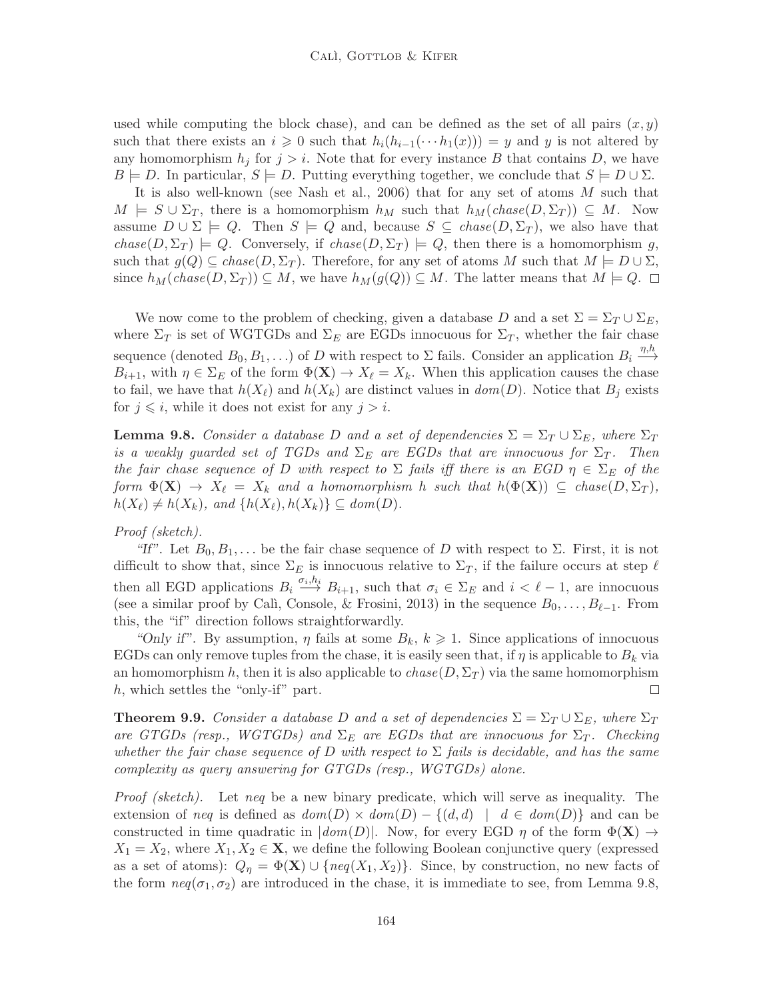used while computing the block chase), and can be defined as the set of all pairs  $(x, y)$ such that there exists an  $i \geq 0$  such that  $h_i(h_{i-1}(\cdots h_1(x))) = y$  and y is not altered by any homomorphism  $h_j$  for  $j > i$ . Note that for every instance B that contains D, we have  $B \models D$ . In particular,  $S \models D$ . Putting everything together, we conclude that  $S \models D \cup \Sigma$ .

It is also well-known (see Nash et al., 2006) that for any set of atoms M such that  $M \models S \cup \Sigma_T$ , there is a homomorphism  $h_M$  such that  $h_M(chase(D, \Sigma_T)) \subseteq M$ . Now assume  $D \cup \Sigma = Q$ . Then  $S = Q$  and, because  $S \subseteq \text{chase}(D, \Sigma_T)$ , we also have that  $chase(D, \Sigma_T) \models Q$ . Conversely, if  $chase(D, \Sigma_T) \models Q$ , then there is a homomorphism g, such that  $g(Q) \subseteq \text{chase}(D, \Sigma_T)$ . Therefore, for any set of atoms M such that  $M \models D \cup \Sigma$ , since  $h_M(chase(D, \Sigma_T)) \subseteq M$ , we have  $h_M(g(Q)) \subseteq M$ . The latter means that  $M \models Q$ .  $\Box$ 

We now come to the problem of checking, given a database D and a set  $\Sigma = \Sigma_T \cup \Sigma_E$ , where  $\Sigma_T$  is set of WGTGDs and  $\Sigma_E$  are EGDs innocuous for  $\Sigma_T$ , whether the fair chase sequence (denoted  $B_0, B_1, \ldots$ ) of D with respect to  $\Sigma$  fails. Consider an application  $B_i \stackrel{\eta, h}{\longrightarrow}$  $B_{i+1}$ , with  $\eta \in \Sigma_E$  of the form  $\Phi(\mathbf{X}) \to X_{\ell} = X_k$ . When this application causes the chase to fail, we have that  $h(X_{\ell})$  and  $h(X_k)$  are distinct values in  $dom(D)$ . Notice that  $B_i$  exists for  $j \leq i$ , while it does not exist for any  $j > i$ .

**Lemma 9.8.** Consider a database D and a set of dependencies  $\Sigma = \Sigma_T \cup \Sigma_E$ , where  $\Sigma_T$ is a weakly guarded set of TGDs and  $\Sigma_E$  are EGDs that are innocuous for  $\Sigma_T$ . Then the fair chase sequence of D with respect to  $\Sigma$  fails iff there is an EGD  $\eta \in \Sigma_E$  of the form  $\Phi(\mathbf{X}) \to X_{\ell} = X_k$  and a homomorphism h such that  $h(\Phi(\mathbf{X})) \subseteq \text{chase}(D, \Sigma_T)$ ,  $h(X_{\ell}) \neq h(X_{k}),$  and  $\{h(X_{\ell}), h(X_{k})\} \subseteq dom(D).$ 

Proof (sketch).

"If". Let  $B_0, B_1, \ldots$  be the fair chase sequence of D with respect to  $\Sigma$ . First, it is not difficult to show that, since  $\Sigma_E$  is innocuous relative to  $\Sigma_T$ , if the failure occurs at step  $\ell$ then all EGD applications  $B_i \stackrel{\sigma_i,h_i}{\longrightarrow} B_{i+1}$ , such that  $\sigma_i \in \Sigma_E$  and  $i < \ell - 1$ , are innocuous (see a similar proof by Cali, Console, & Frosini, 2013) in the sequence  $B_0, \ldots, B_{\ell-1}$ . From this, the "if" direction follows straightforwardly.

"Only if". By assumption,  $\eta$  fails at some  $B_k$ ,  $k \geq 1$ . Since applications of innocuous EGDs can only remove tuples from the chase, it is easily seen that, if  $\eta$  is applicable to  $B_k$  via an homomorphism h, then it is also applicable to  $chase(D, \Sigma_T)$  via the same homomorphism h, which settles the "only-if" part.  $\Box$ 

**Theorem 9.9.** Consider a database D and a set of dependencies  $\Sigma = \Sigma_T \cup \Sigma_F$ , where  $\Sigma_T$ are GTGDs (resp., WGTGDs) and  $\Sigma_E$  are EGDs that are innocuous for  $\Sigma_T$ . Checking whether the fair chase sequence of D with respect to  $\Sigma$  fails is decidable, and has the same complexity as query answering for GTGDs (resp., WGTGDs) alone.

Proof (sketch). Let neg be a new binary predicate, which will serve as inequality. The extension of neq is defined as  $dom(D) \times dom(D) - \{(d, d) \mid d \in dom(D)\}\)$  and can be constructed in time quadratic in  $|dom(D)|$ . Now, for every EGD  $\eta$  of the form  $\Phi(\mathbf{X}) \to$  $X_1 = X_2$ , where  $X_1, X_2 \in \mathbf{X}$ , we define the following Boolean conjunctive query (expressed as a set of atoms):  $Q_{\eta} = \Phi(\mathbf{X}) \cup \{neq(X_1, X_2)\}.$  Since, by construction, no new facts of the form  $neq(\sigma_1, \sigma_2)$  are introduced in the chase, it is immediate to see, from Lemma 9.8,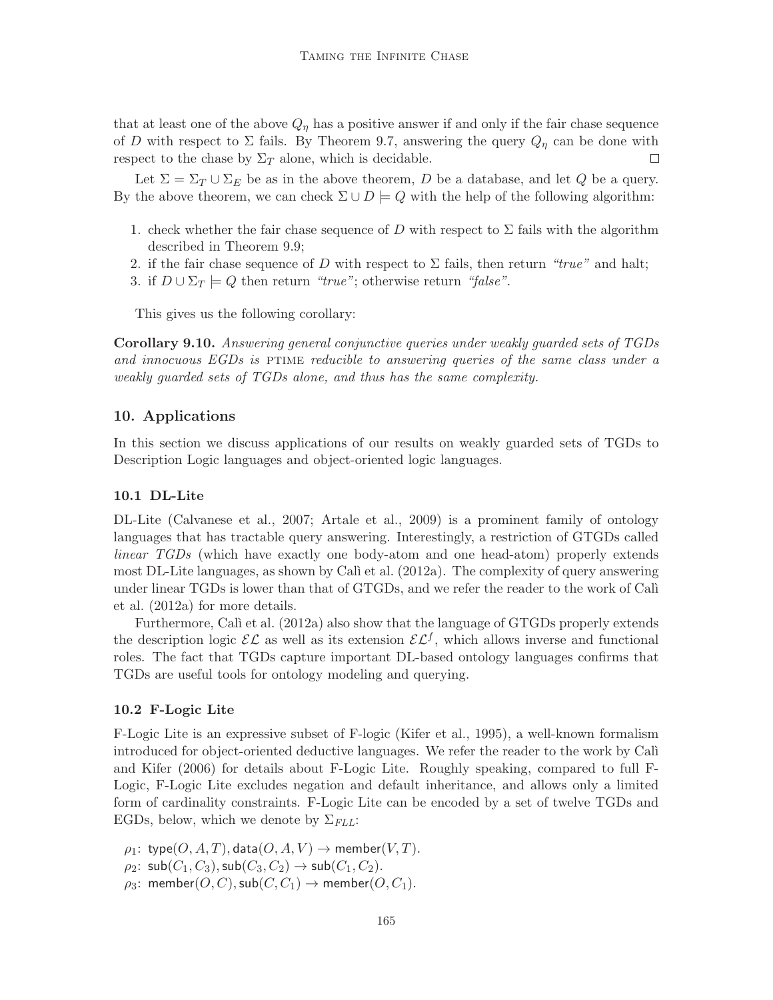that at least one of the above  $Q_{\eta}$  has a positive answer if and only if the fair chase sequence of D with respect to  $\Sigma$  fails. By Theorem 9.7, answering the query  $Q_{\eta}$  can be done with respect to the chase by  $\Sigma_T$  alone, which is decidable.  $\Box$ 

Let  $\Sigma = \Sigma_T \cup \Sigma_E$  be as in the above theorem, D be a database, and let Q be a query. By the above theorem, we can check  $\Sigma \cup D \models Q$  with the help of the following algorithm:

- 1. check whether the fair chase sequence of D with respect to  $\Sigma$  fails with the algorithm described in Theorem 9.9;
- 2. if the fair chase sequence of D with respect to  $\Sigma$  fails, then return "true" and halt;
- 3. if  $D \cup \Sigma_T \models Q$  then return "true"; otherwise return "false".

This gives us the following corollary:

Corollary 9.10. Answering general conjunctive queries under weakly guarded sets of TGDs and innocuous EGDs is PTIME reducible to answering queries of the same class under a weakly guarded sets of TGDs alone, and thus has the same complexity.

# 10. Applications

In this section we discuss applications of our results on weakly guarded sets of TGDs to Description Logic languages and object-oriented logic languages.

### 10.1 DL-Lite

DL-Lite (Calvanese et al., 2007; Artale et al., 2009) is a prominent family of ontology languages that has tractable query answering. Interestingly, a restriction of GTGDs called linear TGDs (which have exactly one body-atom and one head-atom) properly extends most DL-Lite languages, as shown by Calì et al.  $(2012a)$ . The complexity of query answering under linear TGDs is lower than that of GTGDs, and we refer the reader to the work of Cal`ı et al. (2012a) for more details.

Furthermore, Calì et al. (2012a) also show that the language of GTGDs properly extends the description logic  $\mathcal{EL}$  as well as its extension  $\mathcal{EL}$ <sup>f</sup>, which allows inverse and functional roles. The fact that TGDs capture important DL-based ontology languages confirms that TGDs are useful tools for ontology modeling and querying.

### 10.2 F-Logic Lite

F-Logic Lite is an expressive subset of F-logic (Kifer et al., 1995), a well-known formalism introduced for object-oriented deductive languages. We refer the reader to the work by Cali and Kifer (2006) for details about F-Logic Lite. Roughly speaking, compared to full F-Logic, F-Logic Lite excludes negation and default inheritance, and allows only a limited form of cardinality constraints. F-Logic Lite can be encoded by a set of twelve TGDs and EGDs, below, which we denote by  $\Sigma_{FLL}$ :

 $\rho_1$ : type $(O, A, T)$ , data $(O, A, V)$   $\rightarrow$  member $(V, T)$ .  $\rho_2$ : sub $(C_1, C_3)$ , sub $(C_3, C_2)$   $\rightarrow$  sub $(C_1, C_2)$ .  $\rho_3$ : member $(O, C)$ , sub $(C, C_1)$   $\rightarrow$  member $(O, C_1)$ .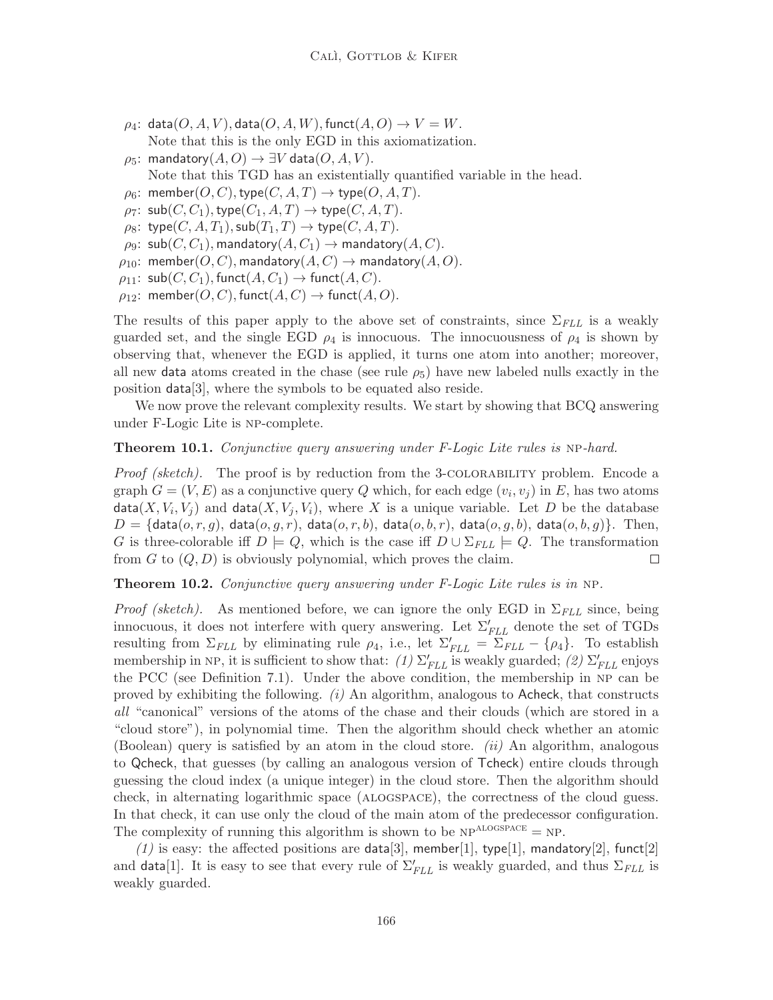- $\rho_4$ : data $(O, A, V)$ , data $(O, A, W)$ , funct $(A, O) \rightarrow V = W$ . Note that this is the only EGD in this axiomatization.
- $\rho_5$ : mandatory $(A, O) \rightarrow \exists V$  data $(O, A, V)$ . Note that this TGD has an existentially quantified variable in the head.
- $\rho_6$ : member $(O, C)$ , type $(C, A, T)$   $\rightarrow$  type $(O, A, T)$ .
- $\rho_7$ : sub $(C, C_1)$ , type $(C_1, A, T)$   $\rightarrow$  type $(C, A, T)$ .
- $\rho_8$ : type $(C, A, T_1)$ , sub $(T_1, T) \rightarrow$  type $(C, A, T)$ .
- $\rho_9$ : sub $(C, C_1)$ , mandatory $(A, C_1)$   $\rightarrow$  mandatory $(A, C)$ .
- $\rho_{10}$ : member(O, C), mandatory(A, C)  $\rightarrow$  mandatory(A, O).
- $\rho_{11}: \mathsf{sub}(C, C_1), \mathsf{funct}(A, C_1) \to \mathsf{funct}(A, C).$
- $\rho_{12}$ : member $(O, C)$ , funct $(A, C)$   $\rightarrow$  funct $(A, O)$ .

The results of this paper apply to the above set of constraints, since  $\Sigma_{FLL}$  is a weakly guarded set, and the single EGD  $\rho_4$  is innocuous. The innocuousness of  $\rho_4$  is shown by observing that, whenever the EGD is applied, it turns one atom into another; moreover, all new data atoms created in the chase (see rule  $\rho_5$ ) have new labeled nulls exactly in the position data[3], where the symbols to be equated also reside.

We now prove the relevant complexity results. We start by showing that BCQ answering under F-Logic Lite is np-complete.

# **Theorem 10.1.** Conjunctive query answering under F-Logic Lite rules is NP-hard.

Proof (sketch). The proof is by reduction from the 3-COLORABILITY problem. Encode a graph  $G = (V, E)$  as a conjunctive query Q which, for each edge  $(v_i, v_j)$  in E, has two atoms data $(X, V_i, V_j)$  and data $(X, V_j, V_i)$ , where X is a unique variable. Let D be the database  $D = \{data(o, r, g), data(o, g, r), data(o, r, b), data(o, b, r), data(o, g, b), data(o, b, g)\}.$  Then, G is three-colorable iff  $D \models Q$ , which is the case iff  $D \cup \Sigma_{FLL} \models Q$ . The transformation from G to  $(Q, D)$  is obviously polynomial, which proves the claim.  $\Box$ 

**Theorem 10.2.** Conjunctive query answering under F-Logic Lite rules is in NP.

*Proof (sketch).* As mentioned before, we can ignore the only EGD in  $\Sigma_{FLL}$  since, being innocuous, it does not interfere with query answering. Let  $\Sigma'_{FLL}$  denote the set of TGDs resulting from  $\Sigma_{FLL}$  by eliminating rule  $\rho_4$ , i.e., let  $\Sigma'_{FLL} = \Sigma_{FLL} - {\rho_4}$ . To establish membership in NP, it is sufficient to show that: (1)  $\Sigma'_{FLL}$  is weakly guarded; (2)  $\Sigma'_{FLL}$  enjoys the PCC (see Definition 7.1). Under the above condition, the membership in NP can be proved by exhibiting the following.  $(i)$  An algorithm, analogous to Acheck, that constructs all "canonical" versions of the atoms of the chase and their clouds (which are stored in a "cloud store"), in polynomial time. Then the algorithm should check whether an atomic (Boolean) query is satisfied by an atom in the cloud store.  $(ii)$  An algorithm, analogous to Qcheck, that guesses (by calling an analogous version of Tcheck) entire clouds through guessing the cloud index (a unique integer) in the cloud store. Then the algorithm should check, in alternating logarithmic space (alogspace), the correctness of the cloud guess. In that check, it can use only the cloud of the main atom of the predecessor configuration. The complexity of running this algorithm is shown to be  $NP<sup>ALOGSPACE</sup> = NP$ .

(1) is easy: the affected positions are data[3], member[1], type[1], mandatory[2], funct[2] and data[1]. It is easy to see that every rule of  $\Sigma'_{FLL}$  is weakly guarded, and thus  $\Sigma_{FLL}$  is weakly guarded.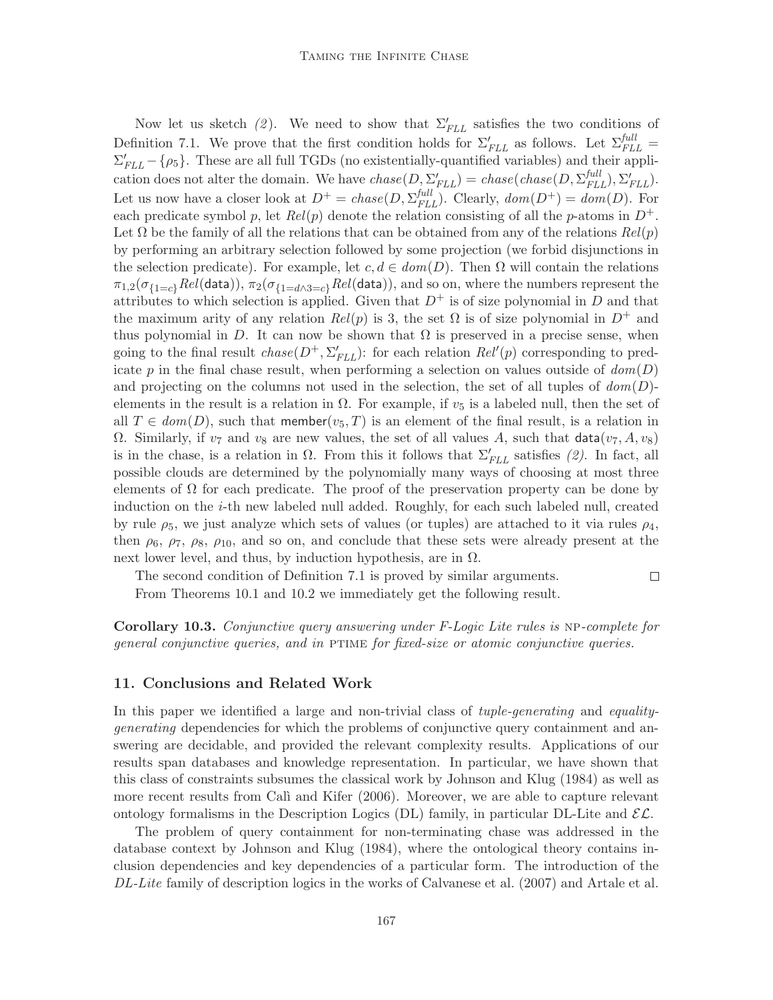Now let us sketch (2). We need to show that  $\Sigma'_{FLL}$  satisfies the two conditions of Definition 7.1. We prove that the first condition holds for  $\Sigma'_{FLL}$  as follows. Let  $\Sigma_{FLL}^{full}$  $\Sigma'_{FLL}$  – { $\rho_5$ }. These are all full TGDs (no existentially-quantified variables) and their application does not alter the domain. We have  $chase(D, \Sigma'_{FLL}) = chase(chase(D, \Sigma'^{full}_{FLL}), \Sigma'_{FLL}).$ Let us now have a closer look at  $D^+ = \text{chase}(D, \Sigma_{FLL}^{\text{full}})$ . Clearly,  $\text{dom}(D^+) = \text{dom}(D)$ . For each predicate symbol p, let  $Rel(p)$  denote the relation consisting of all the p-atoms in  $D^+$ . Let  $\Omega$  be the family of all the relations that can be obtained from any of the relations  $Rel(p)$ by performing an arbitrary selection followed by some projection (we forbid disjunctions in the selection predicate). For example, let  $c, d \in dom(D)$ . Then  $\Omega$  will contain the relations  $\pi_{1,2}(\sigma_{\{1=c\}}Rel(data)), \pi_2(\sigma_{\{1=d \wedge 3=c\}}Rel(data)),$  and so on, where the numbers represent the attributes to which selection is applied. Given that  $D^+$  is of size polynomial in D and that the maximum arity of any relation  $Rel(p)$  is 3, the set  $\Omega$  is of size polynomial in  $D^+$  and thus polynomial in D. It can now be shown that  $\Omega$  is preserved in a precise sense, when going to the final result  $chase(D^+, \Sigma'_{FLL})$ : for each relation  $Rel'(p)$  corresponding to predicate p in the final chase result, when performing a selection on values outside of  $dom(D)$ and projecting on the columns not used in the selection, the set of all tuples of  $dom(D)$ elements in the result is a relation in  $\Omega$ . For example, if  $v_5$  is a labeled null, then the set of all  $T \in dom(D)$ , such that member $(v_5, T)$  is an element of the final result, is a relation in  $Ω.$  Similarly, if  $v_7$  and  $v_8$  are new values, the set of all values A, such that  $data(v_7, A, v_8)$ is in the chase, is a relation in  $\Omega$ . From this it follows that  $\Sigma'_{FLL}$  satisfies (2). In fact, all possible clouds are determined by the polynomially many ways of choosing at most three elements of  $\Omega$  for each predicate. The proof of the preservation property can be done by induction on the i-th new labeled null added. Roughly, for each such labeled null, created by rule  $\rho_5$ , we just analyze which sets of values (or tuples) are attached to it via rules  $\rho_4$ , then  $\rho_6$ ,  $\rho_7$ ,  $\rho_8$ ,  $\rho_{10}$ , and so on, and conclude that these sets were already present at the next lower level, and thus, by induction hypothesis, are in  $\Omega$ .

The second condition of Definition 7.1 is proved by similar arguments.

 $\Box$ 

From Theorems 10.1 and 10.2 we immediately get the following result.

Corollary 10.3. Conjunctive query answering under F-Logic Lite rules is NP-complete for general conjunctive queries, and in ptime for fixed-size or atomic conjunctive queries.

# 11. Conclusions and Related Work

In this paper we identified a large and non-trivial class of *tuple-generating* and *equality*generating dependencies for which the problems of conjunctive query containment and answering are decidable, and provided the relevant complexity results. Applications of our results span databases and knowledge representation. In particular, we have shown that this class of constraints subsumes the classical work by Johnson and Klug (1984) as well as more recent results from Cali and Kifer (2006). Moreover, we are able to capture relevant ontology formalisms in the Description Logics (DL) family, in particular DL-Lite and  $\mathcal{EL}$ .

The problem of query containment for non-terminating chase was addressed in the database context by Johnson and Klug (1984), where the ontological theory contains inclusion dependencies and key dependencies of a particular form. The introduction of the DL-Lite family of description logics in the works of Calvanese et al. (2007) and Artale et al.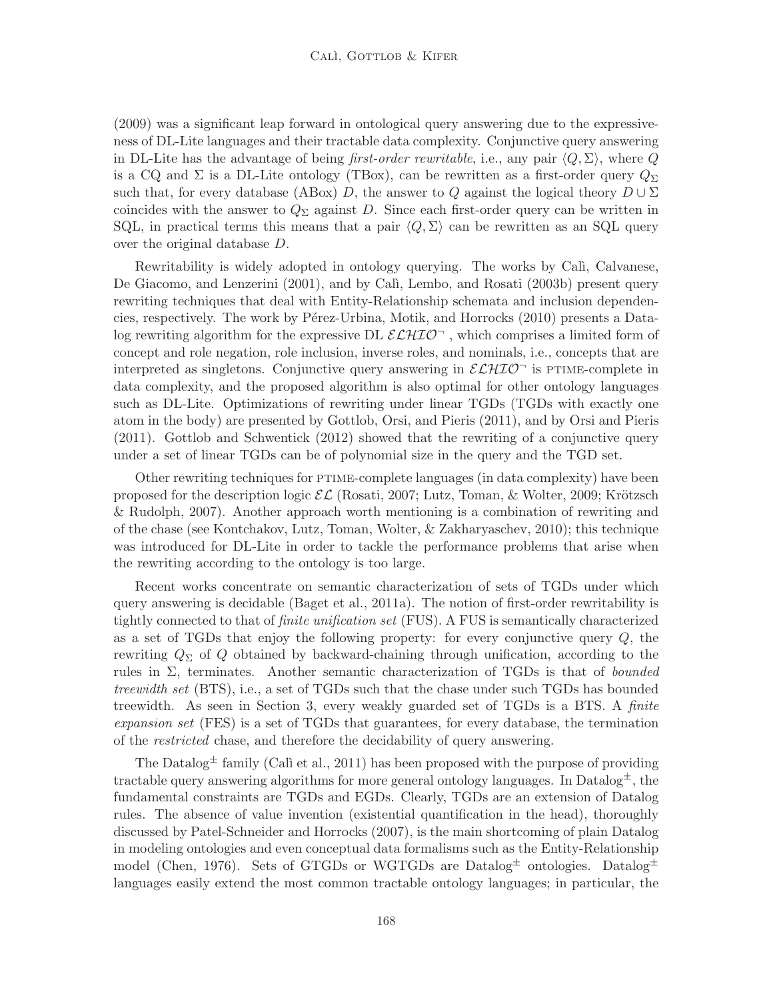(2009) was a significant leap forward in ontological query answering due to the expressiveness of DL-Lite languages and their tractable data complexity. Conjunctive query answering in DL-Lite has the advantage of being first-order rewritable, i.e., any pair  $\langle Q, \Sigma \rangle$ , where Q is a CQ and  $\Sigma$  is a DL-Lite ontology (TBox), can be rewritten as a first-order query  $Q_{\Sigma}$ such that, for every database (ABox) D, the answer to Q against the logical theory  $D \cup \Sigma$ coincides with the answer to  $Q_{\Sigma}$  against D. Since each first-order query can be written in SQL, in practical terms this means that a pair  $\langle Q, \Sigma \rangle$  can be rewritten as an SQL query over the original database D.

Rewritability is widely adopted in ontology querying. The works by Cali, Calvanese, De Giacomo, and Lenzerini (2001), and by Calì, Lembo, and Rosati (2003b) present query rewriting techniques that deal with Entity-Relationship schemata and inclusion dependencies, respectively. The work by Pérez-Urbina, Motik, and Horrocks (2010) presents a Datalog rewriting algorithm for the expressive DL  $\mathcal{ELHIO}^-$ , which comprises a limited form of concept and role negation, role inclusion, inverse roles, and nominals, i.e., concepts that are interpreted as singletons. Conjunctive query answering in  $\mathcal{ELHIO}^-$  is PTIME-complete in data complexity, and the proposed algorithm is also optimal for other ontology languages such as DL-Lite. Optimizations of rewriting under linear TGDs (TGDs with exactly one atom in the body) are presented by Gottlob, Orsi, and Pieris (2011), and by Orsi and Pieris (2011). Gottlob and Schwentick (2012) showed that the rewriting of a conjunctive query under a set of linear TGDs can be of polynomial size in the query and the TGD set.

Other rewriting techniques for PTIME-complete languages (in data complexity) have been proposed for the description logic  $\mathcal{EL}$  (Rosati, 2007; Lutz, Toman, & Wolter, 2009; Krötzsch & Rudolph, 2007). Another approach worth mentioning is a combination of rewriting and of the chase (see Kontchakov, Lutz, Toman, Wolter, & Zakharyaschev, 2010); this technique was introduced for DL-Lite in order to tackle the performance problems that arise when the rewriting according to the ontology is too large.

Recent works concentrate on semantic characterization of sets of TGDs under which query answering is decidable (Baget et al., 2011a). The notion of first-order rewritability is tightly connected to that of finite unification set (FUS). A FUS is semantically characterized as a set of TGDs that enjoy the following property: for every conjunctive query  $Q$ , the rewriting  $Q_{\Sigma}$  of Q obtained by backward-chaining through unification, according to the rules in  $\Sigma$ , terminates. Another semantic characterization of TGDs is that of *bounded* treewidth set (BTS), i.e., a set of TGDs such that the chase under such TGDs has bounded treewidth. As seen in Section 3, every weakly guarded set of TGDs is a BTS. A finite expansion set (FES) is a set of TGDs that guarantees, for every database, the termination of the restricted chase, and therefore the decidability of query answering.

The Datalog<sup> $\pm$ </sup> family (Cali et al., 2011) has been proposed with the purpose of providing tractable query answering algorithms for more general ontology languages. In Datalog<sup> $\pm$ </sup>, the fundamental constraints are TGDs and EGDs. Clearly, TGDs are an extension of Datalog rules. The absence of value invention (existential quantification in the head), thoroughly discussed by Patel-Schneider and Horrocks (2007), is the main shortcoming of plain Datalog in modeling ontologies and even conceptual data formalisms such as the Entity-Relationship model (Chen, 1976). Sets of GTGDs or WGTGDs are Datalog<sup> $\pm$ </sup> ontologies. Datalog<sup> $\pm$ </sup> languages easily extend the most common tractable ontology languages; in particular, the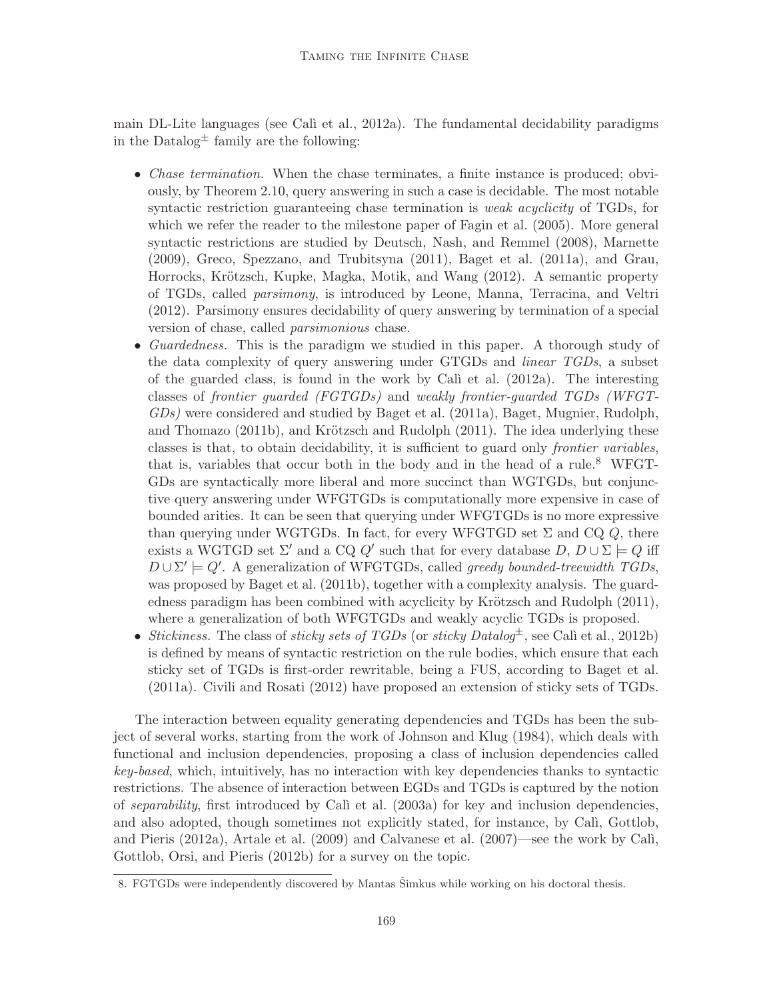main DL-Lite languages (see Calì et al., 2012a). The fundamental decidability paradigms in the Datalog<sup> $\pm$ </sup> family are the following:

- *Chase termination*. When the chase terminates, a finite instance is produced; obviously, by Theorem 2.10, query answering in such a case is decidable. The most notable syntactic restriction guaranteeing chase termination is *weak acyclicity* of TGDs, for which we refer the reader to the milestone paper of Fagin et al. (2005). More general syntactic restrictions are studied by Deutsch, Nash, and Remmel (2008), Marnette (2009), Greco, Spezzano, and Trubitsyna (2011), Baget et al. (2011a), and Grau, Horrocks, Krötzsch, Kupke, Magka, Motik, and Wang (2012). A semantic property of TGDs, called parsimony, is introduced by Leone, Manna, Terracina, and Veltri (2012). Parsimony ensures decidability of query answering by termination of a special version of chase, called parsimonious chase.
- Guardedness. This is the paradigm we studied in this paper. A thorough study of the data complexity of query answering under GTGDs and linear TGDs, a subset of the guarded class, is found in the work by Calì et al.  $(2012a)$ . The interesting classes of frontier guarded (FGTGDs) and weakly frontier-guarded TGDs (WFGT-GDs) were considered and studied by Baget et al. (2011a), Baget, Mugnier, Rudolph, and Thomazo (2011b), and Krötzsch and Rudolph (2011). The idea underlying these classes is that, to obtain decidability, it is sufficient to guard only frontier variables, that is, variables that occur both in the body and in the head of a rule.<sup>8</sup> WFGT-GDs are syntactically more liberal and more succinct than WGTGDs, but conjunctive query answering under WFGTGDs is computationally more expensive in case of bounded arities. It can be seen that querying under WFGTGDs is no more expressive than querying under WGTGDs. In fact, for every WFGTGD set  $\Sigma$  and CQ Q, there exists a WGTGD set  $\Sigma'$  and a CQ  $Q'$  such that for every database  $D, D \cup \Sigma \models Q$  iff  $D \cup \Sigma' \models Q'$ . A generalization of WFGTGDs, called greedy bounded-treewidth TGDs, was proposed by Baget et al. (2011b), together with a complexity analysis. The guardedness paradigm has been combined with acyclicity by Krötzsch and Rudolph (2011), where a generalization of both WFGTGDs and weakly acyclic TGDs is proposed.
- Stickiness. The class of sticky sets of TGDs (or sticky Datalog<sup> $\pm$ </sup>, see Calì et al., 2012b) is defined by means of syntactic restriction on the rule bodies, which ensure that each sticky set of TGDs is first-order rewritable, being a FUS, according to Baget et al. (2011a). Civili and Rosati (2012) have proposed an extension of sticky sets of TGDs.

The interaction between equality generating dependencies and TGDs has been the subject of several works, starting from the work of Johnson and Klug (1984), which deals with functional and inclusion dependencies, proposing a class of inclusion dependencies called key-based, which, intuitively, has no interaction with key dependencies thanks to syntactic restrictions. The absence of interaction between EGDs and TGDs is captured by the notion of separability, first introduced by Calí et al.  $(2003a)$  for key and inclusion dependencies, and also adopted, though sometimes not explicitly stated, for instance, by Calì, Gottlob, and Pieris  $(2012a)$ , Artale et al.  $(2009)$  and Calvanese et al.  $(2007)$ —see the work by Cali, Gottlob, Orsi, and Pieris (2012b) for a survey on the topic.

<sup>8.</sup> FGTGDs were independently discovered by Mantas Šimkus while working on his doctoral thesis.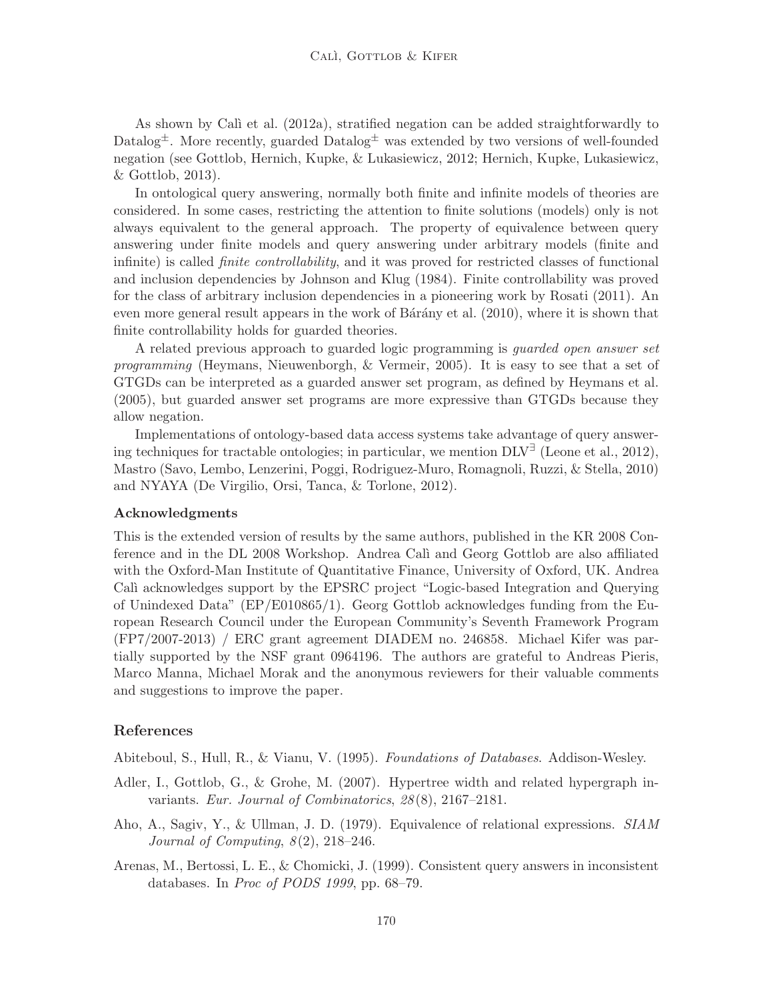As shown by Calì et al. (2012a), stratified negation can be added straightforwardly to Datalog<sup> $\pm$ </sup>. More recently, guarded Datalog<sup> $\pm$ </sup> was extended by two versions of well-founded negation (see Gottlob, Hernich, Kupke, & Lukasiewicz, 2012; Hernich, Kupke, Lukasiewicz, & Gottlob, 2013).

In ontological query answering, normally both finite and infinite models of theories are considered. In some cases, restricting the attention to finite solutions (models) only is not always equivalent to the general approach. The property of equivalence between query answering under finite models and query answering under arbitrary models (finite and infinite) is called finite controllability, and it was proved for restricted classes of functional and inclusion dependencies by Johnson and Klug (1984). Finite controllability was proved for the class of arbitrary inclusion dependencies in a pioneering work by Rosati (2011). An even more general result appears in the work of B $\alpha$ <sup>a</sup>ranger and  $(2010)$ , where it is shown that finite controllability holds for guarded theories.

A related previous approach to guarded logic programming is guarded open answer set programming (Heymans, Nieuwenborgh, & Vermeir, 2005). It is easy to see that a set of GTGDs can be interpreted as a guarded answer set program, as defined by Heymans et al. (2005), but guarded answer set programs are more expressive than GTGDs because they allow negation.

Implementations of ontology-based data access systems take advantage of query answering techniques for tractable ontologies; in particular, we mention  $DLV^{\exists}$  (Leone et al., 2012), Mastro (Savo, Lembo, Lenzerini, Poggi, Rodriguez-Muro, Romagnoli, Ruzzi, & Stella, 2010) and NYAYA (De Virgilio, Orsi, Tanca, & Torlone, 2012).

### Acknowledgments

This is the extended version of results by the same authors, published in the KR 2008 Conference and in the DL 2008 Workshop. Andrea Calì and Georg Gottlob are also affiliated with the Oxford-Man Institute of Quantitative Finance, University of Oxford, UK. Andrea Calì acknowledges support by the EPSRC project "Logic-based Integration and Querying of Unindexed Data" (EP/E010865/1). Georg Gottlob acknowledges funding from the European Research Council under the European Community's Seventh Framework Program (FP7/2007-2013) / ERC grant agreement DIADEM no. 246858. Michael Kifer was partially supported by the NSF grant 0964196. The authors are grateful to Andreas Pieris, Marco Manna, Michael Morak and the anonymous reviewers for their valuable comments and suggestions to improve the paper.

### References

Abiteboul, S., Hull, R., & Vianu, V. (1995). Foundations of Databases. Addison-Wesley.

- Adler, I., Gottlob, G., & Grohe, M. (2007). Hypertree width and related hypergraph invariants. Eur. Journal of Combinatorics, 28 (8), 2167–2181.
- Aho, A., Sagiv, Y., & Ullman, J. D. (1979). Equivalence of relational expressions. SIAM Journal of Computing,  $8(2)$ ,  $218-246$ .
- Arenas, M., Bertossi, L. E., & Chomicki, J. (1999). Consistent query answers in inconsistent databases. In Proc of PODS 1999, pp. 68–79.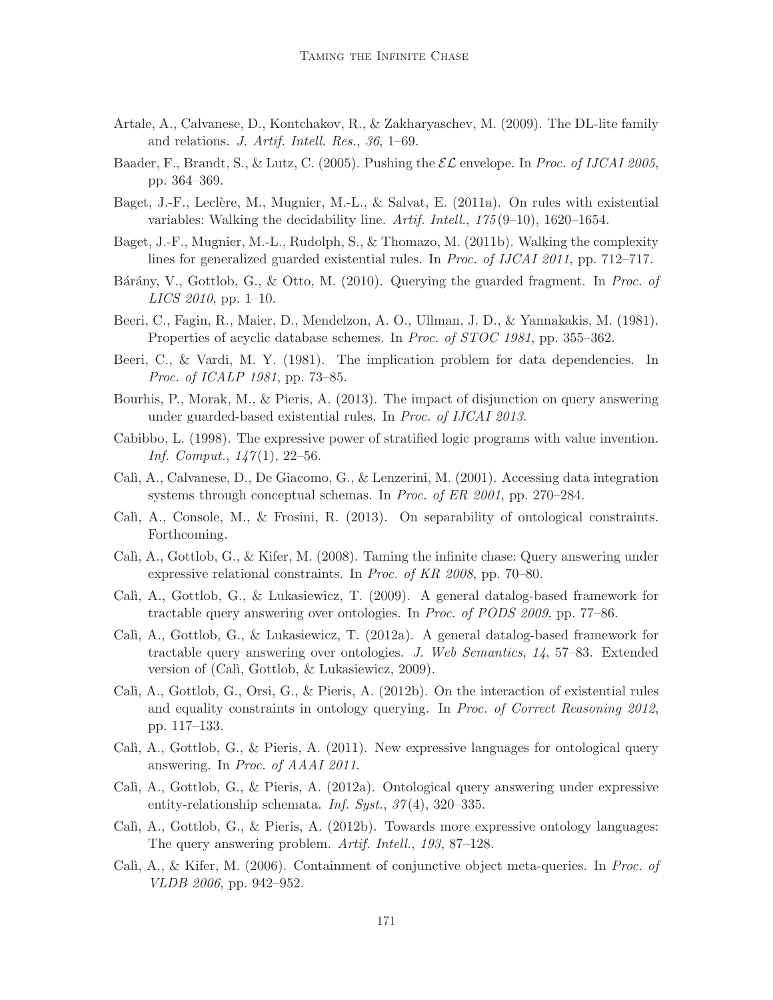- Artale, A., Calvanese, D., Kontchakov, R., & Zakharyaschev, M. (2009). The DL-lite family and relations. J. Artif. Intell. Res., 36, 1–69.
- Baader, F., Brandt, S., & Lutz, C. (2005). Pushing the  $\mathcal{EL}$  envelope. In *Proc. of IJCAI 2005*, pp. 364–369.
- Baget, J.-F., Leclère, M., Mugnier, M.-L., & Salvat, E.  $(2011a)$ . On rules with existential variables: Walking the decidability line.  $Artif. Intell., 175(9-10), 1620-1654.$
- Baget, J.-F., Mugnier, M.-L., Rudolph, S., & Thomazo, M. (2011b). Walking the complexity lines for generalized guarded existential rules. In Proc. of IJCAI 2011, pp. 712–717.
- Bárány, V., Gottlob, G., & Otto, M. (2010). Querying the guarded fragment. In Proc. of LICS 2010, pp. 1–10.
- Beeri, C., Fagin, R., Maier, D., Mendelzon, A. O., Ullman, J. D., & Yannakakis, M. (1981). Properties of acyclic database schemes. In Proc. of STOC 1981, pp. 355–362.
- Beeri, C., & Vardi, M. Y. (1981). The implication problem for data dependencies. In Proc. of ICALP 1981, pp. 73–85.
- Bourhis, P., Morak, M., & Pieris, A. (2013). The impact of disjunction on query answering under guarded-based existential rules. In Proc. of IJCAI 2013.
- Cabibbo, L. (1998). The expressive power of stratified logic programs with value invention. Inf. Comput.,  $147(1)$ , 22-56.
- Cal`ı, A., Calvanese, D., De Giacomo, G., & Lenzerini, M. (2001). Accessing data integration systems through conceptual schemas. In Proc. of ER 2001, pp. 270–284.
- Calì, A., Console, M., & Frosini, R. (2013). On separability of ontological constraints. Forthcoming.
- Calì, A., Gottlob, G., & Kifer, M. (2008). Taming the infinite chase: Query answering under expressive relational constraints. In Proc. of KR 2008, pp. 70–80.
- Calì, A., Gottlob, G., & Lukasiewicz, T. (2009). A general datalog-based framework for tractable query answering over ontologies. In Proc. of PODS 2009, pp. 77–86.
- Calì, A., Gottlob, G., & Lukasiewicz, T. (2012a). A general datalog-based framework for tractable query answering over ontologies. J. Web Semantics, 14, 57–83. Extended version of  $(Cali, Gottlob, & Lukasiewicz, 2009)$ .
- Calì, A., Gottlob, G., Orsi, G., & Pieris, A. (2012b). On the interaction of existential rules and equality constraints in ontology querying. In Proc. of Correct Reasoning 2012, pp. 117–133.
- Calì, A., Gottlob, G., & Pieris, A.  $(2011)$ . New expressive languages for ontological query answering. In Proc. of AAAI 2011.
- Calì, A., Gottlob, G., & Pieris, A. (2012a). Ontological query answering under expressive entity-relationship schemata. Inf. Syst.,  $37(4)$ , 320-335.
- Calì, A., Gottlob, G., & Pieris, A. (2012b). Towards more expressive ontology languages: The query answering problem. Artif. Intell., 193, 87–128.
- Calì, A., & Kifer, M. (2006). Containment of conjunctive object meta-queries. In Proc. of VLDB 2006, pp. 942–952.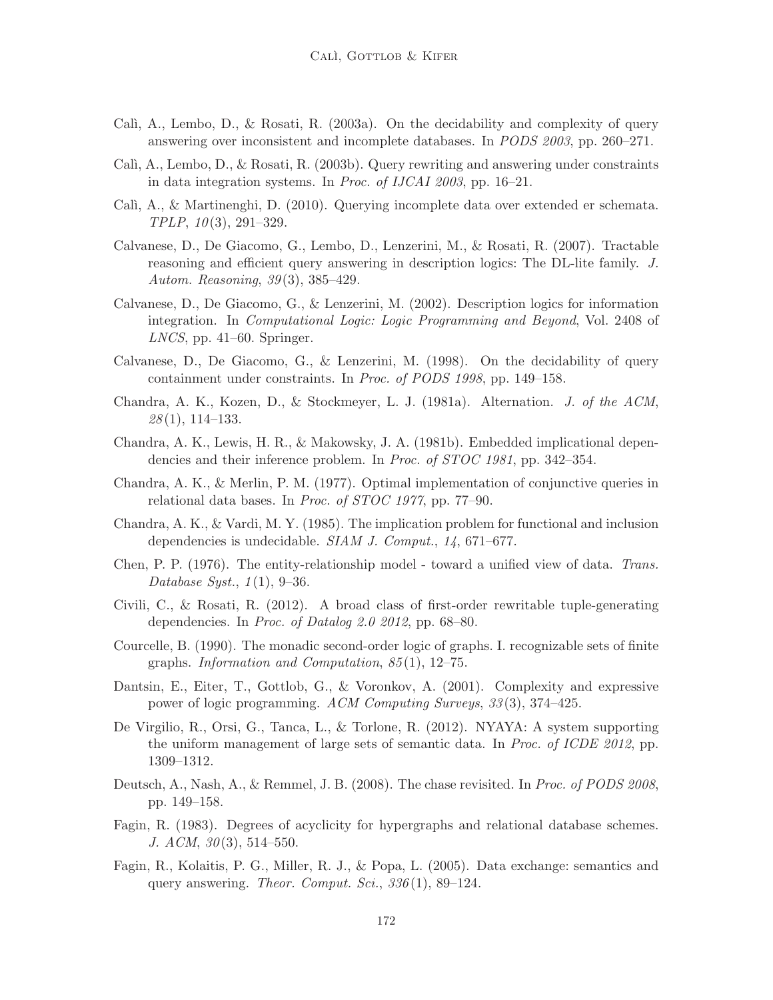- Calì, A., Lembo, D., & Rosati, R. (2003a). On the decidability and complexity of query answering over inconsistent and incomplete databases. In PODS 2003, pp. 260–271.
- Calì, A., Lembo, D., & Rosati, R. (2003b). Query rewriting and answering under constraints in data integration systems. In Proc. of IJCAI 2003, pp. 16–21.
- Calì, A., & Martinenghi, D. (2010). Querying incomplete data over extended er schemata.  $TPLP, 10(3), 291-329.$
- Calvanese, D., De Giacomo, G., Lembo, D., Lenzerini, M., & Rosati, R. (2007). Tractable reasoning and efficient query answering in description logics: The DL-lite family. J. Autom. Reasoning, 39(3), 385–429.
- Calvanese, D., De Giacomo, G., & Lenzerini, M. (2002). Description logics for information integration. In Computational Logic: Logic Programming and Beyond, Vol. 2408 of LNCS, pp. 41–60. Springer.
- Calvanese, D., De Giacomo, G., & Lenzerini, M. (1998). On the decidability of query containment under constraints. In Proc. of PODS 1998, pp. 149–158.
- Chandra, A. K., Kozen, D., & Stockmeyer, L. J. (1981a). Alternation. J. of the ACM, 28 (1), 114–133.
- Chandra, A. K., Lewis, H. R., & Makowsky, J. A. (1981b). Embedded implicational dependencies and their inference problem. In Proc. of STOC 1981, pp. 342–354.
- Chandra, A. K., & Merlin, P. M. (1977). Optimal implementation of conjunctive queries in relational data bases. In Proc. of STOC 1977, pp. 77–90.
- Chandra, A. K., & Vardi, M. Y. (1985). The implication problem for functional and inclusion dependencies is undecidable. SIAM J. Comput., 14, 671–677.
- Chen, P. P. (1976). The entity-relationship model toward a unified view of data. Trans. Database Syst.,  $1(1)$ , 9-36.
- Civili, C., & Rosati, R. (2012). A broad class of first-order rewritable tuple-generating dependencies. In Proc. of Datalog 2.0 2012, pp. 68–80.
- Courcelle, B. (1990). The monadic second-order logic of graphs. I. recognizable sets of finite graphs. Information and Computation, 85 (1), 12–75.
- Dantsin, E., Eiter, T., Gottlob, G., & Voronkov, A. (2001). Complexity and expressive power of logic programming. ACM Computing Surveys, 33 (3), 374–425.
- De Virgilio, R., Orsi, G., Tanca, L., & Torlone, R. (2012). NYAYA: A system supporting the uniform management of large sets of semantic data. In Proc. of ICDE 2012, pp. 1309–1312.
- Deutsch, A., Nash, A., & Remmel, J. B. (2008). The chase revisited. In Proc. of PODS 2008, pp. 149–158.
- Fagin, R. (1983). Degrees of acyclicity for hypergraphs and relational database schemes. J.  $ACM$ ,  $30(3)$ , 514–550.
- Fagin, R., Kolaitis, P. G., Miller, R. J., & Popa, L. (2005). Data exchange: semantics and query answering. *Theor. Comput. Sci.*,  $336(1)$ ,  $89-124$ .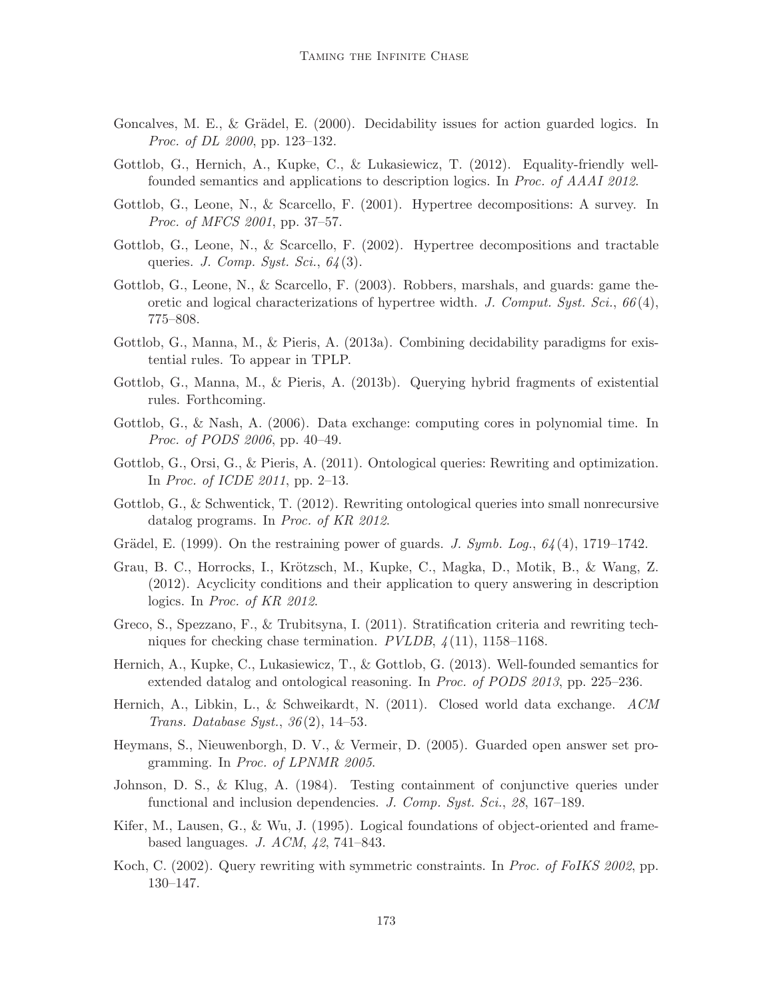- Goncalves, M. E.,  $\&$  Grädel, E. (2000). Decidability issues for action guarded logics. In Proc. of DL 2000, pp. 123–132.
- Gottlob, G., Hernich, A., Kupke, C., & Lukasiewicz, T. (2012). Equality-friendly wellfounded semantics and applications to description logics. In Proc. of AAAI 2012.
- Gottlob, G., Leone, N., & Scarcello, F. (2001). Hypertree decompositions: A survey. In Proc. of MFCS 2001, pp. 37–57.
- Gottlob, G., Leone, N., & Scarcello, F. (2002). Hypertree decompositions and tractable queries. J. Comp. Syst. Sci.,  $64(3)$ .
- Gottlob, G., Leone, N., & Scarcello, F. (2003). Robbers, marshals, and guards: game theoretic and logical characterizations of hypertree width. J. Comput. Syst. Sci.,  $66(4)$ , 775–808.
- Gottlob, G., Manna, M., & Pieris, A. (2013a). Combining decidability paradigms for existential rules. To appear in TPLP.
- Gottlob, G., Manna, M., & Pieris, A. (2013b). Querying hybrid fragments of existential rules. Forthcoming.
- Gottlob, G., & Nash, A. (2006). Data exchange: computing cores in polynomial time. In Proc. of PODS 2006, pp. 40–49.
- Gottlob, G., Orsi, G., & Pieris, A. (2011). Ontological queries: Rewriting and optimization. In Proc. of ICDE 2011, pp. 2–13.
- Gottlob, G., & Schwentick, T. (2012). Rewriting ontological queries into small nonrecursive datalog programs. In Proc. of KR 2012.
- Grädel, E. (1999). On the restraining power of guards. J. Symb. Log.,  $64(4)$ , 1719–1742.
- Grau, B. C., Horrocks, I., Krötzsch, M., Kupke, C., Magka, D., Motik, B., & Wang, Z. (2012). Acyclicity conditions and their application to query answering in description logics. In *Proc. of KR 2012*.
- Greco, S., Spezzano, F., & Trubitsyna, I. (2011). Stratification criteria and rewriting techniques for checking chase termination.  $PVLDB$ ,  $\frac{1}{4}(11)$ , 1158–1168.
- Hernich, A., Kupke, C., Lukasiewicz, T., & Gottlob, G. (2013). Well-founded semantics for extended datalog and ontological reasoning. In Proc. of PODS 2013, pp. 225–236.
- Hernich, A., Libkin, L., & Schweikardt, N. (2011). Closed world data exchange. ACM Trans. Database Syst., 36 (2), 14–53.
- Heymans, S., Nieuwenborgh, D. V., & Vermeir, D. (2005). Guarded open answer set programming. In Proc. of LPNMR 2005.
- Johnson, D. S., & Klug, A. (1984). Testing containment of conjunctive queries under functional and inclusion dependencies. J. Comp. Syst. Sci., 28, 167–189.
- Kifer, M., Lausen, G., & Wu, J. (1995). Logical foundations of object-oriented and framebased languages. J. ACM, 42, 741–843.
- Koch, C. (2002). Query rewriting with symmetric constraints. In *Proc. of FoIKS 2002*, pp. 130–147.